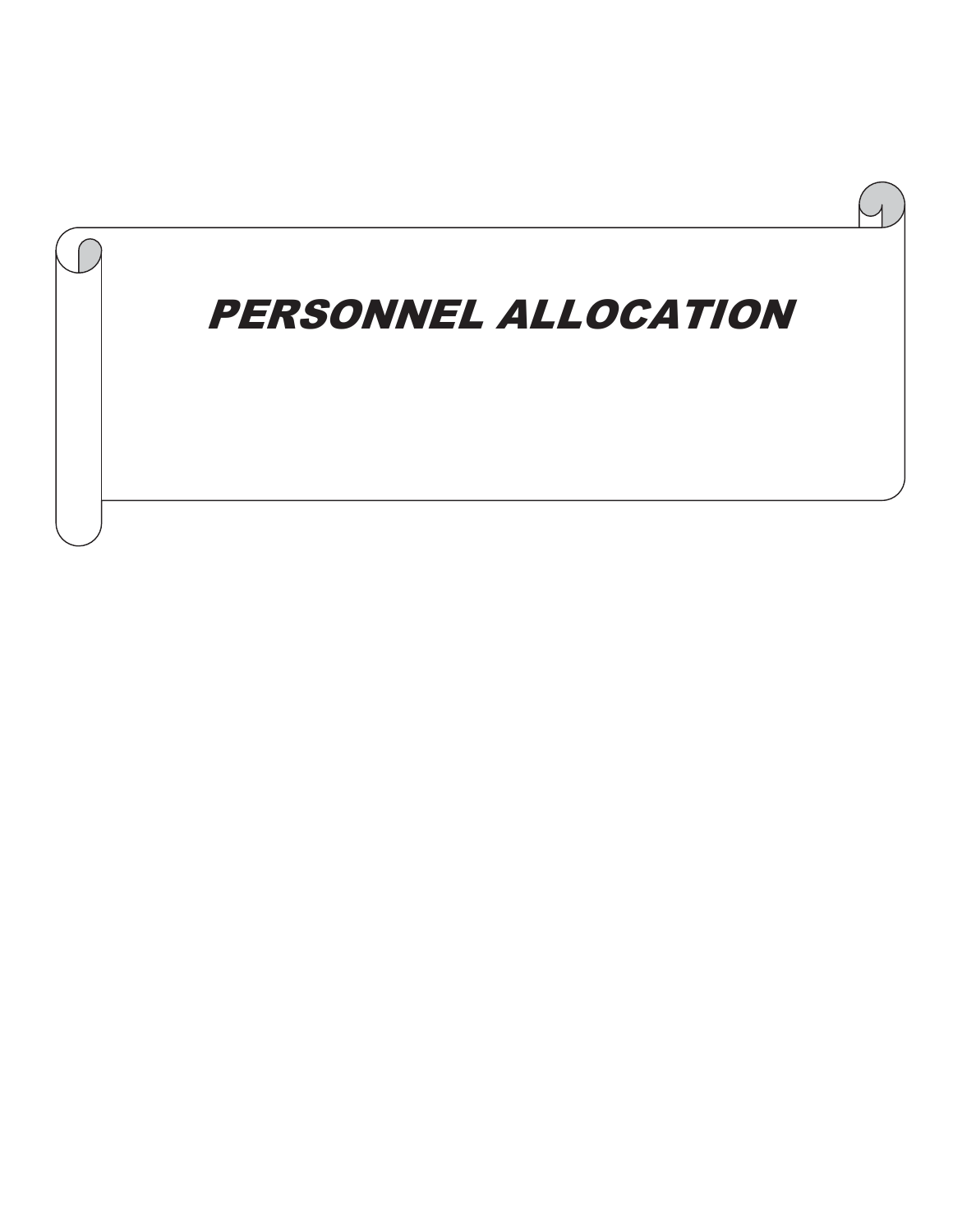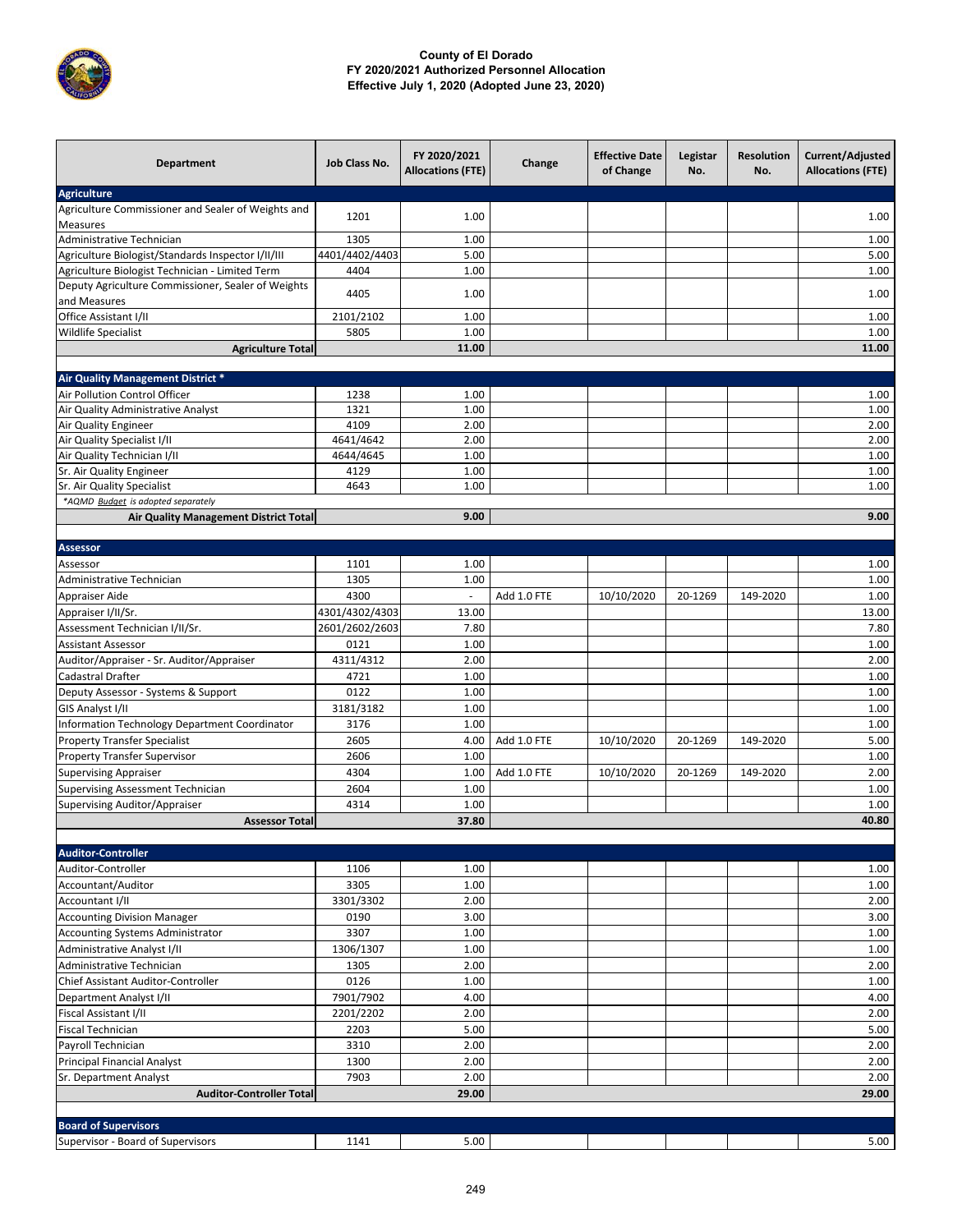

| <b>Department</b>                                                  | Job Class No.  | FY 2020/2021<br><b>Allocations (FTE)</b> | Change      | <b>Effective Date</b><br>of Change | Legistar<br>No. | <b>Resolution</b><br>No. | Current/Adjusted<br><b>Allocations (FTE)</b> |
|--------------------------------------------------------------------|----------------|------------------------------------------|-------------|------------------------------------|-----------------|--------------------------|----------------------------------------------|
| <b>Agriculture</b>                                                 |                |                                          |             |                                    |                 |                          |                                              |
| Agriculture Commissioner and Sealer of Weights and                 | 1201           | 1.00                                     |             |                                    |                 |                          | 1.00                                         |
| Measures                                                           |                |                                          |             |                                    |                 |                          |                                              |
| Administrative Technician                                          | 1305           | 1.00                                     |             |                                    |                 |                          | 1.00                                         |
| Agriculture Biologist/Standards Inspector I/II/III                 | 4401/4402/4403 | 5.00                                     |             |                                    |                 |                          | 5.00                                         |
| Agriculture Biologist Technician - Limited Term                    | 4404           | 1.00                                     |             |                                    |                 |                          | 1.00                                         |
| Deputy Agriculture Commissioner, Sealer of Weights<br>and Measures | 4405           | 1.00                                     |             |                                    |                 |                          | 1.00                                         |
| Office Assistant I/II                                              | 2101/2102      | 1.00                                     |             |                                    |                 |                          | 1.00                                         |
| <b>Wildlife Specialist</b>                                         | 5805           | 1.00                                     |             |                                    |                 |                          | 1.00                                         |
| <b>Agriculture Total</b>                                           |                | 11.00                                    |             |                                    |                 |                          | 11.00                                        |
|                                                                    |                |                                          |             |                                    |                 |                          |                                              |
| Air Quality Management District *                                  |                |                                          |             |                                    |                 |                          |                                              |
| Air Pollution Control Officer                                      | 1238           | 1.00                                     |             |                                    |                 |                          | 1.00                                         |
| Air Quality Administrative Analyst                                 | 1321<br>4109   | 1.00<br>2.00                             |             |                                    |                 |                          | 1.00<br>2.00                                 |
| Air Quality Engineer                                               | 4641/4642      | 2.00                                     |             |                                    |                 |                          | 2.00                                         |
| Air Quality Specialist I/II<br>Air Quality Technician I/II         | 4644/4645      | 1.00                                     |             |                                    |                 |                          | 1.00                                         |
| Sr. Air Quality Engineer                                           | 4129           | 1.00                                     |             |                                    |                 |                          | 1.00                                         |
| Sr. Air Quality Specialist                                         | 4643           | 1.00                                     |             |                                    |                 |                          | 1.00                                         |
| *AQMD Budget is adopted separately                                 |                |                                          |             |                                    |                 |                          |                                              |
| Air Quality Management District Total                              |                | 9.00                                     |             |                                    |                 |                          | 9.00                                         |
|                                                                    |                |                                          |             |                                    |                 |                          |                                              |
| <b>Assessor</b>                                                    |                |                                          |             |                                    |                 |                          |                                              |
| Assessor                                                           | 1101           | 1.00                                     |             |                                    |                 |                          | 1.00                                         |
| Administrative Technician                                          | 1305           | 1.00                                     |             |                                    |                 |                          | 1.00                                         |
| Appraiser Aide                                                     | 4300           | $\blacksquare$                           | Add 1.0 FTE | 10/10/2020                         | 20-1269         | 149-2020                 | 1.00                                         |
| Appraiser I/II/Sr.                                                 | 4301/4302/4303 | 13.00                                    |             |                                    |                 |                          | 13.00                                        |
| Assessment Technician I/II/Sr.                                     | 2601/2602/2603 | 7.80                                     |             |                                    |                 |                          | 7.80                                         |
| <b>Assistant Assessor</b>                                          | 0121           | 1.00                                     |             |                                    |                 |                          | 1.00                                         |
| Auditor/Appraiser - Sr. Auditor/Appraiser                          | 4311/4312      | 2.00                                     |             |                                    |                 |                          | 2.00                                         |
| Cadastral Drafter                                                  | 4721           | 1.00                                     |             |                                    |                 |                          | 1.00                                         |
| Deputy Assessor - Systems & Support                                | 0122           | 1.00                                     |             |                                    |                 |                          | 1.00                                         |
| GIS Analyst I/II                                                   | 3181/3182      | 1.00                                     |             |                                    |                 |                          | 1.00                                         |
| Information Technology Department Coordinator                      | 3176           | 1.00                                     |             |                                    |                 |                          | 1.00                                         |
| <b>Property Transfer Specialist</b>                                | 2605           | 4.00                                     | Add 1.0 FTE | 10/10/2020                         | 20-1269         | 149-2020                 | 5.00                                         |
| Property Transfer Supervisor                                       | 2606           | 1.00                                     |             |                                    |                 |                          | 1.00                                         |
| <b>Supervising Appraiser</b>                                       | 4304           | 1.00                                     | Add 1.0 FTE | 10/10/2020                         | 20-1269         | 149-2020                 | 2.00                                         |
| <b>Supervising Assessment Technician</b>                           | 2604           | 1.00                                     |             |                                    |                 |                          | 1.00                                         |
| Supervising Auditor/Appraiser                                      | 4314           | 1.00                                     |             |                                    |                 |                          | 1.00                                         |
| <b>Assessor Total</b>                                              |                | 37.80                                    |             |                                    |                 |                          | 40.80                                        |
|                                                                    |                |                                          |             |                                    |                 |                          |                                              |
| <b>Auditor-Controller</b><br>Auditor-Controller                    | 1106           | 1.00                                     |             |                                    |                 |                          |                                              |
| Accountant/Auditor                                                 | 3305           | 1.00                                     |             |                                    |                 |                          | 1.00<br>1.00                                 |
| Accountant I/II                                                    | 3301/3302      | 2.00                                     |             |                                    |                 |                          | 2.00                                         |
| <b>Accounting Division Manager</b>                                 | 0190           | 3.00                                     |             |                                    |                 |                          | 3.00                                         |
| <b>Accounting Systems Administrator</b>                            | 3307           | 1.00                                     |             |                                    |                 |                          | 1.00                                         |
| Administrative Analyst I/II                                        | 1306/1307      | 1.00                                     |             |                                    |                 |                          | 1.00                                         |
| Administrative Technician                                          | 1305           | 2.00                                     |             |                                    |                 |                          | 2.00                                         |
| Chief Assistant Auditor-Controller                                 | 0126           | 1.00                                     |             |                                    |                 |                          | 1.00                                         |
| Department Analyst I/II                                            | 7901/7902      | 4.00                                     |             |                                    |                 |                          | 4.00                                         |
| Fiscal Assistant I/II                                              | 2201/2202      | 2.00                                     |             |                                    |                 |                          | 2.00                                         |
| <b>Fiscal Technician</b>                                           | 2203           | 5.00                                     |             |                                    |                 |                          | 5.00                                         |
| Payroll Technician                                                 | 3310           | 2.00                                     |             |                                    |                 |                          | 2.00                                         |
| <b>Principal Financial Analyst</b>                                 | 1300           | 2.00                                     |             |                                    |                 |                          | 2.00                                         |
| Sr. Department Analyst                                             | 7903           | 2.00                                     |             |                                    |                 |                          | 2.00                                         |
| <b>Auditor-Controller Total</b>                                    |                | 29.00                                    |             |                                    |                 |                          | 29.00                                        |
|                                                                    |                |                                          |             |                                    |                 |                          |                                              |
| <b>Board of Supervisors</b>                                        |                |                                          |             |                                    |                 |                          |                                              |
| Supervisor - Board of Supervisors                                  | 1141           | 5.00                                     |             |                                    |                 |                          | 5.00                                         |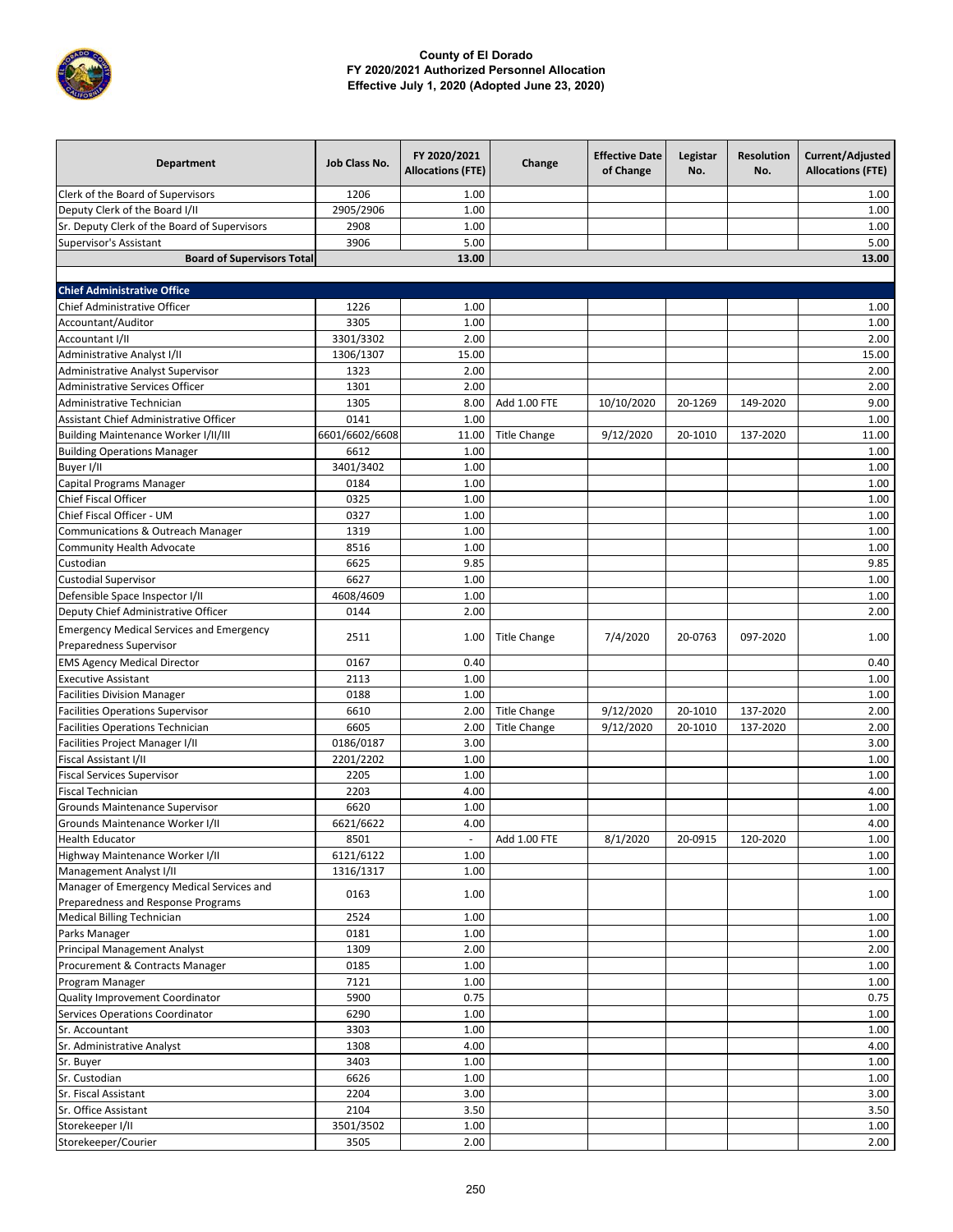

| <b>Department</b>                                                               | Job Class No.          | FY 2020/2021<br><b>Allocations (FTE)</b> | Change              | <b>Effective Date</b><br>of Change | Legistar<br>No. | <b>Resolution</b><br>No. | Current/Adjusted<br><b>Allocations (FTE)</b> |
|---------------------------------------------------------------------------------|------------------------|------------------------------------------|---------------------|------------------------------------|-----------------|--------------------------|----------------------------------------------|
| Clerk of the Board of Supervisors                                               | 1206                   | 1.00                                     |                     |                                    |                 |                          | 1.00                                         |
| Deputy Clerk of the Board I/II                                                  | 2905/2906              | 1.00                                     |                     |                                    |                 |                          | 1.00                                         |
| Sr. Deputy Clerk of the Board of Supervisors                                    | 2908                   | 1.00                                     |                     |                                    |                 |                          | 1.00                                         |
| Supervisor's Assistant                                                          | 3906                   | 5.00                                     |                     |                                    |                 |                          | 5.00                                         |
| <b>Board of Supervisors Total</b>                                               |                        | 13.00                                    |                     |                                    |                 |                          | 13.00                                        |
|                                                                                 |                        |                                          |                     |                                    |                 |                          |                                              |
| <b>Chief Administrative Office</b><br>Chief Administrative Officer              | 1226                   | 1.00                                     |                     |                                    |                 |                          | 1.00                                         |
| Accountant/Auditor                                                              | 3305                   | 1.00                                     |                     |                                    |                 |                          | 1.00                                         |
| Accountant I/II                                                                 |                        |                                          |                     |                                    |                 |                          |                                              |
| Administrative Analyst I/II                                                     | 3301/3302<br>1306/1307 | 2.00<br>15.00                            |                     |                                    |                 |                          | 2.00<br>15.00                                |
| Administrative Analyst Supervisor                                               | 1323                   | 2.00                                     |                     |                                    |                 |                          | 2.00                                         |
| Administrative Services Officer                                                 | 1301                   | 2.00                                     |                     |                                    |                 |                          | 2.00                                         |
| Administrative Technician                                                       | 1305                   | 8.00                                     | Add 1.00 FTE        | 10/10/2020                         | 20-1269         | 149-2020                 | 9.00                                         |
| Assistant Chief Administrative Officer                                          | 0141                   | 1.00                                     |                     |                                    |                 |                          | 1.00                                         |
| <b>Building Maintenance Worker I/II/III</b>                                     | 6601/6602/6608         | 11.00                                    | <b>Title Change</b> | 9/12/2020                          | 20-1010         | 137-2020                 | 11.00                                        |
| <b>Building Operations Manager</b>                                              | 6612                   | 1.00                                     |                     |                                    |                 |                          | 1.00                                         |
| Buyer I/II                                                                      | 3401/3402              | 1.00                                     |                     |                                    |                 |                          | 1.00                                         |
| <b>Capital Programs Manager</b>                                                 | 0184                   | 1.00                                     |                     |                                    |                 |                          | 1.00                                         |
| Chief Fiscal Officer                                                            | 0325                   | 1.00                                     |                     |                                    |                 |                          | 1.00                                         |
| Chief Fiscal Officer - UM                                                       | 0327                   | 1.00                                     |                     |                                    |                 |                          | 1.00                                         |
| Communications & Outreach Manager                                               | 1319                   | 1.00                                     |                     |                                    |                 |                          | 1.00                                         |
| Community Health Advocate                                                       | 8516                   | 1.00                                     |                     |                                    |                 |                          | 1.00                                         |
| Custodian                                                                       | 6625                   | 9.85                                     |                     |                                    |                 |                          | 9.85                                         |
| <b>Custodial Supervisor</b>                                                     | 6627                   | 1.00                                     |                     |                                    |                 |                          | 1.00                                         |
| Defensible Space Inspector I/II                                                 | 4608/4609              | 1.00                                     |                     |                                    |                 |                          | 1.00                                         |
| Deputy Chief Administrative Officer                                             | 0144                   | 2.00                                     |                     |                                    |                 |                          | 2.00                                         |
| <b>Emergency Medical Services and Emergency</b>                                 |                        |                                          |                     |                                    |                 |                          |                                              |
| Preparedness Supervisor                                                         | 2511                   | 1.00                                     | <b>Title Change</b> | 7/4/2020                           | 20-0763         | 097-2020                 | 1.00                                         |
| <b>EMS Agency Medical Director</b>                                              | 0167                   | 0.40                                     |                     |                                    |                 |                          | 0.40                                         |
| <b>Executive Assistant</b>                                                      | 2113                   | 1.00                                     |                     |                                    |                 |                          | 1.00                                         |
| <b>Facilities Division Manager</b>                                              | 0188                   | 1.00                                     |                     |                                    |                 |                          | 1.00                                         |
| <b>Facilities Operations Supervisor</b>                                         | 6610                   | 2.00                                     | <b>Title Change</b> | 9/12/2020                          | 20-1010         | 137-2020                 | 2.00                                         |
| <b>Facilities Operations Technician</b>                                         | 6605                   | 2.00                                     | <b>Title Change</b> | 9/12/2020                          | 20-1010         | 137-2020                 | 2.00                                         |
| Facilities Project Manager I/II                                                 | 0186/0187              | 3.00                                     |                     |                                    |                 |                          | 3.00                                         |
| Fiscal Assistant I/II                                                           | 2201/2202              | 1.00                                     |                     |                                    |                 |                          | 1.00                                         |
| <b>Fiscal Services Supervisor</b>                                               | 2205                   | 1.00                                     |                     |                                    |                 |                          | 1.00                                         |
| <b>Fiscal Technician</b>                                                        | 2203                   | 4.00                                     |                     |                                    |                 |                          | 4.00                                         |
| Grounds Maintenance Supervisor                                                  | 6620                   | 1.00                                     |                     |                                    |                 |                          | 1.00                                         |
| Grounds Maintenance Worker I/II                                                 | 6621/6622              | 4.00                                     |                     |                                    |                 |                          | 4.00                                         |
| <b>Health Educator</b>                                                          | 8501                   |                                          | Add 1.00 FTE        | 8/1/2020                           | 20-0915         | 120-2020                 | 1.00                                         |
| Highway Maintenance Worker I/II                                                 | 6121/6122              | 1.00                                     |                     |                                    |                 |                          | 1.00                                         |
| Management Analyst I/II                                                         | 1316/1317              | 1.00                                     |                     |                                    |                 |                          | 1.00                                         |
| Manager of Emergency Medical Services and<br>Preparedness and Response Programs | 0163                   | 1.00                                     |                     |                                    |                 |                          | 1.00                                         |
| Medical Billing Technician                                                      | 2524                   | 1.00                                     |                     |                                    |                 |                          | 1.00                                         |
| Parks Manager                                                                   | 0181                   | 1.00                                     |                     |                                    |                 |                          | 1.00                                         |
| Principal Management Analyst                                                    | 1309                   | 2.00                                     |                     |                                    |                 |                          | 2.00                                         |
| Procurement & Contracts Manager                                                 | 0185                   | 1.00                                     |                     |                                    |                 |                          | 1.00                                         |
| Program Manager                                                                 | 7121                   | 1.00                                     |                     |                                    |                 |                          | 1.00                                         |
| Quality Improvement Coordinator                                                 | 5900                   | 0.75                                     |                     |                                    |                 |                          | 0.75                                         |
| Services Operations Coordinator                                                 | 6290                   | 1.00                                     |                     |                                    |                 |                          | 1.00                                         |
| Sr. Accountant                                                                  | 3303                   | 1.00                                     |                     |                                    |                 |                          | 1.00                                         |
| Sr. Administrative Analyst                                                      | 1308                   | 4.00                                     |                     |                                    |                 |                          | 4.00                                         |
| Sr. Buyer                                                                       | 3403                   | 1.00                                     |                     |                                    |                 |                          | 1.00                                         |
| Sr. Custodian                                                                   | 6626                   | 1.00                                     |                     |                                    |                 |                          | 1.00                                         |
| Sr. Fiscal Assistant                                                            | 2204                   | 3.00                                     |                     |                                    |                 |                          | 3.00                                         |
| Sr. Office Assistant                                                            | 2104                   | 3.50                                     |                     |                                    |                 |                          | 3.50                                         |
| Storekeeper I/II                                                                | 3501/3502              | 1.00                                     |                     |                                    |                 |                          | 1.00                                         |
| Storekeeper/Courier                                                             | 3505                   | 2.00                                     |                     |                                    |                 |                          | 2.00                                         |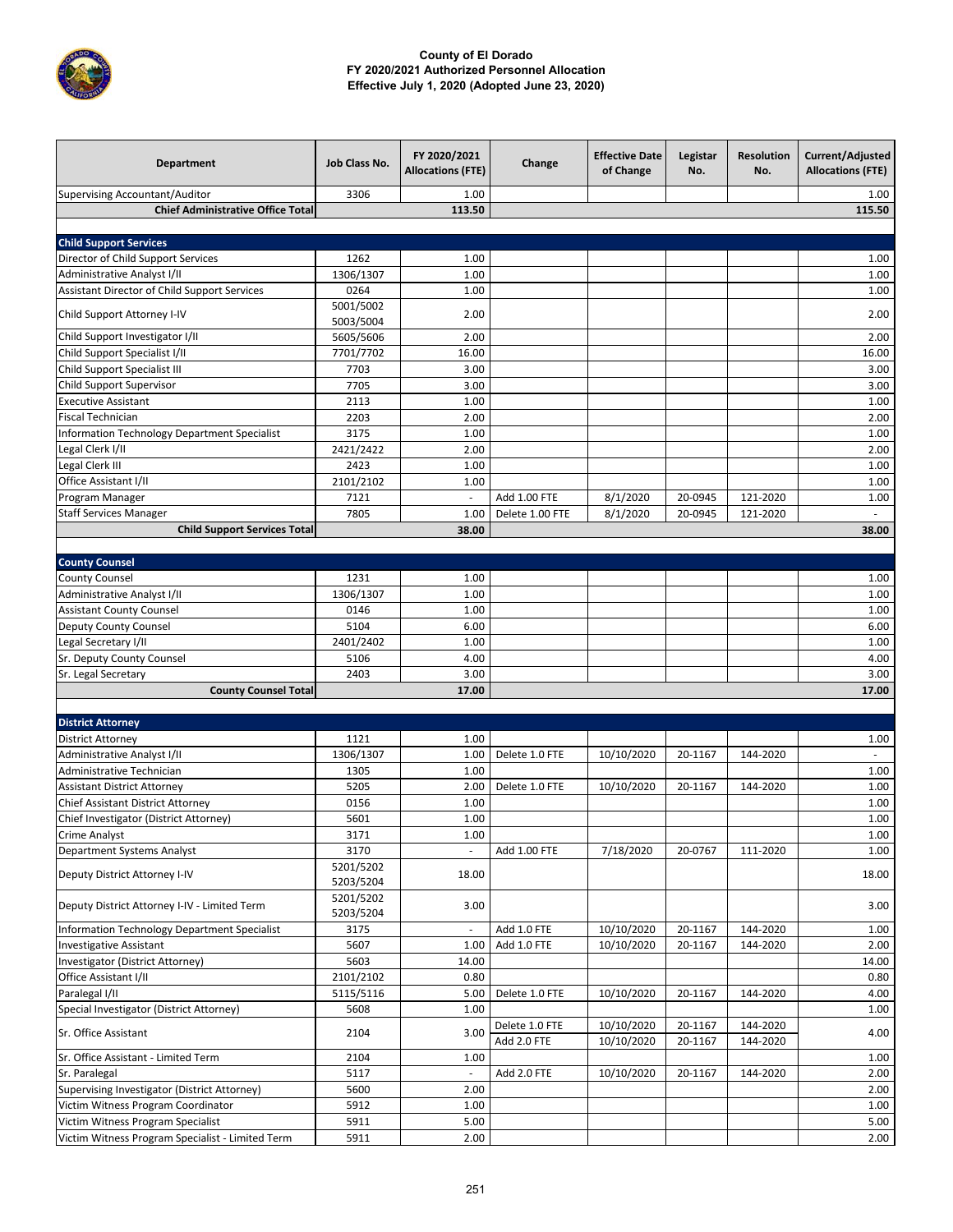

| <b>Department</b>                                                                  | Job Class No.          | FY 2020/2021<br><b>Allocations (FTE)</b> | Change          | <b>Effective Date</b><br>of Change | Legistar<br>No. | <b>Resolution</b><br>No. | Current/Adjusted<br><b>Allocations (FTE)</b> |
|------------------------------------------------------------------------------------|------------------------|------------------------------------------|-----------------|------------------------------------|-----------------|--------------------------|----------------------------------------------|
| Supervising Accountant/Auditor                                                     | 3306                   | 1.00                                     |                 |                                    |                 |                          | 1.00                                         |
| <b>Chief Administrative Office Total</b>                                           |                        | 113.50                                   |                 |                                    |                 |                          | 115.50                                       |
|                                                                                    |                        |                                          |                 |                                    |                 |                          |                                              |
| <b>Child Support Services</b>                                                      |                        |                                          |                 |                                    |                 |                          |                                              |
| Director of Child Support Services                                                 | 1262                   | 1.00                                     |                 |                                    |                 |                          | 1.00                                         |
| Administrative Analyst I/II                                                        | 1306/1307              | 1.00                                     |                 |                                    |                 |                          | 1.00                                         |
| Assistant Director of Child Support Services                                       | 0264                   | 1.00                                     |                 |                                    |                 |                          | 1.00                                         |
| Child Support Attorney I-IV                                                        | 5001/5002<br>5003/5004 | 2.00                                     |                 |                                    |                 |                          | 2.00                                         |
| Child Support Investigator I/II                                                    | 5605/5606              | 2.00                                     |                 |                                    |                 |                          | 2.00                                         |
| Child Support Specialist I/II                                                      | 7701/7702              | 16.00                                    |                 |                                    |                 |                          | 16.00                                        |
| Child Support Specialist III                                                       | 7703                   | 3.00                                     |                 |                                    |                 |                          | 3.00                                         |
| <b>Child Support Supervisor</b>                                                    | 7705                   | 3.00                                     |                 |                                    |                 |                          | 3.00                                         |
| <b>Executive Assistant</b>                                                         | 2113                   | 1.00                                     |                 |                                    |                 |                          | 1.00                                         |
| <b>Fiscal Technician</b>                                                           | 2203                   | 2.00                                     |                 |                                    |                 |                          | 2.00                                         |
| <b>Information Technology Department Specialist</b>                                | 3175                   | 1.00                                     |                 |                                    |                 |                          | 1.00                                         |
| Legal Clerk I/II                                                                   | 2421/2422              | 2.00                                     |                 |                                    |                 |                          | 2.00                                         |
| Legal Clerk III                                                                    | 2423                   | 1.00                                     |                 |                                    |                 |                          | 1.00                                         |
| Office Assistant I/II                                                              | 2101/2102              | 1.00                                     |                 |                                    |                 |                          | 1.00                                         |
| Program Manager                                                                    | 7121                   |                                          | Add 1.00 FTE    | 8/1/2020                           | 20-0945         | 121-2020                 | 1.00                                         |
| <b>Staff Services Manager</b>                                                      | 7805                   | 1.00                                     | Delete 1.00 FTE | 8/1/2020                           | 20-0945         | 121-2020                 | $\mathcal{L}_{\mathcal{A}}$                  |
| <b>Child Support Services Total</b>                                                |                        | 38.00                                    |                 |                                    |                 |                          | 38.00                                        |
|                                                                                    |                        |                                          |                 |                                    |                 |                          |                                              |
| <b>County Counsel</b>                                                              |                        |                                          |                 |                                    |                 |                          |                                              |
| <b>County Counsel</b>                                                              | 1231                   | 1.00                                     |                 |                                    |                 |                          | 1.00                                         |
| Administrative Analyst I/II                                                        | 1306/1307              | 1.00                                     |                 |                                    |                 |                          | 1.00                                         |
| <b>Assistant County Counsel</b>                                                    | 0146                   | 1.00                                     |                 |                                    |                 |                          | 1.00                                         |
| Deputy County Counsel                                                              | 5104                   | 6.00                                     |                 |                                    |                 |                          | 6.00                                         |
| Legal Secretary I/II                                                               | 2401/2402              | 1.00                                     |                 |                                    |                 |                          | 1.00                                         |
| Sr. Deputy County Counsel                                                          | 5106                   | 4.00                                     |                 |                                    |                 |                          | 4.00                                         |
| Sr. Legal Secretary                                                                | 2403                   | 3.00                                     |                 |                                    |                 |                          | 3.00                                         |
| <b>County Counsel Total</b>                                                        |                        | 17.00                                    |                 |                                    |                 |                          | 17.00                                        |
|                                                                                    |                        |                                          |                 |                                    |                 |                          |                                              |
| <b>District Attorney</b>                                                           |                        |                                          |                 |                                    |                 |                          |                                              |
| <b>District Attorney</b>                                                           | 1121                   | 1.00                                     |                 |                                    |                 |                          | 1.00                                         |
| Administrative Analyst I/II                                                        | 1306/1307              | 1.00                                     | Delete 1.0 FTE  | 10/10/2020                         | 20-1167         | 144-2020                 |                                              |
| Administrative Technician                                                          | 1305                   | 1.00                                     |                 |                                    |                 |                          | 1.00                                         |
| <b>Assistant District Attorney</b>                                                 | 5205                   | 2.00                                     | Delete 1.0 FTE  | 10/10/2020                         | 20-1167         | 144-2020                 | 1.00                                         |
| Chief Assistant District Attorney                                                  | 0156                   | 1.00                                     |                 |                                    |                 |                          | 1.00                                         |
| Chief Investigator (District Attorney)                                             | 5601                   | 1.00                                     |                 |                                    |                 |                          | 1.00                                         |
| <b>Crime Analyst</b>                                                               | 3171                   | 1.00                                     |                 |                                    |                 |                          | 1.00                                         |
| Department Systems Analyst                                                         | 3170                   | ÷,                                       | Add 1.00 FTE    | 7/18/2020                          | 20-0767         | 111-2020                 | 1.00                                         |
| Deputy District Attorney I-IV                                                      | 5201/5202<br>5203/5204 | 18.00                                    |                 |                                    |                 |                          | 18.00                                        |
| Deputy District Attorney I-IV - Limited Term                                       | 5201/5202<br>5203/5204 | 3.00                                     |                 |                                    |                 |                          | 3.00                                         |
| <b>Information Technology Department Specialist</b>                                | 3175                   | $\overline{\phantom{a}}$                 | Add 1.0 FTE     | 10/10/2020                         | 20-1167         | 144-2020                 | 1.00                                         |
| <b>Investigative Assistant</b>                                                     | 5607                   | 1.00                                     | Add 1.0 FTE     | 10/10/2020                         | 20-1167         | 144-2020                 | 2.00                                         |
| Investigator (District Attorney)                                                   | 5603                   | 14.00                                    |                 |                                    |                 |                          | 14.00                                        |
| Office Assistant I/II                                                              | 2101/2102              | 0.80                                     |                 |                                    |                 |                          | 0.80                                         |
| Paralegal I/II                                                                     | 5115/5116              | 5.00                                     | Delete 1.0 FTE  | 10/10/2020                         | 20-1167         | 144-2020                 | 4.00                                         |
| Special Investigator (District Attorney)                                           | 5608                   | 1.00                                     |                 |                                    |                 |                          | 1.00                                         |
| Sr. Office Assistant                                                               | 2104                   | 3.00                                     | Delete 1.0 FTE  | 10/10/2020                         | 20-1167         | 144-2020<br>144-2020     | 4.00                                         |
| Sr. Office Assistant - Limited Term                                                | 2104                   | 1.00                                     | Add 2.0 FTE     | 10/10/2020                         | 20-1167         |                          | 1.00                                         |
|                                                                                    | 5117                   | $\overline{\phantom{a}}$                 | Add 2.0 FTE     | 10/10/2020                         | 20-1167         | 144-2020                 | 2.00                                         |
| Sr. Paralegal                                                                      |                        |                                          |                 |                                    |                 |                          |                                              |
| Supervising Investigator (District Attorney)<br>Victim Witness Program Coordinator | 5600<br>5912           | 2.00<br>1.00                             |                 |                                    |                 |                          | 2.00<br>1.00                                 |
| Victim Witness Program Specialist                                                  | 5911                   | 5.00                                     |                 |                                    |                 |                          | 5.00                                         |
| Victim Witness Program Specialist - Limited Term                                   | 5911                   | 2.00                                     |                 |                                    |                 |                          | 2.00                                         |
|                                                                                    |                        |                                          |                 |                                    |                 |                          |                                              |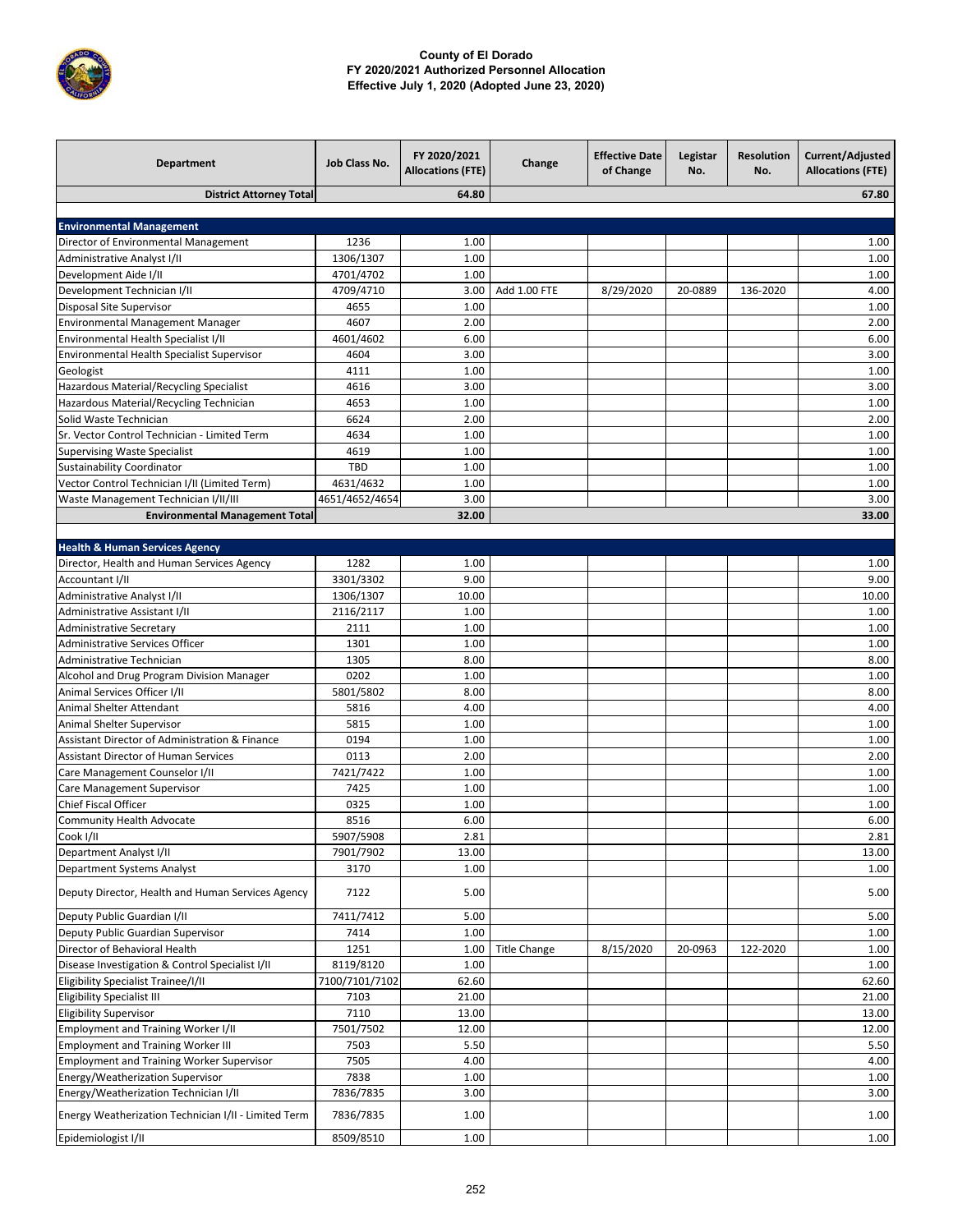

| <b>District Attorney Total</b><br>64.80<br>67.80<br><b>Environmental Management</b><br>Director of Environmental Management<br>1236<br>1.00<br>1.00<br><b>Administrative Analyst I/II</b><br>1306/1307<br>1.00<br>1.00<br>Development Aide I/II<br>4701/4702<br>1.00<br>1.00<br>Add 1.00 FTE<br>Development Technician I/II<br>4709/4710<br>3.00<br>8/29/2020<br>20-0889<br>136-2020<br>4.00<br>Disposal Site Supervisor<br>4655<br>1.00<br>1.00<br>Environmental Management Manager<br>4607<br>2.00<br>2.00<br>Environmental Health Specialist I/II<br>6.00<br>4601/4602<br>6.00<br>3.00<br>Environmental Health Specialist Supervisor<br>4604<br>3.00<br>1.00<br>4111<br>1.00<br>Geologist<br>4616<br>Hazardous Material/Recycling Specialist<br>3.00<br>3.00<br>Hazardous Material/Recycling Technician<br>4653<br>1.00<br>1.00<br>6624<br>2.00<br>2.00<br>Solid Waste Technician<br>Sr. Vector Control Technician - Limited Term<br>4634<br>1.00<br>1.00<br>4619<br><b>Supervising Waste Specialist</b><br>1.00<br>1.00<br><b>TBD</b><br>Sustainability Coordinator<br>1.00<br>1.00<br>Vector Control Technician I/II (Limited Term)<br>4631/4632<br>1.00<br>1.00<br>4651/4652/4654<br>3.00<br>3.00<br>Waste Management Technician I/II/III<br>32.00<br><b>Environmental Management Total</b><br>33.00<br><b>Health &amp; Human Services Agency</b><br>1282<br>Director, Health and Human Services Agency<br>1.00<br>1.00<br>Accountant I/II<br>3301/3302<br>9.00<br>9.00<br>10.00<br>Administrative Analyst I/II<br>1306/1307<br>10.00<br>2116/2117<br>1.00<br>1.00<br>Administrative Assistant I/II<br>2111<br>1.00<br><b>Administrative Secretary</b><br>1.00<br>Administrative Services Officer<br>1301<br>1.00<br>1.00<br>Administrative Technician<br>1305<br>8.00<br>8.00<br>0202<br>Alcohol and Drug Program Division Manager<br>1.00<br>1.00<br>Animal Services Officer I/II<br>5801/5802<br>8.00<br>8.00<br>Animal Shelter Attendant<br>4.00<br>4.00<br>5816<br>Animal Shelter Supervisor<br>5815<br>1.00<br>1.00<br>0194<br>Assistant Director of Administration & Finance<br>1.00<br>1.00<br><b>Assistant Director of Human Services</b><br>0113<br>2.00<br>2.00<br>7421/7422<br>Care Management Counselor I/II<br>1.00<br>1.00<br>Care Management Supervisor<br>7425<br>1.00<br>1.00<br>Chief Fiscal Officer<br>0325<br>1.00<br>1.00<br><b>Community Health Advocate</b><br>6.00<br>8516<br>6.00<br>5907/5908<br>2.81<br>2.81<br>7901/7902<br>Department Analyst I/II<br>13.00<br>13.00<br>Department Systems Analyst<br>3170<br>1.00<br>1.00<br>5.00<br>5.00<br>Deputy Director, Health and Human Services Agency<br>7122<br>Deputy Public Guardian I/II<br>7411/7412<br>5.00<br>5.00<br>Deputy Public Guardian Supervisor<br>7414<br>1.00<br>1.00<br>Director of Behavioral Health<br>1251<br><b>Title Change</b><br>8/15/2020<br>1.00<br>20-0963<br>122-2020<br>1.00<br>Disease Investigation & Control Specialist I/II<br>8119/8120<br>1.00<br>1.00<br>7100/7101/7102<br>Eligibility Specialist Trainee/I/II<br>62.60<br>62.60<br><b>Eligibility Specialist III</b><br>7103<br>21.00<br>21.00<br><b>Eligibility Supervisor</b><br>7110<br>13.00<br>13.00<br><b>Employment and Training Worker I/II</b><br>7501/7502<br>12.00<br>12.00<br><b>Employment and Training Worker III</b><br>7503<br>5.50<br>5.50<br><b>Employment and Training Worker Supervisor</b><br>7505<br>4.00<br>4.00<br>Energy/Weatherization Supervisor<br>7838<br>1.00<br>1.00<br>Energy/Weatherization Technician I/II<br>7836/7835<br>3.00<br>3.00<br>Energy Weatherization Technician I/II - Limited Term<br>1.00<br>1.00<br>7836/7835<br>8509/8510<br>1.00<br>1.00<br>Epidemiologist I/II | <b>Department</b> | Job Class No. | FY 2020/2021<br><b>Allocations (FTE)</b> | Change | <b>Effective Date</b><br>of Change | Legistar<br>No. | <b>Resolution</b><br>No. | Current/Adjusted<br><b>Allocations (FTE)</b> |
|----------------------------------------------------------------------------------------------------------------------------------------------------------------------------------------------------------------------------------------------------------------------------------------------------------------------------------------------------------------------------------------------------------------------------------------------------------------------------------------------------------------------------------------------------------------------------------------------------------------------------------------------------------------------------------------------------------------------------------------------------------------------------------------------------------------------------------------------------------------------------------------------------------------------------------------------------------------------------------------------------------------------------------------------------------------------------------------------------------------------------------------------------------------------------------------------------------------------------------------------------------------------------------------------------------------------------------------------------------------------------------------------------------------------------------------------------------------------------------------------------------------------------------------------------------------------------------------------------------------------------------------------------------------------------------------------------------------------------------------------------------------------------------------------------------------------------------------------------------------------------------------------------------------------------------------------------------------------------------------------------------------------------------------------------------------------------------------------------------------------------------------------------------------------------------------------------------------------------------------------------------------------------------------------------------------------------------------------------------------------------------------------------------------------------------------------------------------------------------------------------------------------------------------------------------------------------------------------------------------------------------------------------------------------------------------------------------------------------------------------------------------------------------------------------------------------------------------------------------------------------------------------------------------------------------------------------------------------------------------------------------------------------------------------------------------------------------------------------------------------------------------------------------------------------------------------------------------------------------------------------------------------------------------------------------------------------------------------------------------------------------------------------------------------------------------------------------------------------------------------------------------------------------------------------------------------------------------------------------------------------------------------------------------------------------------|-------------------|---------------|------------------------------------------|--------|------------------------------------|-----------------|--------------------------|----------------------------------------------|
|                                                                                                                                                                                                                                                                                                                                                                                                                                                                                                                                                                                                                                                                                                                                                                                                                                                                                                                                                                                                                                                                                                                                                                                                                                                                                                                                                                                                                                                                                                                                                                                                                                                                                                                                                                                                                                                                                                                                                                                                                                                                                                                                                                                                                                                                                                                                                                                                                                                                                                                                                                                                                                                                                                                                                                                                                                                                                                                                                                                                                                                                                                                                                                                                                                                                                                                                                                                                                                                                                                                                                                                                                                                                                        |                   |               |                                          |        |                                    |                 |                          |                                              |
|                                                                                                                                                                                                                                                                                                                                                                                                                                                                                                                                                                                                                                                                                                                                                                                                                                                                                                                                                                                                                                                                                                                                                                                                                                                                                                                                                                                                                                                                                                                                                                                                                                                                                                                                                                                                                                                                                                                                                                                                                                                                                                                                                                                                                                                                                                                                                                                                                                                                                                                                                                                                                                                                                                                                                                                                                                                                                                                                                                                                                                                                                                                                                                                                                                                                                                                                                                                                                                                                                                                                                                                                                                                                                        |                   |               |                                          |        |                                    |                 |                          |                                              |
|                                                                                                                                                                                                                                                                                                                                                                                                                                                                                                                                                                                                                                                                                                                                                                                                                                                                                                                                                                                                                                                                                                                                                                                                                                                                                                                                                                                                                                                                                                                                                                                                                                                                                                                                                                                                                                                                                                                                                                                                                                                                                                                                                                                                                                                                                                                                                                                                                                                                                                                                                                                                                                                                                                                                                                                                                                                                                                                                                                                                                                                                                                                                                                                                                                                                                                                                                                                                                                                                                                                                                                                                                                                                                        |                   |               |                                          |        |                                    |                 |                          |                                              |
|                                                                                                                                                                                                                                                                                                                                                                                                                                                                                                                                                                                                                                                                                                                                                                                                                                                                                                                                                                                                                                                                                                                                                                                                                                                                                                                                                                                                                                                                                                                                                                                                                                                                                                                                                                                                                                                                                                                                                                                                                                                                                                                                                                                                                                                                                                                                                                                                                                                                                                                                                                                                                                                                                                                                                                                                                                                                                                                                                                                                                                                                                                                                                                                                                                                                                                                                                                                                                                                                                                                                                                                                                                                                                        |                   |               |                                          |        |                                    |                 |                          |                                              |
|                                                                                                                                                                                                                                                                                                                                                                                                                                                                                                                                                                                                                                                                                                                                                                                                                                                                                                                                                                                                                                                                                                                                                                                                                                                                                                                                                                                                                                                                                                                                                                                                                                                                                                                                                                                                                                                                                                                                                                                                                                                                                                                                                                                                                                                                                                                                                                                                                                                                                                                                                                                                                                                                                                                                                                                                                                                                                                                                                                                                                                                                                                                                                                                                                                                                                                                                                                                                                                                                                                                                                                                                                                                                                        |                   |               |                                          |        |                                    |                 |                          |                                              |
|                                                                                                                                                                                                                                                                                                                                                                                                                                                                                                                                                                                                                                                                                                                                                                                                                                                                                                                                                                                                                                                                                                                                                                                                                                                                                                                                                                                                                                                                                                                                                                                                                                                                                                                                                                                                                                                                                                                                                                                                                                                                                                                                                                                                                                                                                                                                                                                                                                                                                                                                                                                                                                                                                                                                                                                                                                                                                                                                                                                                                                                                                                                                                                                                                                                                                                                                                                                                                                                                                                                                                                                                                                                                                        |                   |               |                                          |        |                                    |                 |                          |                                              |
|                                                                                                                                                                                                                                                                                                                                                                                                                                                                                                                                                                                                                                                                                                                                                                                                                                                                                                                                                                                                                                                                                                                                                                                                                                                                                                                                                                                                                                                                                                                                                                                                                                                                                                                                                                                                                                                                                                                                                                                                                                                                                                                                                                                                                                                                                                                                                                                                                                                                                                                                                                                                                                                                                                                                                                                                                                                                                                                                                                                                                                                                                                                                                                                                                                                                                                                                                                                                                                                                                                                                                                                                                                                                                        |                   |               |                                          |        |                                    |                 |                          |                                              |
|                                                                                                                                                                                                                                                                                                                                                                                                                                                                                                                                                                                                                                                                                                                                                                                                                                                                                                                                                                                                                                                                                                                                                                                                                                                                                                                                                                                                                                                                                                                                                                                                                                                                                                                                                                                                                                                                                                                                                                                                                                                                                                                                                                                                                                                                                                                                                                                                                                                                                                                                                                                                                                                                                                                                                                                                                                                                                                                                                                                                                                                                                                                                                                                                                                                                                                                                                                                                                                                                                                                                                                                                                                                                                        |                   |               |                                          |        |                                    |                 |                          |                                              |
|                                                                                                                                                                                                                                                                                                                                                                                                                                                                                                                                                                                                                                                                                                                                                                                                                                                                                                                                                                                                                                                                                                                                                                                                                                                                                                                                                                                                                                                                                                                                                                                                                                                                                                                                                                                                                                                                                                                                                                                                                                                                                                                                                                                                                                                                                                                                                                                                                                                                                                                                                                                                                                                                                                                                                                                                                                                                                                                                                                                                                                                                                                                                                                                                                                                                                                                                                                                                                                                                                                                                                                                                                                                                                        |                   |               |                                          |        |                                    |                 |                          |                                              |
|                                                                                                                                                                                                                                                                                                                                                                                                                                                                                                                                                                                                                                                                                                                                                                                                                                                                                                                                                                                                                                                                                                                                                                                                                                                                                                                                                                                                                                                                                                                                                                                                                                                                                                                                                                                                                                                                                                                                                                                                                                                                                                                                                                                                                                                                                                                                                                                                                                                                                                                                                                                                                                                                                                                                                                                                                                                                                                                                                                                                                                                                                                                                                                                                                                                                                                                                                                                                                                                                                                                                                                                                                                                                                        |                   |               |                                          |        |                                    |                 |                          |                                              |
|                                                                                                                                                                                                                                                                                                                                                                                                                                                                                                                                                                                                                                                                                                                                                                                                                                                                                                                                                                                                                                                                                                                                                                                                                                                                                                                                                                                                                                                                                                                                                                                                                                                                                                                                                                                                                                                                                                                                                                                                                                                                                                                                                                                                                                                                                                                                                                                                                                                                                                                                                                                                                                                                                                                                                                                                                                                                                                                                                                                                                                                                                                                                                                                                                                                                                                                                                                                                                                                                                                                                                                                                                                                                                        |                   |               |                                          |        |                                    |                 |                          |                                              |
|                                                                                                                                                                                                                                                                                                                                                                                                                                                                                                                                                                                                                                                                                                                                                                                                                                                                                                                                                                                                                                                                                                                                                                                                                                                                                                                                                                                                                                                                                                                                                                                                                                                                                                                                                                                                                                                                                                                                                                                                                                                                                                                                                                                                                                                                                                                                                                                                                                                                                                                                                                                                                                                                                                                                                                                                                                                                                                                                                                                                                                                                                                                                                                                                                                                                                                                                                                                                                                                                                                                                                                                                                                                                                        |                   |               |                                          |        |                                    |                 |                          |                                              |
|                                                                                                                                                                                                                                                                                                                                                                                                                                                                                                                                                                                                                                                                                                                                                                                                                                                                                                                                                                                                                                                                                                                                                                                                                                                                                                                                                                                                                                                                                                                                                                                                                                                                                                                                                                                                                                                                                                                                                                                                                                                                                                                                                                                                                                                                                                                                                                                                                                                                                                                                                                                                                                                                                                                                                                                                                                                                                                                                                                                                                                                                                                                                                                                                                                                                                                                                                                                                                                                                                                                                                                                                                                                                                        |                   |               |                                          |        |                                    |                 |                          |                                              |
|                                                                                                                                                                                                                                                                                                                                                                                                                                                                                                                                                                                                                                                                                                                                                                                                                                                                                                                                                                                                                                                                                                                                                                                                                                                                                                                                                                                                                                                                                                                                                                                                                                                                                                                                                                                                                                                                                                                                                                                                                                                                                                                                                                                                                                                                                                                                                                                                                                                                                                                                                                                                                                                                                                                                                                                                                                                                                                                                                                                                                                                                                                                                                                                                                                                                                                                                                                                                                                                                                                                                                                                                                                                                                        |                   |               |                                          |        |                                    |                 |                          |                                              |
|                                                                                                                                                                                                                                                                                                                                                                                                                                                                                                                                                                                                                                                                                                                                                                                                                                                                                                                                                                                                                                                                                                                                                                                                                                                                                                                                                                                                                                                                                                                                                                                                                                                                                                                                                                                                                                                                                                                                                                                                                                                                                                                                                                                                                                                                                                                                                                                                                                                                                                                                                                                                                                                                                                                                                                                                                                                                                                                                                                                                                                                                                                                                                                                                                                                                                                                                                                                                                                                                                                                                                                                                                                                                                        |                   |               |                                          |        |                                    |                 |                          |                                              |
|                                                                                                                                                                                                                                                                                                                                                                                                                                                                                                                                                                                                                                                                                                                                                                                                                                                                                                                                                                                                                                                                                                                                                                                                                                                                                                                                                                                                                                                                                                                                                                                                                                                                                                                                                                                                                                                                                                                                                                                                                                                                                                                                                                                                                                                                                                                                                                                                                                                                                                                                                                                                                                                                                                                                                                                                                                                                                                                                                                                                                                                                                                                                                                                                                                                                                                                                                                                                                                                                                                                                                                                                                                                                                        |                   |               |                                          |        |                                    |                 |                          |                                              |
|                                                                                                                                                                                                                                                                                                                                                                                                                                                                                                                                                                                                                                                                                                                                                                                                                                                                                                                                                                                                                                                                                                                                                                                                                                                                                                                                                                                                                                                                                                                                                                                                                                                                                                                                                                                                                                                                                                                                                                                                                                                                                                                                                                                                                                                                                                                                                                                                                                                                                                                                                                                                                                                                                                                                                                                                                                                                                                                                                                                                                                                                                                                                                                                                                                                                                                                                                                                                                                                                                                                                                                                                                                                                                        |                   |               |                                          |        |                                    |                 |                          |                                              |
|                                                                                                                                                                                                                                                                                                                                                                                                                                                                                                                                                                                                                                                                                                                                                                                                                                                                                                                                                                                                                                                                                                                                                                                                                                                                                                                                                                                                                                                                                                                                                                                                                                                                                                                                                                                                                                                                                                                                                                                                                                                                                                                                                                                                                                                                                                                                                                                                                                                                                                                                                                                                                                                                                                                                                                                                                                                                                                                                                                                                                                                                                                                                                                                                                                                                                                                                                                                                                                                                                                                                                                                                                                                                                        |                   |               |                                          |        |                                    |                 |                          |                                              |
|                                                                                                                                                                                                                                                                                                                                                                                                                                                                                                                                                                                                                                                                                                                                                                                                                                                                                                                                                                                                                                                                                                                                                                                                                                                                                                                                                                                                                                                                                                                                                                                                                                                                                                                                                                                                                                                                                                                                                                                                                                                                                                                                                                                                                                                                                                                                                                                                                                                                                                                                                                                                                                                                                                                                                                                                                                                                                                                                                                                                                                                                                                                                                                                                                                                                                                                                                                                                                                                                                                                                                                                                                                                                                        |                   |               |                                          |        |                                    |                 |                          |                                              |
|                                                                                                                                                                                                                                                                                                                                                                                                                                                                                                                                                                                                                                                                                                                                                                                                                                                                                                                                                                                                                                                                                                                                                                                                                                                                                                                                                                                                                                                                                                                                                                                                                                                                                                                                                                                                                                                                                                                                                                                                                                                                                                                                                                                                                                                                                                                                                                                                                                                                                                                                                                                                                                                                                                                                                                                                                                                                                                                                                                                                                                                                                                                                                                                                                                                                                                                                                                                                                                                                                                                                                                                                                                                                                        |                   |               |                                          |        |                                    |                 |                          |                                              |
|                                                                                                                                                                                                                                                                                                                                                                                                                                                                                                                                                                                                                                                                                                                                                                                                                                                                                                                                                                                                                                                                                                                                                                                                                                                                                                                                                                                                                                                                                                                                                                                                                                                                                                                                                                                                                                                                                                                                                                                                                                                                                                                                                                                                                                                                                                                                                                                                                                                                                                                                                                                                                                                                                                                                                                                                                                                                                                                                                                                                                                                                                                                                                                                                                                                                                                                                                                                                                                                                                                                                                                                                                                                                                        |                   |               |                                          |        |                                    |                 |                          |                                              |
|                                                                                                                                                                                                                                                                                                                                                                                                                                                                                                                                                                                                                                                                                                                                                                                                                                                                                                                                                                                                                                                                                                                                                                                                                                                                                                                                                                                                                                                                                                                                                                                                                                                                                                                                                                                                                                                                                                                                                                                                                                                                                                                                                                                                                                                                                                                                                                                                                                                                                                                                                                                                                                                                                                                                                                                                                                                                                                                                                                                                                                                                                                                                                                                                                                                                                                                                                                                                                                                                                                                                                                                                                                                                                        |                   |               |                                          |        |                                    |                 |                          |                                              |
|                                                                                                                                                                                                                                                                                                                                                                                                                                                                                                                                                                                                                                                                                                                                                                                                                                                                                                                                                                                                                                                                                                                                                                                                                                                                                                                                                                                                                                                                                                                                                                                                                                                                                                                                                                                                                                                                                                                                                                                                                                                                                                                                                                                                                                                                                                                                                                                                                                                                                                                                                                                                                                                                                                                                                                                                                                                                                                                                                                                                                                                                                                                                                                                                                                                                                                                                                                                                                                                                                                                                                                                                                                                                                        |                   |               |                                          |        |                                    |                 |                          |                                              |
|                                                                                                                                                                                                                                                                                                                                                                                                                                                                                                                                                                                                                                                                                                                                                                                                                                                                                                                                                                                                                                                                                                                                                                                                                                                                                                                                                                                                                                                                                                                                                                                                                                                                                                                                                                                                                                                                                                                                                                                                                                                                                                                                                                                                                                                                                                                                                                                                                                                                                                                                                                                                                                                                                                                                                                                                                                                                                                                                                                                                                                                                                                                                                                                                                                                                                                                                                                                                                                                                                                                                                                                                                                                                                        |                   |               |                                          |        |                                    |                 |                          |                                              |
|                                                                                                                                                                                                                                                                                                                                                                                                                                                                                                                                                                                                                                                                                                                                                                                                                                                                                                                                                                                                                                                                                                                                                                                                                                                                                                                                                                                                                                                                                                                                                                                                                                                                                                                                                                                                                                                                                                                                                                                                                                                                                                                                                                                                                                                                                                                                                                                                                                                                                                                                                                                                                                                                                                                                                                                                                                                                                                                                                                                                                                                                                                                                                                                                                                                                                                                                                                                                                                                                                                                                                                                                                                                                                        |                   |               |                                          |        |                                    |                 |                          |                                              |
|                                                                                                                                                                                                                                                                                                                                                                                                                                                                                                                                                                                                                                                                                                                                                                                                                                                                                                                                                                                                                                                                                                                                                                                                                                                                                                                                                                                                                                                                                                                                                                                                                                                                                                                                                                                                                                                                                                                                                                                                                                                                                                                                                                                                                                                                                                                                                                                                                                                                                                                                                                                                                                                                                                                                                                                                                                                                                                                                                                                                                                                                                                                                                                                                                                                                                                                                                                                                                                                                                                                                                                                                                                                                                        |                   |               |                                          |        |                                    |                 |                          |                                              |
|                                                                                                                                                                                                                                                                                                                                                                                                                                                                                                                                                                                                                                                                                                                                                                                                                                                                                                                                                                                                                                                                                                                                                                                                                                                                                                                                                                                                                                                                                                                                                                                                                                                                                                                                                                                                                                                                                                                                                                                                                                                                                                                                                                                                                                                                                                                                                                                                                                                                                                                                                                                                                                                                                                                                                                                                                                                                                                                                                                                                                                                                                                                                                                                                                                                                                                                                                                                                                                                                                                                                                                                                                                                                                        |                   |               |                                          |        |                                    |                 |                          |                                              |
|                                                                                                                                                                                                                                                                                                                                                                                                                                                                                                                                                                                                                                                                                                                                                                                                                                                                                                                                                                                                                                                                                                                                                                                                                                                                                                                                                                                                                                                                                                                                                                                                                                                                                                                                                                                                                                                                                                                                                                                                                                                                                                                                                                                                                                                                                                                                                                                                                                                                                                                                                                                                                                                                                                                                                                                                                                                                                                                                                                                                                                                                                                                                                                                                                                                                                                                                                                                                                                                                                                                                                                                                                                                                                        |                   |               |                                          |        |                                    |                 |                          |                                              |
|                                                                                                                                                                                                                                                                                                                                                                                                                                                                                                                                                                                                                                                                                                                                                                                                                                                                                                                                                                                                                                                                                                                                                                                                                                                                                                                                                                                                                                                                                                                                                                                                                                                                                                                                                                                                                                                                                                                                                                                                                                                                                                                                                                                                                                                                                                                                                                                                                                                                                                                                                                                                                                                                                                                                                                                                                                                                                                                                                                                                                                                                                                                                                                                                                                                                                                                                                                                                                                                                                                                                                                                                                                                                                        |                   |               |                                          |        |                                    |                 |                          |                                              |
|                                                                                                                                                                                                                                                                                                                                                                                                                                                                                                                                                                                                                                                                                                                                                                                                                                                                                                                                                                                                                                                                                                                                                                                                                                                                                                                                                                                                                                                                                                                                                                                                                                                                                                                                                                                                                                                                                                                                                                                                                                                                                                                                                                                                                                                                                                                                                                                                                                                                                                                                                                                                                                                                                                                                                                                                                                                                                                                                                                                                                                                                                                                                                                                                                                                                                                                                                                                                                                                                                                                                                                                                                                                                                        |                   |               |                                          |        |                                    |                 |                          |                                              |
|                                                                                                                                                                                                                                                                                                                                                                                                                                                                                                                                                                                                                                                                                                                                                                                                                                                                                                                                                                                                                                                                                                                                                                                                                                                                                                                                                                                                                                                                                                                                                                                                                                                                                                                                                                                                                                                                                                                                                                                                                                                                                                                                                                                                                                                                                                                                                                                                                                                                                                                                                                                                                                                                                                                                                                                                                                                                                                                                                                                                                                                                                                                                                                                                                                                                                                                                                                                                                                                                                                                                                                                                                                                                                        |                   |               |                                          |        |                                    |                 |                          |                                              |
|                                                                                                                                                                                                                                                                                                                                                                                                                                                                                                                                                                                                                                                                                                                                                                                                                                                                                                                                                                                                                                                                                                                                                                                                                                                                                                                                                                                                                                                                                                                                                                                                                                                                                                                                                                                                                                                                                                                                                                                                                                                                                                                                                                                                                                                                                                                                                                                                                                                                                                                                                                                                                                                                                                                                                                                                                                                                                                                                                                                                                                                                                                                                                                                                                                                                                                                                                                                                                                                                                                                                                                                                                                                                                        |                   |               |                                          |        |                                    |                 |                          |                                              |
|                                                                                                                                                                                                                                                                                                                                                                                                                                                                                                                                                                                                                                                                                                                                                                                                                                                                                                                                                                                                                                                                                                                                                                                                                                                                                                                                                                                                                                                                                                                                                                                                                                                                                                                                                                                                                                                                                                                                                                                                                                                                                                                                                                                                                                                                                                                                                                                                                                                                                                                                                                                                                                                                                                                                                                                                                                                                                                                                                                                                                                                                                                                                                                                                                                                                                                                                                                                                                                                                                                                                                                                                                                                                                        |                   |               |                                          |        |                                    |                 |                          |                                              |
|                                                                                                                                                                                                                                                                                                                                                                                                                                                                                                                                                                                                                                                                                                                                                                                                                                                                                                                                                                                                                                                                                                                                                                                                                                                                                                                                                                                                                                                                                                                                                                                                                                                                                                                                                                                                                                                                                                                                                                                                                                                                                                                                                                                                                                                                                                                                                                                                                                                                                                                                                                                                                                                                                                                                                                                                                                                                                                                                                                                                                                                                                                                                                                                                                                                                                                                                                                                                                                                                                                                                                                                                                                                                                        |                   |               |                                          |        |                                    |                 |                          |                                              |
|                                                                                                                                                                                                                                                                                                                                                                                                                                                                                                                                                                                                                                                                                                                                                                                                                                                                                                                                                                                                                                                                                                                                                                                                                                                                                                                                                                                                                                                                                                                                                                                                                                                                                                                                                                                                                                                                                                                                                                                                                                                                                                                                                                                                                                                                                                                                                                                                                                                                                                                                                                                                                                                                                                                                                                                                                                                                                                                                                                                                                                                                                                                                                                                                                                                                                                                                                                                                                                                                                                                                                                                                                                                                                        |                   |               |                                          |        |                                    |                 |                          |                                              |
|                                                                                                                                                                                                                                                                                                                                                                                                                                                                                                                                                                                                                                                                                                                                                                                                                                                                                                                                                                                                                                                                                                                                                                                                                                                                                                                                                                                                                                                                                                                                                                                                                                                                                                                                                                                                                                                                                                                                                                                                                                                                                                                                                                                                                                                                                                                                                                                                                                                                                                                                                                                                                                                                                                                                                                                                                                                                                                                                                                                                                                                                                                                                                                                                                                                                                                                                                                                                                                                                                                                                                                                                                                                                                        |                   |               |                                          |        |                                    |                 |                          |                                              |
|                                                                                                                                                                                                                                                                                                                                                                                                                                                                                                                                                                                                                                                                                                                                                                                                                                                                                                                                                                                                                                                                                                                                                                                                                                                                                                                                                                                                                                                                                                                                                                                                                                                                                                                                                                                                                                                                                                                                                                                                                                                                                                                                                                                                                                                                                                                                                                                                                                                                                                                                                                                                                                                                                                                                                                                                                                                                                                                                                                                                                                                                                                                                                                                                                                                                                                                                                                                                                                                                                                                                                                                                                                                                                        |                   |               |                                          |        |                                    |                 |                          |                                              |
|                                                                                                                                                                                                                                                                                                                                                                                                                                                                                                                                                                                                                                                                                                                                                                                                                                                                                                                                                                                                                                                                                                                                                                                                                                                                                                                                                                                                                                                                                                                                                                                                                                                                                                                                                                                                                                                                                                                                                                                                                                                                                                                                                                                                                                                                                                                                                                                                                                                                                                                                                                                                                                                                                                                                                                                                                                                                                                                                                                                                                                                                                                                                                                                                                                                                                                                                                                                                                                                                                                                                                                                                                                                                                        |                   |               |                                          |        |                                    |                 |                          |                                              |
|                                                                                                                                                                                                                                                                                                                                                                                                                                                                                                                                                                                                                                                                                                                                                                                                                                                                                                                                                                                                                                                                                                                                                                                                                                                                                                                                                                                                                                                                                                                                                                                                                                                                                                                                                                                                                                                                                                                                                                                                                                                                                                                                                                                                                                                                                                                                                                                                                                                                                                                                                                                                                                                                                                                                                                                                                                                                                                                                                                                                                                                                                                                                                                                                                                                                                                                                                                                                                                                                                                                                                                                                                                                                                        |                   |               |                                          |        |                                    |                 |                          |                                              |
|                                                                                                                                                                                                                                                                                                                                                                                                                                                                                                                                                                                                                                                                                                                                                                                                                                                                                                                                                                                                                                                                                                                                                                                                                                                                                                                                                                                                                                                                                                                                                                                                                                                                                                                                                                                                                                                                                                                                                                                                                                                                                                                                                                                                                                                                                                                                                                                                                                                                                                                                                                                                                                                                                                                                                                                                                                                                                                                                                                                                                                                                                                                                                                                                                                                                                                                                                                                                                                                                                                                                                                                                                                                                                        |                   |               |                                          |        |                                    |                 |                          |                                              |
|                                                                                                                                                                                                                                                                                                                                                                                                                                                                                                                                                                                                                                                                                                                                                                                                                                                                                                                                                                                                                                                                                                                                                                                                                                                                                                                                                                                                                                                                                                                                                                                                                                                                                                                                                                                                                                                                                                                                                                                                                                                                                                                                                                                                                                                                                                                                                                                                                                                                                                                                                                                                                                                                                                                                                                                                                                                                                                                                                                                                                                                                                                                                                                                                                                                                                                                                                                                                                                                                                                                                                                                                                                                                                        | Cook I/II         |               |                                          |        |                                    |                 |                          |                                              |
|                                                                                                                                                                                                                                                                                                                                                                                                                                                                                                                                                                                                                                                                                                                                                                                                                                                                                                                                                                                                                                                                                                                                                                                                                                                                                                                                                                                                                                                                                                                                                                                                                                                                                                                                                                                                                                                                                                                                                                                                                                                                                                                                                                                                                                                                                                                                                                                                                                                                                                                                                                                                                                                                                                                                                                                                                                                                                                                                                                                                                                                                                                                                                                                                                                                                                                                                                                                                                                                                                                                                                                                                                                                                                        |                   |               |                                          |        |                                    |                 |                          |                                              |
|                                                                                                                                                                                                                                                                                                                                                                                                                                                                                                                                                                                                                                                                                                                                                                                                                                                                                                                                                                                                                                                                                                                                                                                                                                                                                                                                                                                                                                                                                                                                                                                                                                                                                                                                                                                                                                                                                                                                                                                                                                                                                                                                                                                                                                                                                                                                                                                                                                                                                                                                                                                                                                                                                                                                                                                                                                                                                                                                                                                                                                                                                                                                                                                                                                                                                                                                                                                                                                                                                                                                                                                                                                                                                        |                   |               |                                          |        |                                    |                 |                          |                                              |
|                                                                                                                                                                                                                                                                                                                                                                                                                                                                                                                                                                                                                                                                                                                                                                                                                                                                                                                                                                                                                                                                                                                                                                                                                                                                                                                                                                                                                                                                                                                                                                                                                                                                                                                                                                                                                                                                                                                                                                                                                                                                                                                                                                                                                                                                                                                                                                                                                                                                                                                                                                                                                                                                                                                                                                                                                                                                                                                                                                                                                                                                                                                                                                                                                                                                                                                                                                                                                                                                                                                                                                                                                                                                                        |                   |               |                                          |        |                                    |                 |                          |                                              |
|                                                                                                                                                                                                                                                                                                                                                                                                                                                                                                                                                                                                                                                                                                                                                                                                                                                                                                                                                                                                                                                                                                                                                                                                                                                                                                                                                                                                                                                                                                                                                                                                                                                                                                                                                                                                                                                                                                                                                                                                                                                                                                                                                                                                                                                                                                                                                                                                                                                                                                                                                                                                                                                                                                                                                                                                                                                                                                                                                                                                                                                                                                                                                                                                                                                                                                                                                                                                                                                                                                                                                                                                                                                                                        |                   |               |                                          |        |                                    |                 |                          |                                              |
|                                                                                                                                                                                                                                                                                                                                                                                                                                                                                                                                                                                                                                                                                                                                                                                                                                                                                                                                                                                                                                                                                                                                                                                                                                                                                                                                                                                                                                                                                                                                                                                                                                                                                                                                                                                                                                                                                                                                                                                                                                                                                                                                                                                                                                                                                                                                                                                                                                                                                                                                                                                                                                                                                                                                                                                                                                                                                                                                                                                                                                                                                                                                                                                                                                                                                                                                                                                                                                                                                                                                                                                                                                                                                        |                   |               |                                          |        |                                    |                 |                          |                                              |
|                                                                                                                                                                                                                                                                                                                                                                                                                                                                                                                                                                                                                                                                                                                                                                                                                                                                                                                                                                                                                                                                                                                                                                                                                                                                                                                                                                                                                                                                                                                                                                                                                                                                                                                                                                                                                                                                                                                                                                                                                                                                                                                                                                                                                                                                                                                                                                                                                                                                                                                                                                                                                                                                                                                                                                                                                                                                                                                                                                                                                                                                                                                                                                                                                                                                                                                                                                                                                                                                                                                                                                                                                                                                                        |                   |               |                                          |        |                                    |                 |                          |                                              |
|                                                                                                                                                                                                                                                                                                                                                                                                                                                                                                                                                                                                                                                                                                                                                                                                                                                                                                                                                                                                                                                                                                                                                                                                                                                                                                                                                                                                                                                                                                                                                                                                                                                                                                                                                                                                                                                                                                                                                                                                                                                                                                                                                                                                                                                                                                                                                                                                                                                                                                                                                                                                                                                                                                                                                                                                                                                                                                                                                                                                                                                                                                                                                                                                                                                                                                                                                                                                                                                                                                                                                                                                                                                                                        |                   |               |                                          |        |                                    |                 |                          |                                              |
|                                                                                                                                                                                                                                                                                                                                                                                                                                                                                                                                                                                                                                                                                                                                                                                                                                                                                                                                                                                                                                                                                                                                                                                                                                                                                                                                                                                                                                                                                                                                                                                                                                                                                                                                                                                                                                                                                                                                                                                                                                                                                                                                                                                                                                                                                                                                                                                                                                                                                                                                                                                                                                                                                                                                                                                                                                                                                                                                                                                                                                                                                                                                                                                                                                                                                                                                                                                                                                                                                                                                                                                                                                                                                        |                   |               |                                          |        |                                    |                 |                          |                                              |
|                                                                                                                                                                                                                                                                                                                                                                                                                                                                                                                                                                                                                                                                                                                                                                                                                                                                                                                                                                                                                                                                                                                                                                                                                                                                                                                                                                                                                                                                                                                                                                                                                                                                                                                                                                                                                                                                                                                                                                                                                                                                                                                                                                                                                                                                                                                                                                                                                                                                                                                                                                                                                                                                                                                                                                                                                                                                                                                                                                                                                                                                                                                                                                                                                                                                                                                                                                                                                                                                                                                                                                                                                                                                                        |                   |               |                                          |        |                                    |                 |                          |                                              |
|                                                                                                                                                                                                                                                                                                                                                                                                                                                                                                                                                                                                                                                                                                                                                                                                                                                                                                                                                                                                                                                                                                                                                                                                                                                                                                                                                                                                                                                                                                                                                                                                                                                                                                                                                                                                                                                                                                                                                                                                                                                                                                                                                                                                                                                                                                                                                                                                                                                                                                                                                                                                                                                                                                                                                                                                                                                                                                                                                                                                                                                                                                                                                                                                                                                                                                                                                                                                                                                                                                                                                                                                                                                                                        |                   |               |                                          |        |                                    |                 |                          |                                              |
|                                                                                                                                                                                                                                                                                                                                                                                                                                                                                                                                                                                                                                                                                                                                                                                                                                                                                                                                                                                                                                                                                                                                                                                                                                                                                                                                                                                                                                                                                                                                                                                                                                                                                                                                                                                                                                                                                                                                                                                                                                                                                                                                                                                                                                                                                                                                                                                                                                                                                                                                                                                                                                                                                                                                                                                                                                                                                                                                                                                                                                                                                                                                                                                                                                                                                                                                                                                                                                                                                                                                                                                                                                                                                        |                   |               |                                          |        |                                    |                 |                          |                                              |
|                                                                                                                                                                                                                                                                                                                                                                                                                                                                                                                                                                                                                                                                                                                                                                                                                                                                                                                                                                                                                                                                                                                                                                                                                                                                                                                                                                                                                                                                                                                                                                                                                                                                                                                                                                                                                                                                                                                                                                                                                                                                                                                                                                                                                                                                                                                                                                                                                                                                                                                                                                                                                                                                                                                                                                                                                                                                                                                                                                                                                                                                                                                                                                                                                                                                                                                                                                                                                                                                                                                                                                                                                                                                                        |                   |               |                                          |        |                                    |                 |                          |                                              |
|                                                                                                                                                                                                                                                                                                                                                                                                                                                                                                                                                                                                                                                                                                                                                                                                                                                                                                                                                                                                                                                                                                                                                                                                                                                                                                                                                                                                                                                                                                                                                                                                                                                                                                                                                                                                                                                                                                                                                                                                                                                                                                                                                                                                                                                                                                                                                                                                                                                                                                                                                                                                                                                                                                                                                                                                                                                                                                                                                                                                                                                                                                                                                                                                                                                                                                                                                                                                                                                                                                                                                                                                                                                                                        |                   |               |                                          |        |                                    |                 |                          |                                              |
|                                                                                                                                                                                                                                                                                                                                                                                                                                                                                                                                                                                                                                                                                                                                                                                                                                                                                                                                                                                                                                                                                                                                                                                                                                                                                                                                                                                                                                                                                                                                                                                                                                                                                                                                                                                                                                                                                                                                                                                                                                                                                                                                                                                                                                                                                                                                                                                                                                                                                                                                                                                                                                                                                                                                                                                                                                                                                                                                                                                                                                                                                                                                                                                                                                                                                                                                                                                                                                                                                                                                                                                                                                                                                        |                   |               |                                          |        |                                    |                 |                          |                                              |
|                                                                                                                                                                                                                                                                                                                                                                                                                                                                                                                                                                                                                                                                                                                                                                                                                                                                                                                                                                                                                                                                                                                                                                                                                                                                                                                                                                                                                                                                                                                                                                                                                                                                                                                                                                                                                                                                                                                                                                                                                                                                                                                                                                                                                                                                                                                                                                                                                                                                                                                                                                                                                                                                                                                                                                                                                                                                                                                                                                                                                                                                                                                                                                                                                                                                                                                                                                                                                                                                                                                                                                                                                                                                                        |                   |               |                                          |        |                                    |                 |                          |                                              |
|                                                                                                                                                                                                                                                                                                                                                                                                                                                                                                                                                                                                                                                                                                                                                                                                                                                                                                                                                                                                                                                                                                                                                                                                                                                                                                                                                                                                                                                                                                                                                                                                                                                                                                                                                                                                                                                                                                                                                                                                                                                                                                                                                                                                                                                                                                                                                                                                                                                                                                                                                                                                                                                                                                                                                                                                                                                                                                                                                                                                                                                                                                                                                                                                                                                                                                                                                                                                                                                                                                                                                                                                                                                                                        |                   |               |                                          |        |                                    |                 |                          |                                              |
|                                                                                                                                                                                                                                                                                                                                                                                                                                                                                                                                                                                                                                                                                                                                                                                                                                                                                                                                                                                                                                                                                                                                                                                                                                                                                                                                                                                                                                                                                                                                                                                                                                                                                                                                                                                                                                                                                                                                                                                                                                                                                                                                                                                                                                                                                                                                                                                                                                                                                                                                                                                                                                                                                                                                                                                                                                                                                                                                                                                                                                                                                                                                                                                                                                                                                                                                                                                                                                                                                                                                                                                                                                                                                        |                   |               |                                          |        |                                    |                 |                          |                                              |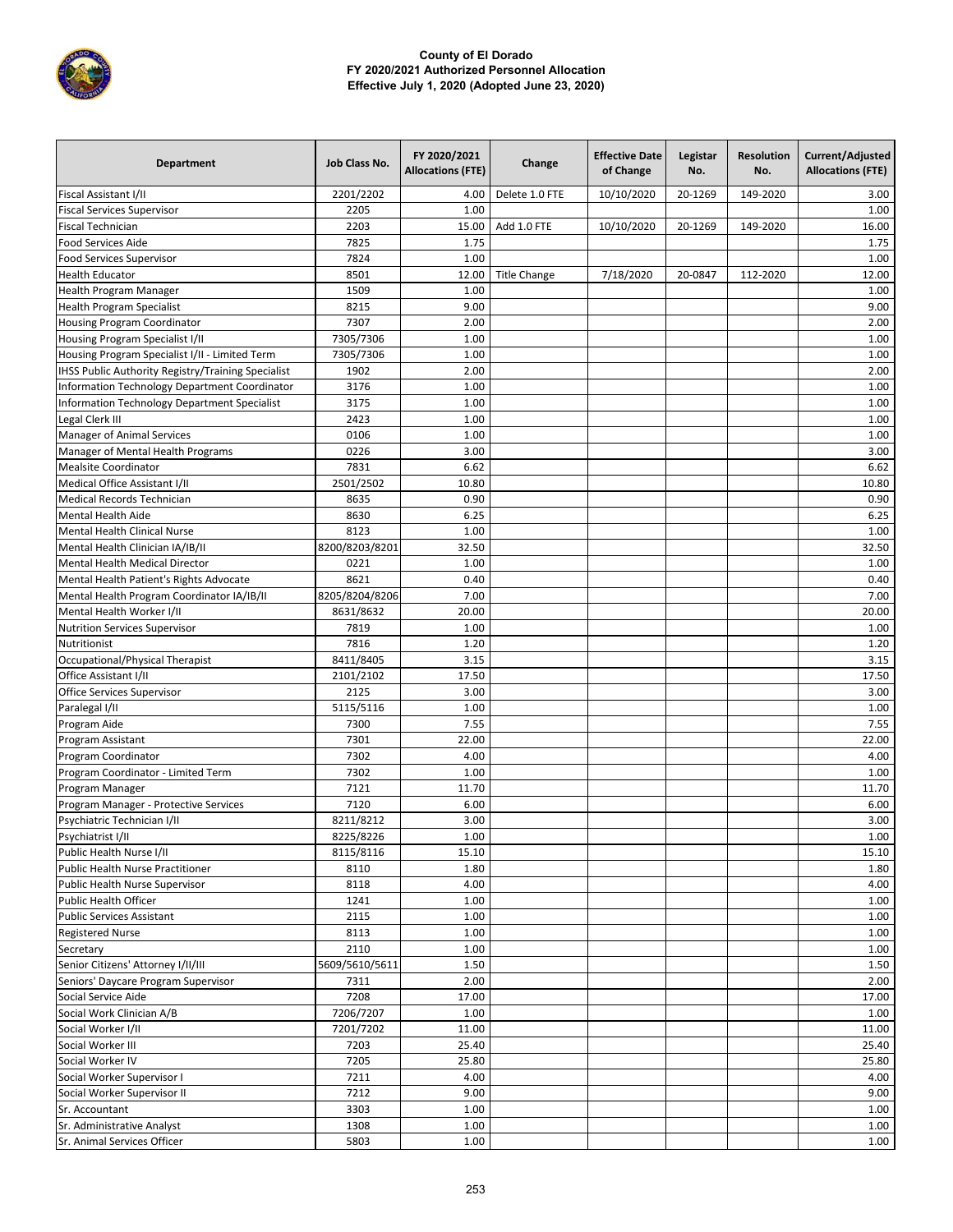

| Department                                          | Job Class No.  | FY 2020/2021<br><b>Allocations (FTE)</b> | Change              | <b>Effective Date</b><br>of Change | Legistar<br>No. | <b>Resolution</b><br>No. | Current/Adjusted<br><b>Allocations (FTE)</b> |
|-----------------------------------------------------|----------------|------------------------------------------|---------------------|------------------------------------|-----------------|--------------------------|----------------------------------------------|
| Fiscal Assistant I/II                               | 2201/2202      | 4.00                                     | Delete 1.0 FTE      | 10/10/2020                         | 20-1269         | 149-2020                 | 3.00                                         |
| <b>Fiscal Services Supervisor</b>                   | 2205           | 1.00                                     |                     |                                    |                 |                          | 1.00                                         |
| <b>Fiscal Technician</b>                            | 2203           | 15.00                                    | Add 1.0 FTE         | 10/10/2020                         | 20-1269         | 149-2020                 | 16.00                                        |
| <b>Food Services Aide</b>                           | 7825           | 1.75                                     |                     |                                    |                 |                          | 1.75                                         |
| <b>Food Services Supervisor</b>                     | 7824           | 1.00                                     |                     |                                    |                 |                          | 1.00                                         |
| <b>Health Educator</b>                              | 8501           | 12.00                                    | <b>Title Change</b> | 7/18/2020                          | 20-0847         | 112-2020                 | 12.00                                        |
| Health Program Manager                              | 1509           | 1.00                                     |                     |                                    |                 |                          | 1.00                                         |
| <b>Health Program Specialist</b>                    | 8215           | 9.00                                     |                     |                                    |                 |                          | 9.00                                         |
| Housing Program Coordinator                         | 7307           | 2.00                                     |                     |                                    |                 |                          | 2.00                                         |
| Housing Program Specialist I/II                     | 7305/7306      | 1.00                                     |                     |                                    |                 |                          | 1.00                                         |
| Housing Program Specialist I/II - Limited Term      | 7305/7306      | 1.00                                     |                     |                                    |                 |                          | 1.00                                         |
| IHSS Public Authority Registry/Training Specialist  | 1902           | 2.00                                     |                     |                                    |                 |                          | 2.00                                         |
| Information Technology Department Coordinator       | 3176           | 1.00                                     |                     |                                    |                 |                          | 1.00                                         |
| <b>Information Technology Department Specialist</b> | 3175           | 1.00                                     |                     |                                    |                 |                          | 1.00                                         |
| Legal Clerk III                                     | 2423           | 1.00                                     |                     |                                    |                 |                          | 1.00                                         |
| <b>Manager of Animal Services</b>                   | 0106           | 1.00                                     |                     |                                    |                 |                          | 1.00                                         |
| Manager of Mental Health Programs                   | 0226           | 3.00                                     |                     |                                    |                 |                          | 3.00                                         |
| <b>Mealsite Coordinator</b>                         | 7831           | 6.62                                     |                     |                                    |                 |                          | 6.62                                         |
| Medical Office Assistant I/II                       | 2501/2502      | 10.80                                    |                     |                                    |                 |                          | 10.80                                        |
| <b>Medical Records Technician</b>                   | 8635           | 0.90                                     |                     |                                    |                 |                          | 0.90                                         |
| <b>Mental Health Aide</b>                           | 8630           | 6.25                                     |                     |                                    |                 |                          | 6.25                                         |
| <b>Mental Health Clinical Nurse</b>                 | 8123           | 1.00                                     |                     |                                    |                 |                          | 1.00                                         |
| Mental Health Clinician IA/IB/II                    | 8200/8203/8201 | 32.50                                    |                     |                                    |                 |                          | 32.50                                        |
| Mental Health Medical Director                      | 0221           | 1.00                                     |                     |                                    |                 |                          | 1.00                                         |
| Mental Health Patient's Rights Advocate             | 8621           | 0.40                                     |                     |                                    |                 |                          | 0.40                                         |
| Mental Health Program Coordinator IA/IB/II          | 8205/8204/8206 | 7.00                                     |                     |                                    |                 |                          | 7.00                                         |
| Mental Health Worker I/II                           | 8631/8632      | 20.00                                    |                     |                                    |                 |                          | 20.00                                        |
| <b>Nutrition Services Supervisor</b>                | 7819           | 1.00                                     |                     |                                    |                 |                          | 1.00                                         |
| Nutritionist                                        | 7816           | 1.20                                     |                     |                                    |                 |                          | 1.20                                         |
| Occupational/Physical Therapist                     | 8411/8405      | 3.15                                     |                     |                                    |                 |                          | 3.15                                         |
| Office Assistant I/II                               | 2101/2102      | 17.50                                    |                     |                                    |                 |                          | 17.50                                        |
| Office Services Supervisor                          | 2125           | 3.00                                     |                     |                                    |                 |                          | 3.00                                         |
| Paralegal I/II                                      | 5115/5116      | 1.00                                     |                     |                                    |                 |                          | 1.00                                         |
| Program Aide                                        | 7300           | 7.55                                     |                     |                                    |                 |                          | 7.55                                         |
| Program Assistant                                   | 7301           | 22.00                                    |                     |                                    |                 |                          | 22.00                                        |
| Program Coordinator                                 | 7302           | 4.00                                     |                     |                                    |                 |                          | 4.00                                         |
| Program Coordinator - Limited Term                  | 7302           | 1.00                                     |                     |                                    |                 |                          | 1.00                                         |
| Program Manager                                     | 7121           | 11.70                                    |                     |                                    |                 |                          | 11.70                                        |
| Program Manager - Protective Services               | 7120           | 6.00                                     |                     |                                    |                 |                          | 6.00                                         |
| Psychiatric Technician I/II                         | 8211/8212      | 3.00                                     |                     |                                    |                 |                          | 3.00                                         |
| Psychiatrist I/II                                   | 8225/8226      | $1.00\,$                                 |                     |                                    |                 |                          | $1.00\,$                                     |
| Public Health Nurse I/II                            | 8115/8116      | 15.10                                    |                     |                                    |                 |                          | 15.10                                        |
| Public Health Nurse Practitioner                    | 8110           | 1.80                                     |                     |                                    |                 |                          | 1.80                                         |
| Public Health Nurse Supervisor                      | 8118           | 4.00                                     |                     |                                    |                 |                          | 4.00                                         |
| Public Health Officer                               | 1241           | 1.00                                     |                     |                                    |                 |                          | 1.00                                         |
| Public Services Assistant                           | 2115           | 1.00                                     |                     |                                    |                 |                          | 1.00                                         |
| <b>Registered Nurse</b>                             | 8113           | 1.00                                     |                     |                                    |                 |                          | 1.00                                         |
| Secretary                                           | 2110           | 1.00                                     |                     |                                    |                 |                          | 1.00                                         |
| Senior Citizens' Attorney I/II/III                  | 5609/5610/5611 | 1.50                                     |                     |                                    |                 |                          | 1.50                                         |
| Seniors' Daycare Program Supervisor                 | 7311           | 2.00                                     |                     |                                    |                 |                          | 2.00                                         |
| Social Service Aide                                 | 7208           | 17.00                                    |                     |                                    |                 |                          | 17.00                                        |
| Social Work Clinician A/B                           | 7206/7207      | 1.00                                     |                     |                                    |                 |                          | 1.00                                         |
| Social Worker I/II                                  | 7201/7202      | 11.00                                    |                     |                                    |                 |                          | 11.00                                        |
| Social Worker III                                   | 7203           | 25.40                                    |                     |                                    |                 |                          | 25.40                                        |
| Social Worker IV                                    | 7205           | 25.80                                    |                     |                                    |                 |                          | 25.80                                        |
| Social Worker Supervisor I                          | 7211           | 4.00                                     |                     |                                    |                 |                          | 4.00                                         |
| Social Worker Supervisor II                         | 7212           | 9.00                                     |                     |                                    |                 |                          | 9.00                                         |
| Sr. Accountant                                      | 3303           | 1.00                                     |                     |                                    |                 |                          | 1.00                                         |
| Sr. Administrative Analyst                          | 1308           | 1.00                                     |                     |                                    |                 |                          | 1.00                                         |
| Sr. Animal Services Officer                         | 5803           | 1.00                                     |                     |                                    |                 |                          | 1.00                                         |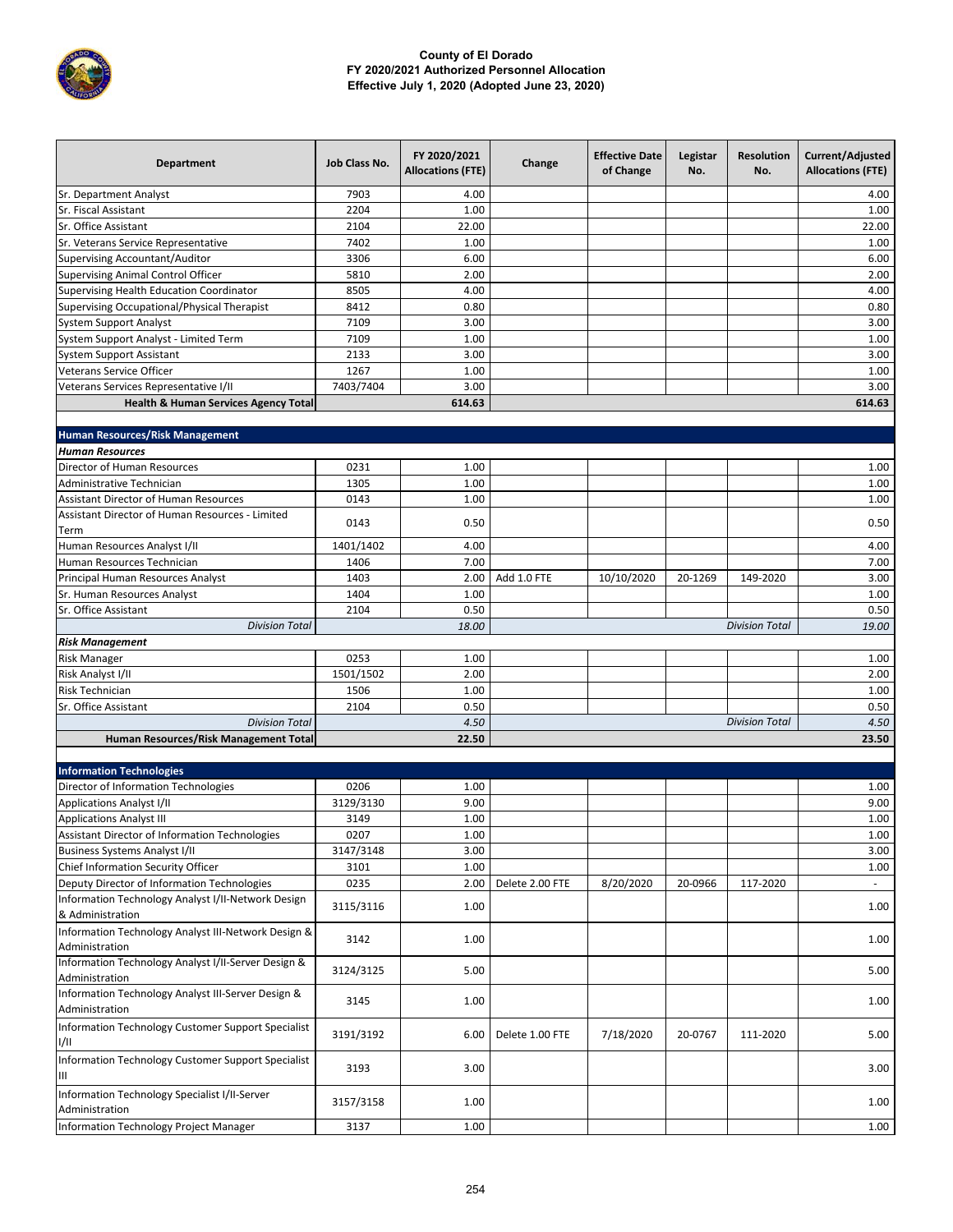

| Sr. Department Analyst<br>7903<br>4.00<br>4.00<br>Sr. Fiscal Assistant<br>2204<br>1.00<br>1.00<br>2104<br>22.00<br>Sr. Office Assistant<br>22.00<br>7402<br>1.00<br>1.00<br>Sr. Veterans Service Representative<br>6.00<br><b>Supervising Accountant/Auditor</b><br>3306<br>6.00<br>5810<br>2.00<br>2.00<br><b>Supervising Animal Control Officer</b><br>8505<br>4.00<br>4.00<br>Supervising Health Education Coordinator<br>8412<br>0.80<br>0.80<br>Supervising Occupational/Physical Therapist<br><b>System Support Analyst</b><br>7109<br>3.00<br>3.00<br>7109<br>System Support Analyst - Limited Term<br>1.00<br>1.00<br>2133<br>3.00<br><b>System Support Assistant</b><br>3.00<br>Veterans Service Officer<br>1267<br>1.00<br>1.00<br>7403/7404<br>3.00<br>Veterans Services Representative I/II<br>3.00<br><b>Health &amp; Human Services Agency Total</b><br>614.63<br>614.63<br><b>Human Resources/Risk Management</b><br><b>Human Resources</b><br>Director of Human Resources<br>0231<br>1.00<br>1.00<br>Administrative Technician<br>1305<br>1.00<br>1.00<br><b>Assistant Director of Human Resources</b><br>0143<br>1.00<br>1.00<br>Assistant Director of Human Resources - Limited<br>0143<br>0.50<br>0.50<br>Term<br>Human Resources Analyst I/II<br>1401/1402<br>4.00<br>4.00<br>1406<br>7.00<br>7.00<br>Human Resources Technician<br>1403<br>Add 1.0 FTE<br>Principal Human Resources Analyst<br>2.00<br>10/10/2020<br>20-1269<br>149-2020<br>3.00<br>Sr. Human Resources Analyst<br>1404<br>1.00<br>1.00<br>2104<br>0.50<br>0.50<br>Sr. Office Assistant<br><b>Division Total</b><br>18.00<br>19.00<br><b>Division Total</b><br><b>Risk Management</b><br><b>Risk Manager</b><br>0253<br>1.00<br>1.00<br>1501/1502<br>Risk Analyst I/II<br>2.00<br>2.00<br><b>Risk Technician</b><br>1.00<br>1.00<br>1506<br>2104<br>0.50<br>0.50<br>Sr. Office Assistant<br>4.50<br><b>Division Total</b><br>4.50<br><b>Division Total</b><br>22.50<br>23.50<br>Human Resources/Risk Management Total<br><b>Information Technologies</b><br>Director of Information Technologies<br>0206<br>1.00<br>1.00<br>3129/3130<br>9.00<br>9.00<br><b>Applications Analyst I/II</b><br><b>Applications Analyst III</b><br>3149<br>1.00<br>1.00<br>0207<br>1.00<br>1.00<br>Assistant Director of Information Technologies<br><b>Business Systems Analyst I/II</b><br>3147/3148<br>3.00<br>3.00<br>Chief Information Security Officer<br>3101<br>1.00<br>1.00<br>Deputy Director of Information Technologies<br>0235<br>Delete 2.00 FTE<br>8/20/2020<br>20-0966<br>117-2020<br>2.00<br>Information Technology Analyst I/II-Network Design<br>3115/3116<br>1.00<br>1.00<br>& Administration<br>Information Technology Analyst III-Network Design &<br>1.00<br>3142<br>1.00<br>Administration<br>Information Technology Analyst I/II-Server Design &<br>3124/3125<br>5.00<br>5.00<br>Administration<br>Information Technology Analyst III-Server Design &<br>3145<br>1.00<br>1.00<br>Administration<br>Information Technology Customer Support Specialist<br>3191/3192<br>Delete 1.00 FTE<br>7/18/2020<br>20-0767<br>111-2020<br>5.00<br>6.00<br>1/11<br>Information Technology Customer Support Specialist<br>3193<br>3.00<br>3.00<br>Ш<br>Information Technology Specialist I/II-Server<br>3157/3158<br>1.00<br>1.00<br>Administration<br>Information Technology Project Manager<br>1.00<br>3137<br>1.00 | <b>Department</b> | Job Class No. | FY 2020/2021<br><b>Allocations (FTE)</b> | Change | <b>Effective Date</b><br>of Change | Legistar<br>No. | <b>Resolution</b><br>No. | Current/Adjusted<br><b>Allocations (FTE)</b> |
|---------------------------------------------------------------------------------------------------------------------------------------------------------------------------------------------------------------------------------------------------------------------------------------------------------------------------------------------------------------------------------------------------------------------------------------------------------------------------------------------------------------------------------------------------------------------------------------------------------------------------------------------------------------------------------------------------------------------------------------------------------------------------------------------------------------------------------------------------------------------------------------------------------------------------------------------------------------------------------------------------------------------------------------------------------------------------------------------------------------------------------------------------------------------------------------------------------------------------------------------------------------------------------------------------------------------------------------------------------------------------------------------------------------------------------------------------------------------------------------------------------------------------------------------------------------------------------------------------------------------------------------------------------------------------------------------------------------------------------------------------------------------------------------------------------------------------------------------------------------------------------------------------------------------------------------------------------------------------------------------------------------------------------------------------------------------------------------------------------------------------------------------------------------------------------------------------------------------------------------------------------------------------------------------------------------------------------------------------------------------------------------------------------------------------------------------------------------------------------------------------------------------------------------------------------------------------------------------------------------------------------------------------------------------------------------------------------------------------------------------------------------------------------------------------------------------------------------------------------------------------------------------------------------------------------------------------------------------------------------------------------------------------------------------------------------------------------------------------------------------------------------------------------------------------------------------------------------------------------------------------------------------------------------------------------------------------------------------------------------------------------------------------|-------------------|---------------|------------------------------------------|--------|------------------------------------|-----------------|--------------------------|----------------------------------------------|
|                                                                                                                                                                                                                                                                                                                                                                                                                                                                                                                                                                                                                                                                                                                                                                                                                                                                                                                                                                                                                                                                                                                                                                                                                                                                                                                                                                                                                                                                                                                                                                                                                                                                                                                                                                                                                                                                                                                                                                                                                                                                                                                                                                                                                                                                                                                                                                                                                                                                                                                                                                                                                                                                                                                                                                                                                                                                                                                                                                                                                                                                                                                                                                                                                                                                                                                                                                                                   |                   |               |                                          |        |                                    |                 |                          |                                              |
|                                                                                                                                                                                                                                                                                                                                                                                                                                                                                                                                                                                                                                                                                                                                                                                                                                                                                                                                                                                                                                                                                                                                                                                                                                                                                                                                                                                                                                                                                                                                                                                                                                                                                                                                                                                                                                                                                                                                                                                                                                                                                                                                                                                                                                                                                                                                                                                                                                                                                                                                                                                                                                                                                                                                                                                                                                                                                                                                                                                                                                                                                                                                                                                                                                                                                                                                                                                                   |                   |               |                                          |        |                                    |                 |                          |                                              |
|                                                                                                                                                                                                                                                                                                                                                                                                                                                                                                                                                                                                                                                                                                                                                                                                                                                                                                                                                                                                                                                                                                                                                                                                                                                                                                                                                                                                                                                                                                                                                                                                                                                                                                                                                                                                                                                                                                                                                                                                                                                                                                                                                                                                                                                                                                                                                                                                                                                                                                                                                                                                                                                                                                                                                                                                                                                                                                                                                                                                                                                                                                                                                                                                                                                                                                                                                                                                   |                   |               |                                          |        |                                    |                 |                          |                                              |
|                                                                                                                                                                                                                                                                                                                                                                                                                                                                                                                                                                                                                                                                                                                                                                                                                                                                                                                                                                                                                                                                                                                                                                                                                                                                                                                                                                                                                                                                                                                                                                                                                                                                                                                                                                                                                                                                                                                                                                                                                                                                                                                                                                                                                                                                                                                                                                                                                                                                                                                                                                                                                                                                                                                                                                                                                                                                                                                                                                                                                                                                                                                                                                                                                                                                                                                                                                                                   |                   |               |                                          |        |                                    |                 |                          |                                              |
|                                                                                                                                                                                                                                                                                                                                                                                                                                                                                                                                                                                                                                                                                                                                                                                                                                                                                                                                                                                                                                                                                                                                                                                                                                                                                                                                                                                                                                                                                                                                                                                                                                                                                                                                                                                                                                                                                                                                                                                                                                                                                                                                                                                                                                                                                                                                                                                                                                                                                                                                                                                                                                                                                                                                                                                                                                                                                                                                                                                                                                                                                                                                                                                                                                                                                                                                                                                                   |                   |               |                                          |        |                                    |                 |                          |                                              |
|                                                                                                                                                                                                                                                                                                                                                                                                                                                                                                                                                                                                                                                                                                                                                                                                                                                                                                                                                                                                                                                                                                                                                                                                                                                                                                                                                                                                                                                                                                                                                                                                                                                                                                                                                                                                                                                                                                                                                                                                                                                                                                                                                                                                                                                                                                                                                                                                                                                                                                                                                                                                                                                                                                                                                                                                                                                                                                                                                                                                                                                                                                                                                                                                                                                                                                                                                                                                   |                   |               |                                          |        |                                    |                 |                          |                                              |
|                                                                                                                                                                                                                                                                                                                                                                                                                                                                                                                                                                                                                                                                                                                                                                                                                                                                                                                                                                                                                                                                                                                                                                                                                                                                                                                                                                                                                                                                                                                                                                                                                                                                                                                                                                                                                                                                                                                                                                                                                                                                                                                                                                                                                                                                                                                                                                                                                                                                                                                                                                                                                                                                                                                                                                                                                                                                                                                                                                                                                                                                                                                                                                                                                                                                                                                                                                                                   |                   |               |                                          |        |                                    |                 |                          |                                              |
|                                                                                                                                                                                                                                                                                                                                                                                                                                                                                                                                                                                                                                                                                                                                                                                                                                                                                                                                                                                                                                                                                                                                                                                                                                                                                                                                                                                                                                                                                                                                                                                                                                                                                                                                                                                                                                                                                                                                                                                                                                                                                                                                                                                                                                                                                                                                                                                                                                                                                                                                                                                                                                                                                                                                                                                                                                                                                                                                                                                                                                                                                                                                                                                                                                                                                                                                                                                                   |                   |               |                                          |        |                                    |                 |                          |                                              |
|                                                                                                                                                                                                                                                                                                                                                                                                                                                                                                                                                                                                                                                                                                                                                                                                                                                                                                                                                                                                                                                                                                                                                                                                                                                                                                                                                                                                                                                                                                                                                                                                                                                                                                                                                                                                                                                                                                                                                                                                                                                                                                                                                                                                                                                                                                                                                                                                                                                                                                                                                                                                                                                                                                                                                                                                                                                                                                                                                                                                                                                                                                                                                                                                                                                                                                                                                                                                   |                   |               |                                          |        |                                    |                 |                          |                                              |
|                                                                                                                                                                                                                                                                                                                                                                                                                                                                                                                                                                                                                                                                                                                                                                                                                                                                                                                                                                                                                                                                                                                                                                                                                                                                                                                                                                                                                                                                                                                                                                                                                                                                                                                                                                                                                                                                                                                                                                                                                                                                                                                                                                                                                                                                                                                                                                                                                                                                                                                                                                                                                                                                                                                                                                                                                                                                                                                                                                                                                                                                                                                                                                                                                                                                                                                                                                                                   |                   |               |                                          |        |                                    |                 |                          |                                              |
|                                                                                                                                                                                                                                                                                                                                                                                                                                                                                                                                                                                                                                                                                                                                                                                                                                                                                                                                                                                                                                                                                                                                                                                                                                                                                                                                                                                                                                                                                                                                                                                                                                                                                                                                                                                                                                                                                                                                                                                                                                                                                                                                                                                                                                                                                                                                                                                                                                                                                                                                                                                                                                                                                                                                                                                                                                                                                                                                                                                                                                                                                                                                                                                                                                                                                                                                                                                                   |                   |               |                                          |        |                                    |                 |                          |                                              |
|                                                                                                                                                                                                                                                                                                                                                                                                                                                                                                                                                                                                                                                                                                                                                                                                                                                                                                                                                                                                                                                                                                                                                                                                                                                                                                                                                                                                                                                                                                                                                                                                                                                                                                                                                                                                                                                                                                                                                                                                                                                                                                                                                                                                                                                                                                                                                                                                                                                                                                                                                                                                                                                                                                                                                                                                                                                                                                                                                                                                                                                                                                                                                                                                                                                                                                                                                                                                   |                   |               |                                          |        |                                    |                 |                          |                                              |
|                                                                                                                                                                                                                                                                                                                                                                                                                                                                                                                                                                                                                                                                                                                                                                                                                                                                                                                                                                                                                                                                                                                                                                                                                                                                                                                                                                                                                                                                                                                                                                                                                                                                                                                                                                                                                                                                                                                                                                                                                                                                                                                                                                                                                                                                                                                                                                                                                                                                                                                                                                                                                                                                                                                                                                                                                                                                                                                                                                                                                                                                                                                                                                                                                                                                                                                                                                                                   |                   |               |                                          |        |                                    |                 |                          |                                              |
|                                                                                                                                                                                                                                                                                                                                                                                                                                                                                                                                                                                                                                                                                                                                                                                                                                                                                                                                                                                                                                                                                                                                                                                                                                                                                                                                                                                                                                                                                                                                                                                                                                                                                                                                                                                                                                                                                                                                                                                                                                                                                                                                                                                                                                                                                                                                                                                                                                                                                                                                                                                                                                                                                                                                                                                                                                                                                                                                                                                                                                                                                                                                                                                                                                                                                                                                                                                                   |                   |               |                                          |        |                                    |                 |                          |                                              |
|                                                                                                                                                                                                                                                                                                                                                                                                                                                                                                                                                                                                                                                                                                                                                                                                                                                                                                                                                                                                                                                                                                                                                                                                                                                                                                                                                                                                                                                                                                                                                                                                                                                                                                                                                                                                                                                                                                                                                                                                                                                                                                                                                                                                                                                                                                                                                                                                                                                                                                                                                                                                                                                                                                                                                                                                                                                                                                                                                                                                                                                                                                                                                                                                                                                                                                                                                                                                   |                   |               |                                          |        |                                    |                 |                          |                                              |
|                                                                                                                                                                                                                                                                                                                                                                                                                                                                                                                                                                                                                                                                                                                                                                                                                                                                                                                                                                                                                                                                                                                                                                                                                                                                                                                                                                                                                                                                                                                                                                                                                                                                                                                                                                                                                                                                                                                                                                                                                                                                                                                                                                                                                                                                                                                                                                                                                                                                                                                                                                                                                                                                                                                                                                                                                                                                                                                                                                                                                                                                                                                                                                                                                                                                                                                                                                                                   |                   |               |                                          |        |                                    |                 |                          |                                              |
|                                                                                                                                                                                                                                                                                                                                                                                                                                                                                                                                                                                                                                                                                                                                                                                                                                                                                                                                                                                                                                                                                                                                                                                                                                                                                                                                                                                                                                                                                                                                                                                                                                                                                                                                                                                                                                                                                                                                                                                                                                                                                                                                                                                                                                                                                                                                                                                                                                                                                                                                                                                                                                                                                                                                                                                                                                                                                                                                                                                                                                                                                                                                                                                                                                                                                                                                                                                                   |                   |               |                                          |        |                                    |                 |                          |                                              |
|                                                                                                                                                                                                                                                                                                                                                                                                                                                                                                                                                                                                                                                                                                                                                                                                                                                                                                                                                                                                                                                                                                                                                                                                                                                                                                                                                                                                                                                                                                                                                                                                                                                                                                                                                                                                                                                                                                                                                                                                                                                                                                                                                                                                                                                                                                                                                                                                                                                                                                                                                                                                                                                                                                                                                                                                                                                                                                                                                                                                                                                                                                                                                                                                                                                                                                                                                                                                   |                   |               |                                          |        |                                    |                 |                          |                                              |
|                                                                                                                                                                                                                                                                                                                                                                                                                                                                                                                                                                                                                                                                                                                                                                                                                                                                                                                                                                                                                                                                                                                                                                                                                                                                                                                                                                                                                                                                                                                                                                                                                                                                                                                                                                                                                                                                                                                                                                                                                                                                                                                                                                                                                                                                                                                                                                                                                                                                                                                                                                                                                                                                                                                                                                                                                                                                                                                                                                                                                                                                                                                                                                                                                                                                                                                                                                                                   |                   |               |                                          |        |                                    |                 |                          |                                              |
|                                                                                                                                                                                                                                                                                                                                                                                                                                                                                                                                                                                                                                                                                                                                                                                                                                                                                                                                                                                                                                                                                                                                                                                                                                                                                                                                                                                                                                                                                                                                                                                                                                                                                                                                                                                                                                                                                                                                                                                                                                                                                                                                                                                                                                                                                                                                                                                                                                                                                                                                                                                                                                                                                                                                                                                                                                                                                                                                                                                                                                                                                                                                                                                                                                                                                                                                                                                                   |                   |               |                                          |        |                                    |                 |                          |                                              |
|                                                                                                                                                                                                                                                                                                                                                                                                                                                                                                                                                                                                                                                                                                                                                                                                                                                                                                                                                                                                                                                                                                                                                                                                                                                                                                                                                                                                                                                                                                                                                                                                                                                                                                                                                                                                                                                                                                                                                                                                                                                                                                                                                                                                                                                                                                                                                                                                                                                                                                                                                                                                                                                                                                                                                                                                                                                                                                                                                                                                                                                                                                                                                                                                                                                                                                                                                                                                   |                   |               |                                          |        |                                    |                 |                          |                                              |
|                                                                                                                                                                                                                                                                                                                                                                                                                                                                                                                                                                                                                                                                                                                                                                                                                                                                                                                                                                                                                                                                                                                                                                                                                                                                                                                                                                                                                                                                                                                                                                                                                                                                                                                                                                                                                                                                                                                                                                                                                                                                                                                                                                                                                                                                                                                                                                                                                                                                                                                                                                                                                                                                                                                                                                                                                                                                                                                                                                                                                                                                                                                                                                                                                                                                                                                                                                                                   |                   |               |                                          |        |                                    |                 |                          |                                              |
|                                                                                                                                                                                                                                                                                                                                                                                                                                                                                                                                                                                                                                                                                                                                                                                                                                                                                                                                                                                                                                                                                                                                                                                                                                                                                                                                                                                                                                                                                                                                                                                                                                                                                                                                                                                                                                                                                                                                                                                                                                                                                                                                                                                                                                                                                                                                                                                                                                                                                                                                                                                                                                                                                                                                                                                                                                                                                                                                                                                                                                                                                                                                                                                                                                                                                                                                                                                                   |                   |               |                                          |        |                                    |                 |                          |                                              |
|                                                                                                                                                                                                                                                                                                                                                                                                                                                                                                                                                                                                                                                                                                                                                                                                                                                                                                                                                                                                                                                                                                                                                                                                                                                                                                                                                                                                                                                                                                                                                                                                                                                                                                                                                                                                                                                                                                                                                                                                                                                                                                                                                                                                                                                                                                                                                                                                                                                                                                                                                                                                                                                                                                                                                                                                                                                                                                                                                                                                                                                                                                                                                                                                                                                                                                                                                                                                   |                   |               |                                          |        |                                    |                 |                          |                                              |
|                                                                                                                                                                                                                                                                                                                                                                                                                                                                                                                                                                                                                                                                                                                                                                                                                                                                                                                                                                                                                                                                                                                                                                                                                                                                                                                                                                                                                                                                                                                                                                                                                                                                                                                                                                                                                                                                                                                                                                                                                                                                                                                                                                                                                                                                                                                                                                                                                                                                                                                                                                                                                                                                                                                                                                                                                                                                                                                                                                                                                                                                                                                                                                                                                                                                                                                                                                                                   |                   |               |                                          |        |                                    |                 |                          |                                              |
|                                                                                                                                                                                                                                                                                                                                                                                                                                                                                                                                                                                                                                                                                                                                                                                                                                                                                                                                                                                                                                                                                                                                                                                                                                                                                                                                                                                                                                                                                                                                                                                                                                                                                                                                                                                                                                                                                                                                                                                                                                                                                                                                                                                                                                                                                                                                                                                                                                                                                                                                                                                                                                                                                                                                                                                                                                                                                                                                                                                                                                                                                                                                                                                                                                                                                                                                                                                                   |                   |               |                                          |        |                                    |                 |                          |                                              |
|                                                                                                                                                                                                                                                                                                                                                                                                                                                                                                                                                                                                                                                                                                                                                                                                                                                                                                                                                                                                                                                                                                                                                                                                                                                                                                                                                                                                                                                                                                                                                                                                                                                                                                                                                                                                                                                                                                                                                                                                                                                                                                                                                                                                                                                                                                                                                                                                                                                                                                                                                                                                                                                                                                                                                                                                                                                                                                                                                                                                                                                                                                                                                                                                                                                                                                                                                                                                   |                   |               |                                          |        |                                    |                 |                          |                                              |
|                                                                                                                                                                                                                                                                                                                                                                                                                                                                                                                                                                                                                                                                                                                                                                                                                                                                                                                                                                                                                                                                                                                                                                                                                                                                                                                                                                                                                                                                                                                                                                                                                                                                                                                                                                                                                                                                                                                                                                                                                                                                                                                                                                                                                                                                                                                                                                                                                                                                                                                                                                                                                                                                                                                                                                                                                                                                                                                                                                                                                                                                                                                                                                                                                                                                                                                                                                                                   |                   |               |                                          |        |                                    |                 |                          |                                              |
|                                                                                                                                                                                                                                                                                                                                                                                                                                                                                                                                                                                                                                                                                                                                                                                                                                                                                                                                                                                                                                                                                                                                                                                                                                                                                                                                                                                                                                                                                                                                                                                                                                                                                                                                                                                                                                                                                                                                                                                                                                                                                                                                                                                                                                                                                                                                                                                                                                                                                                                                                                                                                                                                                                                                                                                                                                                                                                                                                                                                                                                                                                                                                                                                                                                                                                                                                                                                   |                   |               |                                          |        |                                    |                 |                          |                                              |
|                                                                                                                                                                                                                                                                                                                                                                                                                                                                                                                                                                                                                                                                                                                                                                                                                                                                                                                                                                                                                                                                                                                                                                                                                                                                                                                                                                                                                                                                                                                                                                                                                                                                                                                                                                                                                                                                                                                                                                                                                                                                                                                                                                                                                                                                                                                                                                                                                                                                                                                                                                                                                                                                                                                                                                                                                                                                                                                                                                                                                                                                                                                                                                                                                                                                                                                                                                                                   |                   |               |                                          |        |                                    |                 |                          |                                              |
|                                                                                                                                                                                                                                                                                                                                                                                                                                                                                                                                                                                                                                                                                                                                                                                                                                                                                                                                                                                                                                                                                                                                                                                                                                                                                                                                                                                                                                                                                                                                                                                                                                                                                                                                                                                                                                                                                                                                                                                                                                                                                                                                                                                                                                                                                                                                                                                                                                                                                                                                                                                                                                                                                                                                                                                                                                                                                                                                                                                                                                                                                                                                                                                                                                                                                                                                                                                                   |                   |               |                                          |        |                                    |                 |                          |                                              |
|                                                                                                                                                                                                                                                                                                                                                                                                                                                                                                                                                                                                                                                                                                                                                                                                                                                                                                                                                                                                                                                                                                                                                                                                                                                                                                                                                                                                                                                                                                                                                                                                                                                                                                                                                                                                                                                                                                                                                                                                                                                                                                                                                                                                                                                                                                                                                                                                                                                                                                                                                                                                                                                                                                                                                                                                                                                                                                                                                                                                                                                                                                                                                                                                                                                                                                                                                                                                   |                   |               |                                          |        |                                    |                 |                          |                                              |
|                                                                                                                                                                                                                                                                                                                                                                                                                                                                                                                                                                                                                                                                                                                                                                                                                                                                                                                                                                                                                                                                                                                                                                                                                                                                                                                                                                                                                                                                                                                                                                                                                                                                                                                                                                                                                                                                                                                                                                                                                                                                                                                                                                                                                                                                                                                                                                                                                                                                                                                                                                                                                                                                                                                                                                                                                                                                                                                                                                                                                                                                                                                                                                                                                                                                                                                                                                                                   |                   |               |                                          |        |                                    |                 |                          |                                              |
|                                                                                                                                                                                                                                                                                                                                                                                                                                                                                                                                                                                                                                                                                                                                                                                                                                                                                                                                                                                                                                                                                                                                                                                                                                                                                                                                                                                                                                                                                                                                                                                                                                                                                                                                                                                                                                                                                                                                                                                                                                                                                                                                                                                                                                                                                                                                                                                                                                                                                                                                                                                                                                                                                                                                                                                                                                                                                                                                                                                                                                                                                                                                                                                                                                                                                                                                                                                                   |                   |               |                                          |        |                                    |                 |                          |                                              |
|                                                                                                                                                                                                                                                                                                                                                                                                                                                                                                                                                                                                                                                                                                                                                                                                                                                                                                                                                                                                                                                                                                                                                                                                                                                                                                                                                                                                                                                                                                                                                                                                                                                                                                                                                                                                                                                                                                                                                                                                                                                                                                                                                                                                                                                                                                                                                                                                                                                                                                                                                                                                                                                                                                                                                                                                                                                                                                                                                                                                                                                                                                                                                                                                                                                                                                                                                                                                   |                   |               |                                          |        |                                    |                 |                          |                                              |
|                                                                                                                                                                                                                                                                                                                                                                                                                                                                                                                                                                                                                                                                                                                                                                                                                                                                                                                                                                                                                                                                                                                                                                                                                                                                                                                                                                                                                                                                                                                                                                                                                                                                                                                                                                                                                                                                                                                                                                                                                                                                                                                                                                                                                                                                                                                                                                                                                                                                                                                                                                                                                                                                                                                                                                                                                                                                                                                                                                                                                                                                                                                                                                                                                                                                                                                                                                                                   |                   |               |                                          |        |                                    |                 |                          |                                              |
|                                                                                                                                                                                                                                                                                                                                                                                                                                                                                                                                                                                                                                                                                                                                                                                                                                                                                                                                                                                                                                                                                                                                                                                                                                                                                                                                                                                                                                                                                                                                                                                                                                                                                                                                                                                                                                                                                                                                                                                                                                                                                                                                                                                                                                                                                                                                                                                                                                                                                                                                                                                                                                                                                                                                                                                                                                                                                                                                                                                                                                                                                                                                                                                                                                                                                                                                                                                                   |                   |               |                                          |        |                                    |                 |                          |                                              |
|                                                                                                                                                                                                                                                                                                                                                                                                                                                                                                                                                                                                                                                                                                                                                                                                                                                                                                                                                                                                                                                                                                                                                                                                                                                                                                                                                                                                                                                                                                                                                                                                                                                                                                                                                                                                                                                                                                                                                                                                                                                                                                                                                                                                                                                                                                                                                                                                                                                                                                                                                                                                                                                                                                                                                                                                                                                                                                                                                                                                                                                                                                                                                                                                                                                                                                                                                                                                   |                   |               |                                          |        |                                    |                 |                          |                                              |
|                                                                                                                                                                                                                                                                                                                                                                                                                                                                                                                                                                                                                                                                                                                                                                                                                                                                                                                                                                                                                                                                                                                                                                                                                                                                                                                                                                                                                                                                                                                                                                                                                                                                                                                                                                                                                                                                                                                                                                                                                                                                                                                                                                                                                                                                                                                                                                                                                                                                                                                                                                                                                                                                                                                                                                                                                                                                                                                                                                                                                                                                                                                                                                                                                                                                                                                                                                                                   |                   |               |                                          |        |                                    |                 |                          |                                              |
|                                                                                                                                                                                                                                                                                                                                                                                                                                                                                                                                                                                                                                                                                                                                                                                                                                                                                                                                                                                                                                                                                                                                                                                                                                                                                                                                                                                                                                                                                                                                                                                                                                                                                                                                                                                                                                                                                                                                                                                                                                                                                                                                                                                                                                                                                                                                                                                                                                                                                                                                                                                                                                                                                                                                                                                                                                                                                                                                                                                                                                                                                                                                                                                                                                                                                                                                                                                                   |                   |               |                                          |        |                                    |                 |                          |                                              |
|                                                                                                                                                                                                                                                                                                                                                                                                                                                                                                                                                                                                                                                                                                                                                                                                                                                                                                                                                                                                                                                                                                                                                                                                                                                                                                                                                                                                                                                                                                                                                                                                                                                                                                                                                                                                                                                                                                                                                                                                                                                                                                                                                                                                                                                                                                                                                                                                                                                                                                                                                                                                                                                                                                                                                                                                                                                                                                                                                                                                                                                                                                                                                                                                                                                                                                                                                                                                   |                   |               |                                          |        |                                    |                 |                          |                                              |
|                                                                                                                                                                                                                                                                                                                                                                                                                                                                                                                                                                                                                                                                                                                                                                                                                                                                                                                                                                                                                                                                                                                                                                                                                                                                                                                                                                                                                                                                                                                                                                                                                                                                                                                                                                                                                                                                                                                                                                                                                                                                                                                                                                                                                                                                                                                                                                                                                                                                                                                                                                                                                                                                                                                                                                                                                                                                                                                                                                                                                                                                                                                                                                                                                                                                                                                                                                                                   |                   |               |                                          |        |                                    |                 |                          |                                              |
|                                                                                                                                                                                                                                                                                                                                                                                                                                                                                                                                                                                                                                                                                                                                                                                                                                                                                                                                                                                                                                                                                                                                                                                                                                                                                                                                                                                                                                                                                                                                                                                                                                                                                                                                                                                                                                                                                                                                                                                                                                                                                                                                                                                                                                                                                                                                                                                                                                                                                                                                                                                                                                                                                                                                                                                                                                                                                                                                                                                                                                                                                                                                                                                                                                                                                                                                                                                                   |                   |               |                                          |        |                                    |                 |                          |                                              |
|                                                                                                                                                                                                                                                                                                                                                                                                                                                                                                                                                                                                                                                                                                                                                                                                                                                                                                                                                                                                                                                                                                                                                                                                                                                                                                                                                                                                                                                                                                                                                                                                                                                                                                                                                                                                                                                                                                                                                                                                                                                                                                                                                                                                                                                                                                                                                                                                                                                                                                                                                                                                                                                                                                                                                                                                                                                                                                                                                                                                                                                                                                                                                                                                                                                                                                                                                                                                   |                   |               |                                          |        |                                    |                 |                          |                                              |
|                                                                                                                                                                                                                                                                                                                                                                                                                                                                                                                                                                                                                                                                                                                                                                                                                                                                                                                                                                                                                                                                                                                                                                                                                                                                                                                                                                                                                                                                                                                                                                                                                                                                                                                                                                                                                                                                                                                                                                                                                                                                                                                                                                                                                                                                                                                                                                                                                                                                                                                                                                                                                                                                                                                                                                                                                                                                                                                                                                                                                                                                                                                                                                                                                                                                                                                                                                                                   |                   |               |                                          |        |                                    |                 |                          |                                              |
|                                                                                                                                                                                                                                                                                                                                                                                                                                                                                                                                                                                                                                                                                                                                                                                                                                                                                                                                                                                                                                                                                                                                                                                                                                                                                                                                                                                                                                                                                                                                                                                                                                                                                                                                                                                                                                                                                                                                                                                                                                                                                                                                                                                                                                                                                                                                                                                                                                                                                                                                                                                                                                                                                                                                                                                                                                                                                                                                                                                                                                                                                                                                                                                                                                                                                                                                                                                                   |                   |               |                                          |        |                                    |                 |                          |                                              |
|                                                                                                                                                                                                                                                                                                                                                                                                                                                                                                                                                                                                                                                                                                                                                                                                                                                                                                                                                                                                                                                                                                                                                                                                                                                                                                                                                                                                                                                                                                                                                                                                                                                                                                                                                                                                                                                                                                                                                                                                                                                                                                                                                                                                                                                                                                                                                                                                                                                                                                                                                                                                                                                                                                                                                                                                                                                                                                                                                                                                                                                                                                                                                                                                                                                                                                                                                                                                   |                   |               |                                          |        |                                    |                 |                          |                                              |
|                                                                                                                                                                                                                                                                                                                                                                                                                                                                                                                                                                                                                                                                                                                                                                                                                                                                                                                                                                                                                                                                                                                                                                                                                                                                                                                                                                                                                                                                                                                                                                                                                                                                                                                                                                                                                                                                                                                                                                                                                                                                                                                                                                                                                                                                                                                                                                                                                                                                                                                                                                                                                                                                                                                                                                                                                                                                                                                                                                                                                                                                                                                                                                                                                                                                                                                                                                                                   |                   |               |                                          |        |                                    |                 |                          |                                              |
|                                                                                                                                                                                                                                                                                                                                                                                                                                                                                                                                                                                                                                                                                                                                                                                                                                                                                                                                                                                                                                                                                                                                                                                                                                                                                                                                                                                                                                                                                                                                                                                                                                                                                                                                                                                                                                                                                                                                                                                                                                                                                                                                                                                                                                                                                                                                                                                                                                                                                                                                                                                                                                                                                                                                                                                                                                                                                                                                                                                                                                                                                                                                                                                                                                                                                                                                                                                                   |                   |               |                                          |        |                                    |                 |                          |                                              |
|                                                                                                                                                                                                                                                                                                                                                                                                                                                                                                                                                                                                                                                                                                                                                                                                                                                                                                                                                                                                                                                                                                                                                                                                                                                                                                                                                                                                                                                                                                                                                                                                                                                                                                                                                                                                                                                                                                                                                                                                                                                                                                                                                                                                                                                                                                                                                                                                                                                                                                                                                                                                                                                                                                                                                                                                                                                                                                                                                                                                                                                                                                                                                                                                                                                                                                                                                                                                   |                   |               |                                          |        |                                    |                 |                          |                                              |
|                                                                                                                                                                                                                                                                                                                                                                                                                                                                                                                                                                                                                                                                                                                                                                                                                                                                                                                                                                                                                                                                                                                                                                                                                                                                                                                                                                                                                                                                                                                                                                                                                                                                                                                                                                                                                                                                                                                                                                                                                                                                                                                                                                                                                                                                                                                                                                                                                                                                                                                                                                                                                                                                                                                                                                                                                                                                                                                                                                                                                                                                                                                                                                                                                                                                                                                                                                                                   |                   |               |                                          |        |                                    |                 |                          |                                              |
|                                                                                                                                                                                                                                                                                                                                                                                                                                                                                                                                                                                                                                                                                                                                                                                                                                                                                                                                                                                                                                                                                                                                                                                                                                                                                                                                                                                                                                                                                                                                                                                                                                                                                                                                                                                                                                                                                                                                                                                                                                                                                                                                                                                                                                                                                                                                                                                                                                                                                                                                                                                                                                                                                                                                                                                                                                                                                                                                                                                                                                                                                                                                                                                                                                                                                                                                                                                                   |                   |               |                                          |        |                                    |                 |                          |                                              |
|                                                                                                                                                                                                                                                                                                                                                                                                                                                                                                                                                                                                                                                                                                                                                                                                                                                                                                                                                                                                                                                                                                                                                                                                                                                                                                                                                                                                                                                                                                                                                                                                                                                                                                                                                                                                                                                                                                                                                                                                                                                                                                                                                                                                                                                                                                                                                                                                                                                                                                                                                                                                                                                                                                                                                                                                                                                                                                                                                                                                                                                                                                                                                                                                                                                                                                                                                                                                   |                   |               |                                          |        |                                    |                 |                          |                                              |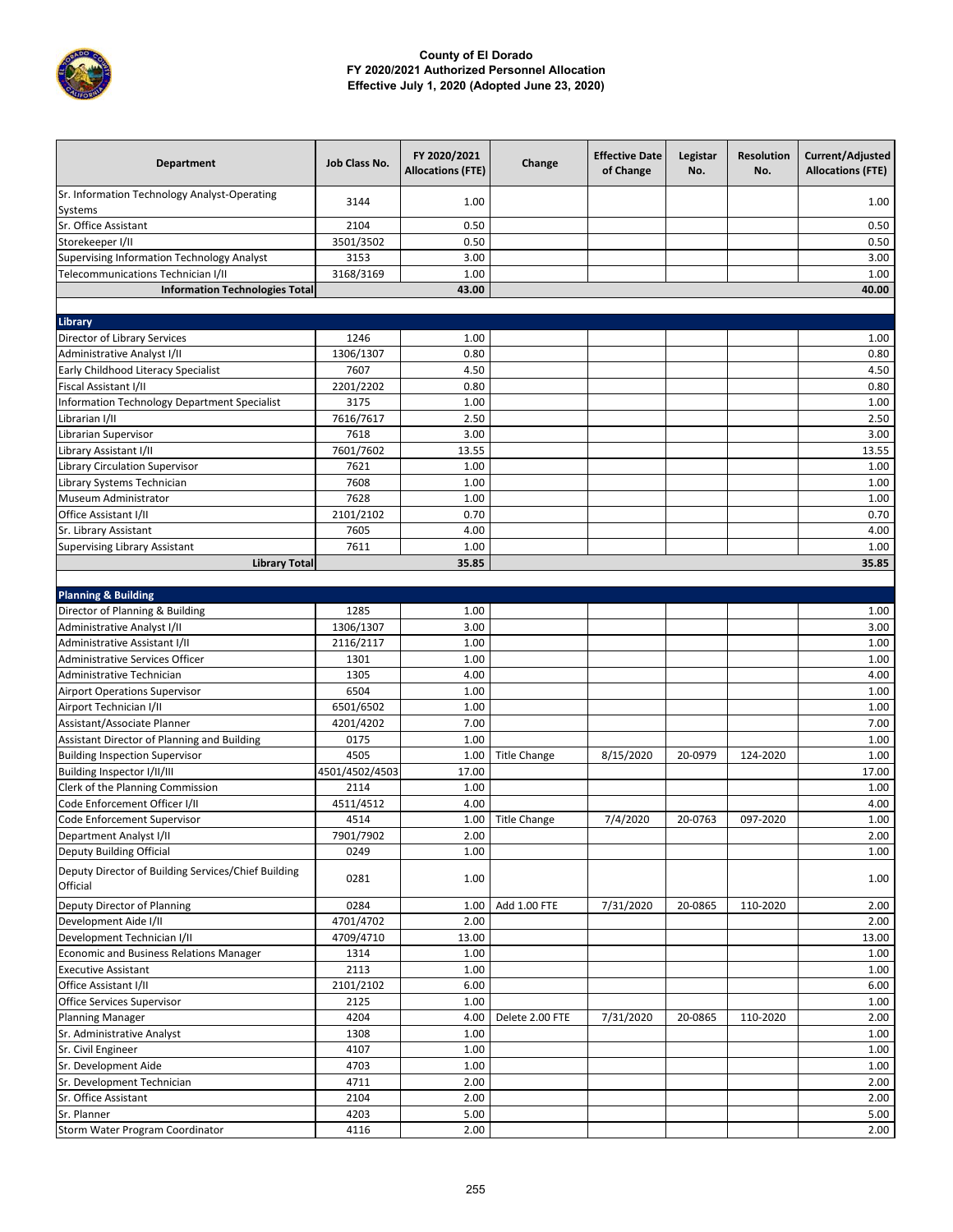

| Department                                                      | Job Class No.  | FY 2020/2021<br><b>Allocations (FTE)</b> | Change              | <b>Effective Date</b><br>of Change | Legistar<br>No. | <b>Resolution</b><br>No. | Current/Adjusted<br><b>Allocations (FTE)</b> |
|-----------------------------------------------------------------|----------------|------------------------------------------|---------------------|------------------------------------|-----------------|--------------------------|----------------------------------------------|
| Sr. Information Technology Analyst-Operating<br>Systems         | 3144           | 1.00                                     |                     |                                    |                 |                          | 1.00                                         |
| Sr. Office Assistant                                            | 2104           | 0.50                                     |                     |                                    |                 |                          | 0.50                                         |
| Storekeeper I/II                                                | 3501/3502      | 0.50                                     |                     |                                    |                 |                          | 0.50                                         |
| <b>Supervising Information Technology Analyst</b>               | 3153           | 3.00                                     |                     |                                    |                 |                          | 3.00                                         |
| Telecommunications Technician I/II                              | 3168/3169      | 1.00                                     |                     |                                    |                 |                          | 1.00                                         |
| <b>Information Technologies Total</b>                           |                | 43.00                                    |                     |                                    |                 |                          | 40.00                                        |
|                                                                 |                |                                          |                     |                                    |                 |                          |                                              |
| Library                                                         |                |                                          |                     |                                    |                 |                          |                                              |
| <b>Director of Library Services</b>                             | 1246           | 1.00                                     |                     |                                    |                 |                          | 1.00                                         |
| Administrative Analyst I/II                                     | 1306/1307      | 0.80                                     |                     |                                    |                 |                          | 0.80                                         |
| Early Childhood Literacy Specialist                             | 7607           | 4.50                                     |                     |                                    |                 |                          | 4.50                                         |
| Fiscal Assistant I/II                                           | 2201/2202      | 0.80                                     |                     |                                    |                 |                          | 0.80                                         |
| Information Technology Department Specialist                    | 3175           | 1.00                                     |                     |                                    |                 |                          | 1.00                                         |
| Librarian I/II                                                  | 7616/7617      | 2.50                                     |                     |                                    |                 |                          | 2.50                                         |
| Librarian Supervisor                                            | 7618           | 3.00                                     |                     |                                    |                 |                          | 3.00                                         |
| Library Assistant I/II                                          | 7601/7602      | 13.55                                    |                     |                                    |                 |                          | 13.55                                        |
| Library Circulation Supervisor                                  | 7621           | 1.00                                     |                     |                                    |                 |                          | 1.00                                         |
| Library Systems Technician                                      | 7608           | 1.00                                     |                     |                                    |                 |                          | 1.00                                         |
| Museum Administrator                                            | 7628           | 1.00                                     |                     |                                    |                 |                          | 1.00                                         |
| Office Assistant I/II                                           | 2101/2102      | 0.70                                     |                     |                                    |                 |                          | 0.70                                         |
| Sr. Library Assistant                                           | 7605           | 4.00                                     |                     |                                    |                 |                          | 4.00                                         |
| <b>Supervising Library Assistant</b>                            | 7611           | 1.00                                     |                     |                                    |                 |                          | 1.00                                         |
| <b>Library Total</b>                                            |                | 35.85                                    |                     |                                    |                 |                          | 35.85                                        |
|                                                                 |                |                                          |                     |                                    |                 |                          |                                              |
| <b>Planning &amp; Building</b>                                  |                |                                          |                     |                                    |                 |                          |                                              |
| Director of Planning & Building                                 | 1285           | 1.00                                     |                     |                                    |                 |                          | 1.00                                         |
| Administrative Analyst I/II                                     | 1306/1307      | 3.00                                     |                     |                                    |                 |                          | 3.00                                         |
| Administrative Assistant I/II                                   | 2116/2117      | 1.00                                     |                     |                                    |                 |                          | 1.00                                         |
| <b>Administrative Services Officer</b>                          | 1301           | 1.00                                     |                     |                                    |                 |                          | 1.00                                         |
| Administrative Technician                                       | 1305           | 4.00                                     |                     |                                    |                 |                          | 4.00                                         |
| <b>Airport Operations Supervisor</b>                            | 6504           | 1.00                                     |                     |                                    |                 |                          | 1.00                                         |
| Airport Technician I/II                                         | 6501/6502      | 1.00                                     |                     |                                    |                 |                          | 1.00                                         |
| Assistant/Associate Planner                                     | 4201/4202      | 7.00                                     |                     |                                    |                 |                          | 7.00                                         |
| Assistant Director of Planning and Building                     | 0175           | 1.00                                     |                     |                                    |                 |                          | 1.00                                         |
| <b>Building Inspection Supervisor</b>                           | 4505           | 1.00                                     | <b>Title Change</b> | 8/15/2020                          | 20-0979         | 124-2020                 | 1.00                                         |
| Building Inspector I/II/III                                     | 4501/4502/4503 | 17.00                                    |                     |                                    |                 |                          | 17.00                                        |
| Clerk of the Planning Commission                                | 2114           | 1.00                                     |                     |                                    |                 |                          | 1.00                                         |
| Code Enforcement Officer I/II                                   | 4511/4512      | 4.00                                     |                     |                                    |                 |                          | 4.00                                         |
| Code Enforcement Supervisor                                     | 4514           | 1.00                                     | <b>Title Change</b> | 7/4/2020                           | 20-0763         | 097-2020                 | 1.00                                         |
| Department Analyst I/II                                         | 7901/7902      | 2.00                                     |                     |                                    |                 |                          | 2.00                                         |
| Deputy Building Official                                        | 0249           | 1.00                                     |                     |                                    |                 |                          | 1.00                                         |
| Deputy Director of Building Services/Chief Building<br>Official | 0281           | 1.00                                     |                     |                                    |                 |                          | 1.00                                         |
| Deputy Director of Planning                                     | 0284           | 1.00                                     | Add 1.00 FTE        | 7/31/2020                          | 20-0865         | 110-2020                 | 2.00                                         |
| Development Aide I/II                                           | 4701/4702      | 2.00                                     |                     |                                    |                 |                          | 2.00                                         |
| Development Technician I/II                                     | 4709/4710      | 13.00                                    |                     |                                    |                 |                          | 13.00                                        |
| <b>Economic and Business Relations Manager</b>                  | 1314           | 1.00                                     |                     |                                    |                 |                          | 1.00                                         |
| <b>Executive Assistant</b>                                      | 2113           | 1.00                                     |                     |                                    |                 |                          | 1.00                                         |
| Office Assistant I/II                                           | 2101/2102      | 6.00                                     |                     |                                    |                 |                          | 6.00                                         |
| Office Services Supervisor                                      | 2125           | 1.00                                     |                     |                                    |                 |                          | 1.00                                         |
| <b>Planning Manager</b>                                         | 4204           | 4.00                                     | Delete 2.00 FTE     | 7/31/2020                          | 20-0865         | 110-2020                 | 2.00                                         |
| Sr. Administrative Analyst                                      | 1308           | 1.00                                     |                     |                                    |                 |                          | 1.00                                         |
| Sr. Civil Engineer                                              | 4107           | 1.00                                     |                     |                                    |                 |                          | 1.00                                         |
| Sr. Development Aide                                            | 4703           | 1.00                                     |                     |                                    |                 |                          | 1.00                                         |
| Sr. Development Technician                                      | 4711           | 2.00                                     |                     |                                    |                 |                          | 2.00                                         |
| Sr. Office Assistant                                            | 2104           | 2.00                                     |                     |                                    |                 |                          | 2.00                                         |
| Sr. Planner                                                     | 4203           | 5.00                                     |                     |                                    |                 |                          | 5.00                                         |
| Storm Water Program Coordinator                                 | 4116           | 2.00                                     |                     |                                    |                 |                          | 2.00                                         |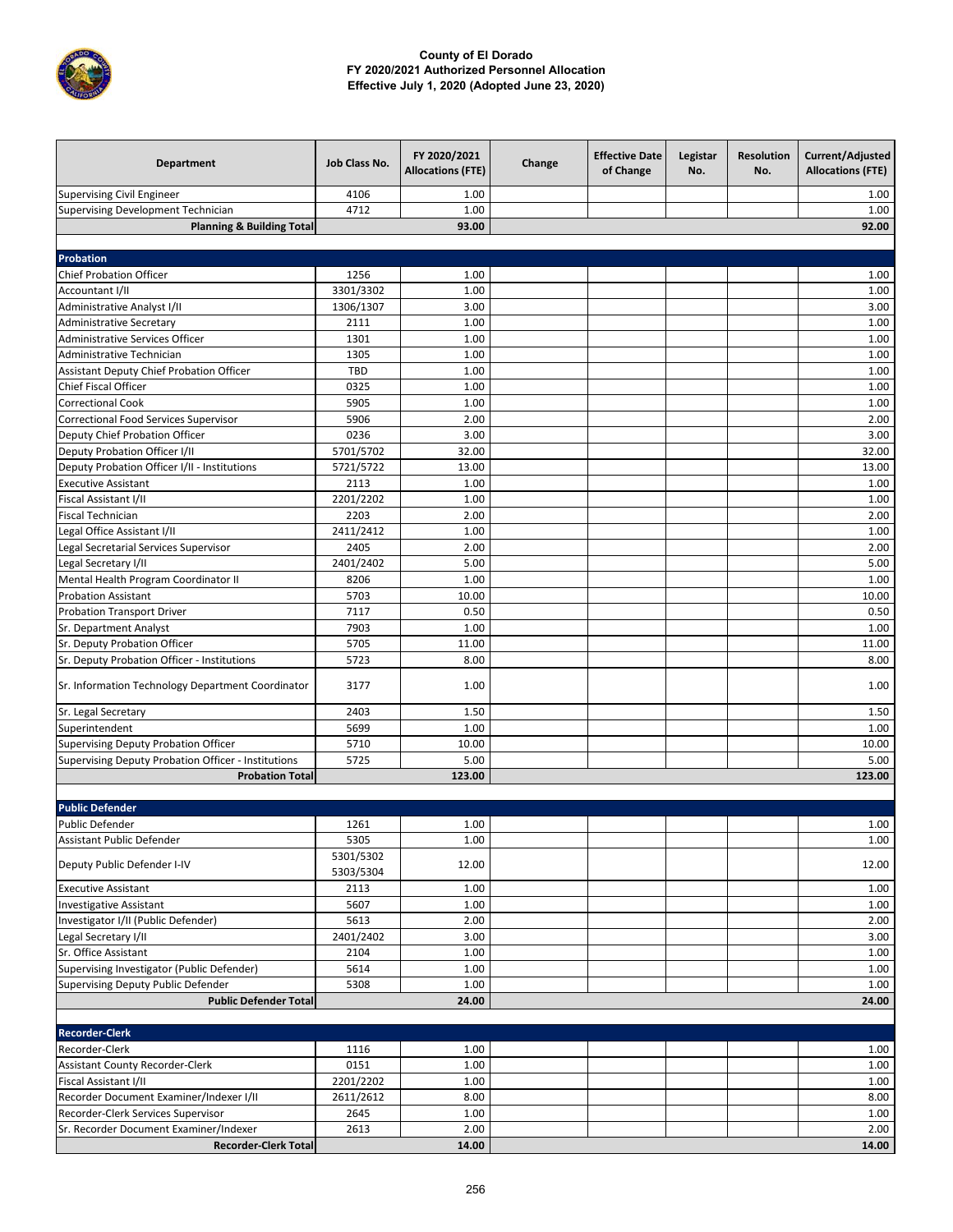

| <b>Department</b>                                                     | Job Class No.          | FY 2020/2021<br><b>Allocations (FTE)</b> | Change | <b>Effective Date</b><br>of Change | Legistar<br>No. | <b>Resolution</b><br>No. | Current/Adjusted<br><b>Allocations (FTE)</b> |
|-----------------------------------------------------------------------|------------------------|------------------------------------------|--------|------------------------------------|-----------------|--------------------------|----------------------------------------------|
| <b>Supervising Civil Engineer</b>                                     | 4106                   | 1.00                                     |        |                                    |                 |                          | 1.00                                         |
| Supervising Development Technician                                    | 4712                   | 1.00                                     |        |                                    |                 |                          | 1.00                                         |
| <b>Planning &amp; Building Total</b>                                  |                        | 93.00                                    |        |                                    |                 |                          | 92.00                                        |
|                                                                       |                        |                                          |        |                                    |                 |                          |                                              |
| Probation                                                             |                        |                                          |        |                                    |                 |                          |                                              |
| <b>Chief Probation Officer</b>                                        | 1256                   | 1.00                                     |        |                                    |                 |                          | 1.00                                         |
| Accountant I/II                                                       | 3301/3302              | 1.00                                     |        |                                    |                 |                          | 1.00                                         |
| Administrative Analyst I/II                                           | 1306/1307              | 3.00                                     |        |                                    |                 |                          | 3.00                                         |
| Administrative Secretary                                              | 2111                   | 1.00                                     |        |                                    |                 |                          | 1.00                                         |
| Administrative Services Officer                                       | 1301                   | 1.00                                     |        |                                    |                 |                          | 1.00                                         |
| Administrative Technician                                             | 1305                   | 1.00                                     |        |                                    |                 |                          | 1.00                                         |
| Assistant Deputy Chief Probation Officer                              | <b>TBD</b>             | 1.00                                     |        |                                    |                 |                          | 1.00                                         |
| <b>Chief Fiscal Officer</b>                                           | 0325                   | 1.00                                     |        |                                    |                 |                          | 1.00                                         |
| <b>Correctional Cook</b>                                              | 5905                   | 1.00                                     |        |                                    |                 |                          | 1.00                                         |
| Correctional Food Services Supervisor                                 | 5906                   | 2.00                                     |        |                                    |                 |                          | 2.00                                         |
| Deputy Chief Probation Officer                                        | 0236                   | 3.00                                     |        |                                    |                 |                          | 3.00                                         |
| Deputy Probation Officer I/II                                         | 5701/5702              | 32.00                                    |        |                                    |                 |                          | 32.00                                        |
| Deputy Probation Officer I/II - Institutions                          | 5721/5722              | 13.00                                    |        |                                    |                 |                          | 13.00                                        |
| <b>Executive Assistant</b><br>Fiscal Assistant I/II                   | 2113                   | 1.00                                     |        |                                    |                 |                          | 1.00                                         |
| <b>Fiscal Technician</b>                                              | 2201/2202<br>2203      | 1.00<br>2.00                             |        |                                    |                 |                          | 1.00<br>2.00                                 |
|                                                                       | 2411/2412              | 1.00                                     |        |                                    |                 |                          | 1.00                                         |
| Legal Office Assistant I/II<br>Legal Secretarial Services Supervisor  | 2405                   | 2.00                                     |        |                                    |                 |                          | 2.00                                         |
| Legal Secretary I/II                                                  | 2401/2402              | 5.00                                     |        |                                    |                 |                          | 5.00                                         |
| Mental Health Program Coordinator II                                  | 8206                   | 1.00                                     |        |                                    |                 |                          | 1.00                                         |
| <b>Probation Assistant</b>                                            | 5703                   | 10.00                                    |        |                                    |                 |                          | 10.00                                        |
| <b>Probation Transport Driver</b>                                     | 7117                   | 0.50                                     |        |                                    |                 |                          | 0.50                                         |
| Sr. Department Analyst                                                | 7903                   | 1.00                                     |        |                                    |                 |                          | 1.00                                         |
| Sr. Deputy Probation Officer                                          | 5705                   | 11.00                                    |        |                                    |                 |                          | 11.00                                        |
| Sr. Deputy Probation Officer - Institutions                           | 5723                   | 8.00                                     |        |                                    |                 |                          | 8.00                                         |
| Sr. Information Technology Department Coordinator                     | 3177                   | 1.00                                     |        |                                    |                 |                          | 1.00                                         |
| Sr. Legal Secretary                                                   | 2403                   | 1.50                                     |        |                                    |                 |                          | 1.50                                         |
| Superintendent                                                        | 5699                   | 1.00                                     |        |                                    |                 |                          | 1.00                                         |
| <b>Supervising Deputy Probation Officer</b>                           | 5710                   | 10.00                                    |        |                                    |                 |                          | 10.00                                        |
| Supervising Deputy Probation Officer - Institutions                   | 5725                   | 5.00                                     |        |                                    |                 |                          | 5.00                                         |
| <b>Probation Total</b>                                                |                        | 123.00                                   |        |                                    |                 |                          | 123.00                                       |
|                                                                       |                        |                                          |        |                                    |                 |                          |                                              |
| <b>Public Defender</b>                                                |                        |                                          |        |                                    |                 |                          |                                              |
| Public Defender                                                       | 1261                   | 1.00                                     |        |                                    |                 |                          | 1.00                                         |
| Assistant Public Defender                                             | 5305                   | 1.00                                     |        |                                    |                 |                          | 1.00                                         |
| Deputy Public Defender I-IV                                           | 5301/5302<br>5303/5304 | 12.00                                    |        |                                    |                 |                          | 12.00                                        |
| <b>Executive Assistant</b>                                            | 2113                   | 1.00                                     |        |                                    |                 |                          | 1.00                                         |
| <b>Investigative Assistant</b>                                        | 5607                   | 1.00                                     |        |                                    |                 |                          | 1.00                                         |
| Investigator I/II (Public Defender)                                   | 5613                   | 2.00                                     |        |                                    |                 |                          | 2.00                                         |
| Legal Secretary I/II                                                  | 2401/2402              | 3.00                                     |        |                                    |                 |                          | 3.00                                         |
| Sr. Office Assistant                                                  | 2104                   | 1.00                                     |        |                                    |                 |                          | 1.00                                         |
| Supervising Investigator (Public Defender)                            | 5614                   | 1.00                                     |        |                                    |                 |                          | 1.00                                         |
| Supervising Deputy Public Defender                                    | 5308                   | 1.00                                     |        |                                    |                 |                          | 1.00                                         |
| <b>Public Defender Total</b>                                          |                        | 24.00                                    |        |                                    |                 |                          | 24.00                                        |
|                                                                       |                        |                                          |        |                                    |                 |                          |                                              |
| <b>Recorder-Clerk</b>                                                 |                        |                                          |        |                                    |                 |                          |                                              |
| Recorder-Clerk                                                        | 1116                   | 1.00                                     |        |                                    |                 |                          | 1.00                                         |
| Assistant County Recorder-Clerk                                       | 0151                   | 1.00                                     |        |                                    |                 |                          | 1.00                                         |
| Fiscal Assistant I/II                                                 | 2201/2202              | 1.00                                     |        |                                    |                 |                          | 1.00                                         |
| Recorder Document Examiner/Indexer I/II                               | 2611/2612              | 8.00                                     |        |                                    |                 |                          | 8.00                                         |
| Recorder-Clerk Services Supervisor                                    | 2645                   | 1.00                                     |        |                                    |                 |                          | 1.00                                         |
| Sr. Recorder Document Examiner/Indexer<br><b>Recorder-Clerk Total</b> | 2613                   | 2.00<br>14.00                            |        |                                    |                 |                          | 2.00<br>14.00                                |
|                                                                       |                        |                                          |        |                                    |                 |                          |                                              |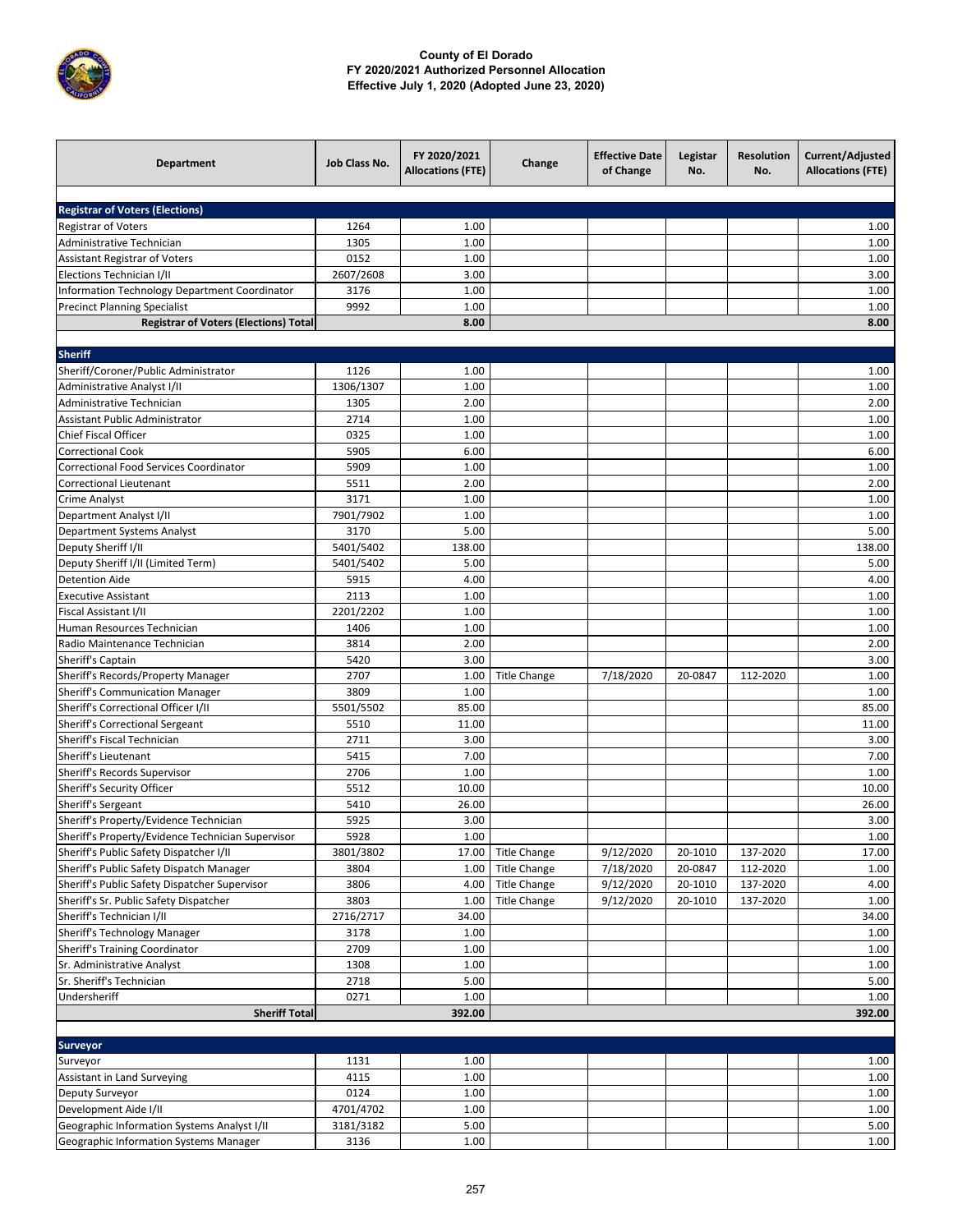

| <b>Registrar of Voters (Elections)</b><br><b>Registrar of Voters</b><br>1264<br>1.00<br>1.00<br>Administrative Technician<br>1305<br>1.00<br>1.00<br>0152<br>1.00<br>1.00<br>Assistant Registrar of Voters<br>2607/2608<br>3.00<br>3.00<br>Elections Technician I/II<br>Information Technology Department Coordinator<br>1.00<br>1.00<br>3176<br><b>Precinct Planning Specialist</b><br>9992<br>1.00<br>1.00<br>8.00<br>8.00<br><b>Registrar of Voters (Elections) Total</b><br><b>Sheriff</b><br>Sheriff/Coroner/Public Administrator<br>1126<br>1.00<br>1.00<br>1306/1307<br>1.00<br>1.00<br>Administrative Analyst I/II<br>Administrative Technician<br>2.00<br>2.00<br>1305<br>Assistant Public Administrator<br>2714<br>1.00<br>1.00<br>0325<br>1.00<br>1.00<br>Chief Fiscal Officer<br><b>Correctional Cook</b><br>5905<br>6.00<br>6.00<br>Correctional Food Services Coordinator<br>5909<br>1.00<br>1.00<br>5511<br>2.00<br>2.00<br><b>Correctional Lieutenant</b><br>3171<br>1.00<br>1.00<br>Crime Analyst<br>1.00<br>Department Analyst I/II<br>7901/7902<br>1.00<br>3170<br>5.00<br>5.00<br>Department Systems Analyst<br>5401/5402<br>138.00<br>138.00<br>Deputy Sheriff I/II<br>Deputy Sheriff I/II (Limited Term)<br>5401/5402<br>5.00<br>5.00<br><b>Detention Aide</b><br>5915<br>4.00<br>4.00<br>2113<br>1.00<br>1.00<br><b>Executive Assistant</b><br>2201/2202<br>1.00<br>1.00<br>Fiscal Assistant I/II<br>1.00<br>Human Resources Technician<br>1406<br>1.00<br>Radio Maintenance Technician<br>3814<br>2.00<br>2.00<br>3.00<br>Sheriff's Captain<br>5420<br>3.00<br>Sheriff's Records/Property Manager<br>2707<br>7/18/2020<br>1.00<br>1.00<br><b>Title Change</b><br>20-0847<br>112-2020<br><b>Sheriff's Communication Manager</b><br>1.00<br>3809<br>1.00<br>Sheriff's Correctional Officer I/II<br>5501/5502<br>85.00<br>85.00<br>5510<br>11.00<br>11.00<br>Sheriff's Correctional Sergeant<br>Sheriff's Fiscal Technician<br>2711<br>3.00<br>3.00<br>Sheriff's Lieutenant<br>5415<br>7.00<br>7.00<br>1.00<br>Sheriff's Records Supervisor<br>2706<br>1.00<br>Sheriff's Security Officer<br>5512<br>10.00<br>10.00<br>Sheriff's Sergeant<br>26.00<br>5410<br>26.00<br>Sheriff's Property/Evidence Technician<br>5925<br>3.00<br>3.00<br>1.00<br>$1.00\,$<br>Sheriff's Property/Evidence Technician Supervisor<br>5928<br>Sheriff's Public Safety Dispatcher I/II<br>3801/3802<br>9/12/2020<br>20-1010<br>137-2020<br>17.00<br>17.00<br><b>Title Change</b><br>Sheriff's Public Safety Dispatch Manager<br><b>Title Change</b><br>7/18/2020<br>20-0847<br>112-2020<br>1.00<br>3804<br>1.00<br>Sheriff's Public Safety Dispatcher Supervisor<br>3806<br>9/12/2020<br>137-2020<br>4.00<br>4.00<br><b>Title Change</b><br>20-1010<br>Sheriff's Sr. Public Safety Dispatcher<br>3803<br>9/12/2020<br>20-1010<br>1.00<br>1.00<br><b>Title Change</b><br>137-2020<br>Sheriff's Technician I/II<br>2716/2717<br>34.00<br>34.00<br>Sheriff's Technology Manager<br>3178<br>1.00<br>1.00<br>Sheriff's Training Coordinator<br>2709<br>1.00<br>1.00<br>1.00<br>Sr. Administrative Analyst<br>1308<br>1.00<br>Sr. Sheriff's Technician<br>2718<br>5.00<br>5.00<br>Undersheriff<br>0271<br>1.00<br>1.00<br><b>Sheriff Total</b><br>392.00<br>392.00<br><b>Surveyor</b><br>1131<br>1.00<br>1.00<br>Surveyor<br>4115<br>1.00<br>1.00<br>Assistant in Land Surveying<br>0124<br>1.00<br>1.00<br>Deputy Surveyor<br>Development Aide I/II<br>4701/4702<br>1.00<br>1.00<br>Geographic Information Systems Analyst I/II<br>3181/3182<br>5.00<br>5.00 | <b>Department</b> | Job Class No. | FY 2020/2021<br><b>Allocations (FTE)</b> | Change | <b>Effective Date</b><br>of Change | Legistar<br>No. | <b>Resolution</b><br>No. | Current/Adjusted<br><b>Allocations (FTE)</b> |
|---------------------------------------------------------------------------------------------------------------------------------------------------------------------------------------------------------------------------------------------------------------------------------------------------------------------------------------------------------------------------------------------------------------------------------------------------------------------------------------------------------------------------------------------------------------------------------------------------------------------------------------------------------------------------------------------------------------------------------------------------------------------------------------------------------------------------------------------------------------------------------------------------------------------------------------------------------------------------------------------------------------------------------------------------------------------------------------------------------------------------------------------------------------------------------------------------------------------------------------------------------------------------------------------------------------------------------------------------------------------------------------------------------------------------------------------------------------------------------------------------------------------------------------------------------------------------------------------------------------------------------------------------------------------------------------------------------------------------------------------------------------------------------------------------------------------------------------------------------------------------------------------------------------------------------------------------------------------------------------------------------------------------------------------------------------------------------------------------------------------------------------------------------------------------------------------------------------------------------------------------------------------------------------------------------------------------------------------------------------------------------------------------------------------------------------------------------------------------------------------------------------------------------------------------------------------------------------------------------------------------------------------------------------------------------------------------------------------------------------------------------------------------------------------------------------------------------------------------------------------------------------------------------------------------------------------------------------------------------------------------------------------------------------------------------------------------------------------------------------------------------------------------------------------------------------------------------------------------------------------------------------------------------------------------------------------------------------------------------------------------------------------------------------------------------------------------------------------------------------------------------------------------------------------------------|-------------------|---------------|------------------------------------------|--------|------------------------------------|-----------------|--------------------------|----------------------------------------------|
|                                                                                                                                                                                                                                                                                                                                                                                                                                                                                                                                                                                                                                                                                                                                                                                                                                                                                                                                                                                                                                                                                                                                                                                                                                                                                                                                                                                                                                                                                                                                                                                                                                                                                                                                                                                                                                                                                                                                                                                                                                                                                                                                                                                                                                                                                                                                                                                                                                                                                                                                                                                                                                                                                                                                                                                                                                                                                                                                                                                                                                                                                                                                                                                                                                                                                                                                                                                                                                                                                                                                                         |                   |               |                                          |        |                                    |                 |                          |                                              |
|                                                                                                                                                                                                                                                                                                                                                                                                                                                                                                                                                                                                                                                                                                                                                                                                                                                                                                                                                                                                                                                                                                                                                                                                                                                                                                                                                                                                                                                                                                                                                                                                                                                                                                                                                                                                                                                                                                                                                                                                                                                                                                                                                                                                                                                                                                                                                                                                                                                                                                                                                                                                                                                                                                                                                                                                                                                                                                                                                                                                                                                                                                                                                                                                                                                                                                                                                                                                                                                                                                                                                         |                   |               |                                          |        |                                    |                 |                          |                                              |
|                                                                                                                                                                                                                                                                                                                                                                                                                                                                                                                                                                                                                                                                                                                                                                                                                                                                                                                                                                                                                                                                                                                                                                                                                                                                                                                                                                                                                                                                                                                                                                                                                                                                                                                                                                                                                                                                                                                                                                                                                                                                                                                                                                                                                                                                                                                                                                                                                                                                                                                                                                                                                                                                                                                                                                                                                                                                                                                                                                                                                                                                                                                                                                                                                                                                                                                                                                                                                                                                                                                                                         |                   |               |                                          |        |                                    |                 |                          |                                              |
|                                                                                                                                                                                                                                                                                                                                                                                                                                                                                                                                                                                                                                                                                                                                                                                                                                                                                                                                                                                                                                                                                                                                                                                                                                                                                                                                                                                                                                                                                                                                                                                                                                                                                                                                                                                                                                                                                                                                                                                                                                                                                                                                                                                                                                                                                                                                                                                                                                                                                                                                                                                                                                                                                                                                                                                                                                                                                                                                                                                                                                                                                                                                                                                                                                                                                                                                                                                                                                                                                                                                                         |                   |               |                                          |        |                                    |                 |                          |                                              |
|                                                                                                                                                                                                                                                                                                                                                                                                                                                                                                                                                                                                                                                                                                                                                                                                                                                                                                                                                                                                                                                                                                                                                                                                                                                                                                                                                                                                                                                                                                                                                                                                                                                                                                                                                                                                                                                                                                                                                                                                                                                                                                                                                                                                                                                                                                                                                                                                                                                                                                                                                                                                                                                                                                                                                                                                                                                                                                                                                                                                                                                                                                                                                                                                                                                                                                                                                                                                                                                                                                                                                         |                   |               |                                          |        |                                    |                 |                          |                                              |
|                                                                                                                                                                                                                                                                                                                                                                                                                                                                                                                                                                                                                                                                                                                                                                                                                                                                                                                                                                                                                                                                                                                                                                                                                                                                                                                                                                                                                                                                                                                                                                                                                                                                                                                                                                                                                                                                                                                                                                                                                                                                                                                                                                                                                                                                                                                                                                                                                                                                                                                                                                                                                                                                                                                                                                                                                                                                                                                                                                                                                                                                                                                                                                                                                                                                                                                                                                                                                                                                                                                                                         |                   |               |                                          |        |                                    |                 |                          |                                              |
|                                                                                                                                                                                                                                                                                                                                                                                                                                                                                                                                                                                                                                                                                                                                                                                                                                                                                                                                                                                                                                                                                                                                                                                                                                                                                                                                                                                                                                                                                                                                                                                                                                                                                                                                                                                                                                                                                                                                                                                                                                                                                                                                                                                                                                                                                                                                                                                                                                                                                                                                                                                                                                                                                                                                                                                                                                                                                                                                                                                                                                                                                                                                                                                                                                                                                                                                                                                                                                                                                                                                                         |                   |               |                                          |        |                                    |                 |                          |                                              |
|                                                                                                                                                                                                                                                                                                                                                                                                                                                                                                                                                                                                                                                                                                                                                                                                                                                                                                                                                                                                                                                                                                                                                                                                                                                                                                                                                                                                                                                                                                                                                                                                                                                                                                                                                                                                                                                                                                                                                                                                                                                                                                                                                                                                                                                                                                                                                                                                                                                                                                                                                                                                                                                                                                                                                                                                                                                                                                                                                                                                                                                                                                                                                                                                                                                                                                                                                                                                                                                                                                                                                         |                   |               |                                          |        |                                    |                 |                          |                                              |
|                                                                                                                                                                                                                                                                                                                                                                                                                                                                                                                                                                                                                                                                                                                                                                                                                                                                                                                                                                                                                                                                                                                                                                                                                                                                                                                                                                                                                                                                                                                                                                                                                                                                                                                                                                                                                                                                                                                                                                                                                                                                                                                                                                                                                                                                                                                                                                                                                                                                                                                                                                                                                                                                                                                                                                                                                                                                                                                                                                                                                                                                                                                                                                                                                                                                                                                                                                                                                                                                                                                                                         |                   |               |                                          |        |                                    |                 |                          |                                              |
|                                                                                                                                                                                                                                                                                                                                                                                                                                                                                                                                                                                                                                                                                                                                                                                                                                                                                                                                                                                                                                                                                                                                                                                                                                                                                                                                                                                                                                                                                                                                                                                                                                                                                                                                                                                                                                                                                                                                                                                                                                                                                                                                                                                                                                                                                                                                                                                                                                                                                                                                                                                                                                                                                                                                                                                                                                                                                                                                                                                                                                                                                                                                                                                                                                                                                                                                                                                                                                                                                                                                                         |                   |               |                                          |        |                                    |                 |                          |                                              |
|                                                                                                                                                                                                                                                                                                                                                                                                                                                                                                                                                                                                                                                                                                                                                                                                                                                                                                                                                                                                                                                                                                                                                                                                                                                                                                                                                                                                                                                                                                                                                                                                                                                                                                                                                                                                                                                                                                                                                                                                                                                                                                                                                                                                                                                                                                                                                                                                                                                                                                                                                                                                                                                                                                                                                                                                                                                                                                                                                                                                                                                                                                                                                                                                                                                                                                                                                                                                                                                                                                                                                         |                   |               |                                          |        |                                    |                 |                          |                                              |
|                                                                                                                                                                                                                                                                                                                                                                                                                                                                                                                                                                                                                                                                                                                                                                                                                                                                                                                                                                                                                                                                                                                                                                                                                                                                                                                                                                                                                                                                                                                                                                                                                                                                                                                                                                                                                                                                                                                                                                                                                                                                                                                                                                                                                                                                                                                                                                                                                                                                                                                                                                                                                                                                                                                                                                                                                                                                                                                                                                                                                                                                                                                                                                                                                                                                                                                                                                                                                                                                                                                                                         |                   |               |                                          |        |                                    |                 |                          |                                              |
|                                                                                                                                                                                                                                                                                                                                                                                                                                                                                                                                                                                                                                                                                                                                                                                                                                                                                                                                                                                                                                                                                                                                                                                                                                                                                                                                                                                                                                                                                                                                                                                                                                                                                                                                                                                                                                                                                                                                                                                                                                                                                                                                                                                                                                                                                                                                                                                                                                                                                                                                                                                                                                                                                                                                                                                                                                                                                                                                                                                                                                                                                                                                                                                                                                                                                                                                                                                                                                                                                                                                                         |                   |               |                                          |        |                                    |                 |                          |                                              |
|                                                                                                                                                                                                                                                                                                                                                                                                                                                                                                                                                                                                                                                                                                                                                                                                                                                                                                                                                                                                                                                                                                                                                                                                                                                                                                                                                                                                                                                                                                                                                                                                                                                                                                                                                                                                                                                                                                                                                                                                                                                                                                                                                                                                                                                                                                                                                                                                                                                                                                                                                                                                                                                                                                                                                                                                                                                                                                                                                                                                                                                                                                                                                                                                                                                                                                                                                                                                                                                                                                                                                         |                   |               |                                          |        |                                    |                 |                          |                                              |
|                                                                                                                                                                                                                                                                                                                                                                                                                                                                                                                                                                                                                                                                                                                                                                                                                                                                                                                                                                                                                                                                                                                                                                                                                                                                                                                                                                                                                                                                                                                                                                                                                                                                                                                                                                                                                                                                                                                                                                                                                                                                                                                                                                                                                                                                                                                                                                                                                                                                                                                                                                                                                                                                                                                                                                                                                                                                                                                                                                                                                                                                                                                                                                                                                                                                                                                                                                                                                                                                                                                                                         |                   |               |                                          |        |                                    |                 |                          |                                              |
|                                                                                                                                                                                                                                                                                                                                                                                                                                                                                                                                                                                                                                                                                                                                                                                                                                                                                                                                                                                                                                                                                                                                                                                                                                                                                                                                                                                                                                                                                                                                                                                                                                                                                                                                                                                                                                                                                                                                                                                                                                                                                                                                                                                                                                                                                                                                                                                                                                                                                                                                                                                                                                                                                                                                                                                                                                                                                                                                                                                                                                                                                                                                                                                                                                                                                                                                                                                                                                                                                                                                                         |                   |               |                                          |        |                                    |                 |                          |                                              |
|                                                                                                                                                                                                                                                                                                                                                                                                                                                                                                                                                                                                                                                                                                                                                                                                                                                                                                                                                                                                                                                                                                                                                                                                                                                                                                                                                                                                                                                                                                                                                                                                                                                                                                                                                                                                                                                                                                                                                                                                                                                                                                                                                                                                                                                                                                                                                                                                                                                                                                                                                                                                                                                                                                                                                                                                                                                                                                                                                                                                                                                                                                                                                                                                                                                                                                                                                                                                                                                                                                                                                         |                   |               |                                          |        |                                    |                 |                          |                                              |
|                                                                                                                                                                                                                                                                                                                                                                                                                                                                                                                                                                                                                                                                                                                                                                                                                                                                                                                                                                                                                                                                                                                                                                                                                                                                                                                                                                                                                                                                                                                                                                                                                                                                                                                                                                                                                                                                                                                                                                                                                                                                                                                                                                                                                                                                                                                                                                                                                                                                                                                                                                                                                                                                                                                                                                                                                                                                                                                                                                                                                                                                                                                                                                                                                                                                                                                                                                                                                                                                                                                                                         |                   |               |                                          |        |                                    |                 |                          |                                              |
|                                                                                                                                                                                                                                                                                                                                                                                                                                                                                                                                                                                                                                                                                                                                                                                                                                                                                                                                                                                                                                                                                                                                                                                                                                                                                                                                                                                                                                                                                                                                                                                                                                                                                                                                                                                                                                                                                                                                                                                                                                                                                                                                                                                                                                                                                                                                                                                                                                                                                                                                                                                                                                                                                                                                                                                                                                                                                                                                                                                                                                                                                                                                                                                                                                                                                                                                                                                                                                                                                                                                                         |                   |               |                                          |        |                                    |                 |                          |                                              |
|                                                                                                                                                                                                                                                                                                                                                                                                                                                                                                                                                                                                                                                                                                                                                                                                                                                                                                                                                                                                                                                                                                                                                                                                                                                                                                                                                                                                                                                                                                                                                                                                                                                                                                                                                                                                                                                                                                                                                                                                                                                                                                                                                                                                                                                                                                                                                                                                                                                                                                                                                                                                                                                                                                                                                                                                                                                                                                                                                                                                                                                                                                                                                                                                                                                                                                                                                                                                                                                                                                                                                         |                   |               |                                          |        |                                    |                 |                          |                                              |
|                                                                                                                                                                                                                                                                                                                                                                                                                                                                                                                                                                                                                                                                                                                                                                                                                                                                                                                                                                                                                                                                                                                                                                                                                                                                                                                                                                                                                                                                                                                                                                                                                                                                                                                                                                                                                                                                                                                                                                                                                                                                                                                                                                                                                                                                                                                                                                                                                                                                                                                                                                                                                                                                                                                                                                                                                                                                                                                                                                                                                                                                                                                                                                                                                                                                                                                                                                                                                                                                                                                                                         |                   |               |                                          |        |                                    |                 |                          |                                              |
|                                                                                                                                                                                                                                                                                                                                                                                                                                                                                                                                                                                                                                                                                                                                                                                                                                                                                                                                                                                                                                                                                                                                                                                                                                                                                                                                                                                                                                                                                                                                                                                                                                                                                                                                                                                                                                                                                                                                                                                                                                                                                                                                                                                                                                                                                                                                                                                                                                                                                                                                                                                                                                                                                                                                                                                                                                                                                                                                                                                                                                                                                                                                                                                                                                                                                                                                                                                                                                                                                                                                                         |                   |               |                                          |        |                                    |                 |                          |                                              |
|                                                                                                                                                                                                                                                                                                                                                                                                                                                                                                                                                                                                                                                                                                                                                                                                                                                                                                                                                                                                                                                                                                                                                                                                                                                                                                                                                                                                                                                                                                                                                                                                                                                                                                                                                                                                                                                                                                                                                                                                                                                                                                                                                                                                                                                                                                                                                                                                                                                                                                                                                                                                                                                                                                                                                                                                                                                                                                                                                                                                                                                                                                                                                                                                                                                                                                                                                                                                                                                                                                                                                         |                   |               |                                          |        |                                    |                 |                          |                                              |
|                                                                                                                                                                                                                                                                                                                                                                                                                                                                                                                                                                                                                                                                                                                                                                                                                                                                                                                                                                                                                                                                                                                                                                                                                                                                                                                                                                                                                                                                                                                                                                                                                                                                                                                                                                                                                                                                                                                                                                                                                                                                                                                                                                                                                                                                                                                                                                                                                                                                                                                                                                                                                                                                                                                                                                                                                                                                                                                                                                                                                                                                                                                                                                                                                                                                                                                                                                                                                                                                                                                                                         |                   |               |                                          |        |                                    |                 |                          |                                              |
|                                                                                                                                                                                                                                                                                                                                                                                                                                                                                                                                                                                                                                                                                                                                                                                                                                                                                                                                                                                                                                                                                                                                                                                                                                                                                                                                                                                                                                                                                                                                                                                                                                                                                                                                                                                                                                                                                                                                                                                                                                                                                                                                                                                                                                                                                                                                                                                                                                                                                                                                                                                                                                                                                                                                                                                                                                                                                                                                                                                                                                                                                                                                                                                                                                                                                                                                                                                                                                                                                                                                                         |                   |               |                                          |        |                                    |                 |                          |                                              |
|                                                                                                                                                                                                                                                                                                                                                                                                                                                                                                                                                                                                                                                                                                                                                                                                                                                                                                                                                                                                                                                                                                                                                                                                                                                                                                                                                                                                                                                                                                                                                                                                                                                                                                                                                                                                                                                                                                                                                                                                                                                                                                                                                                                                                                                                                                                                                                                                                                                                                                                                                                                                                                                                                                                                                                                                                                                                                                                                                                                                                                                                                                                                                                                                                                                                                                                                                                                                                                                                                                                                                         |                   |               |                                          |        |                                    |                 |                          |                                              |
|                                                                                                                                                                                                                                                                                                                                                                                                                                                                                                                                                                                                                                                                                                                                                                                                                                                                                                                                                                                                                                                                                                                                                                                                                                                                                                                                                                                                                                                                                                                                                                                                                                                                                                                                                                                                                                                                                                                                                                                                                                                                                                                                                                                                                                                                                                                                                                                                                                                                                                                                                                                                                                                                                                                                                                                                                                                                                                                                                                                                                                                                                                                                                                                                                                                                                                                                                                                                                                                                                                                                                         |                   |               |                                          |        |                                    |                 |                          |                                              |
|                                                                                                                                                                                                                                                                                                                                                                                                                                                                                                                                                                                                                                                                                                                                                                                                                                                                                                                                                                                                                                                                                                                                                                                                                                                                                                                                                                                                                                                                                                                                                                                                                                                                                                                                                                                                                                                                                                                                                                                                                                                                                                                                                                                                                                                                                                                                                                                                                                                                                                                                                                                                                                                                                                                                                                                                                                                                                                                                                                                                                                                                                                                                                                                                                                                                                                                                                                                                                                                                                                                                                         |                   |               |                                          |        |                                    |                 |                          |                                              |
|                                                                                                                                                                                                                                                                                                                                                                                                                                                                                                                                                                                                                                                                                                                                                                                                                                                                                                                                                                                                                                                                                                                                                                                                                                                                                                                                                                                                                                                                                                                                                                                                                                                                                                                                                                                                                                                                                                                                                                                                                                                                                                                                                                                                                                                                                                                                                                                                                                                                                                                                                                                                                                                                                                                                                                                                                                                                                                                                                                                                                                                                                                                                                                                                                                                                                                                                                                                                                                                                                                                                                         |                   |               |                                          |        |                                    |                 |                          |                                              |
|                                                                                                                                                                                                                                                                                                                                                                                                                                                                                                                                                                                                                                                                                                                                                                                                                                                                                                                                                                                                                                                                                                                                                                                                                                                                                                                                                                                                                                                                                                                                                                                                                                                                                                                                                                                                                                                                                                                                                                                                                                                                                                                                                                                                                                                                                                                                                                                                                                                                                                                                                                                                                                                                                                                                                                                                                                                                                                                                                                                                                                                                                                                                                                                                                                                                                                                                                                                                                                                                                                                                                         |                   |               |                                          |        |                                    |                 |                          |                                              |
|                                                                                                                                                                                                                                                                                                                                                                                                                                                                                                                                                                                                                                                                                                                                                                                                                                                                                                                                                                                                                                                                                                                                                                                                                                                                                                                                                                                                                                                                                                                                                                                                                                                                                                                                                                                                                                                                                                                                                                                                                                                                                                                                                                                                                                                                                                                                                                                                                                                                                                                                                                                                                                                                                                                                                                                                                                                                                                                                                                                                                                                                                                                                                                                                                                                                                                                                                                                                                                                                                                                                                         |                   |               |                                          |        |                                    |                 |                          |                                              |
|                                                                                                                                                                                                                                                                                                                                                                                                                                                                                                                                                                                                                                                                                                                                                                                                                                                                                                                                                                                                                                                                                                                                                                                                                                                                                                                                                                                                                                                                                                                                                                                                                                                                                                                                                                                                                                                                                                                                                                                                                                                                                                                                                                                                                                                                                                                                                                                                                                                                                                                                                                                                                                                                                                                                                                                                                                                                                                                                                                                                                                                                                                                                                                                                                                                                                                                                                                                                                                                                                                                                                         |                   |               |                                          |        |                                    |                 |                          |                                              |
|                                                                                                                                                                                                                                                                                                                                                                                                                                                                                                                                                                                                                                                                                                                                                                                                                                                                                                                                                                                                                                                                                                                                                                                                                                                                                                                                                                                                                                                                                                                                                                                                                                                                                                                                                                                                                                                                                                                                                                                                                                                                                                                                                                                                                                                                                                                                                                                                                                                                                                                                                                                                                                                                                                                                                                                                                                                                                                                                                                                                                                                                                                                                                                                                                                                                                                                                                                                                                                                                                                                                                         |                   |               |                                          |        |                                    |                 |                          |                                              |
|                                                                                                                                                                                                                                                                                                                                                                                                                                                                                                                                                                                                                                                                                                                                                                                                                                                                                                                                                                                                                                                                                                                                                                                                                                                                                                                                                                                                                                                                                                                                                                                                                                                                                                                                                                                                                                                                                                                                                                                                                                                                                                                                                                                                                                                                                                                                                                                                                                                                                                                                                                                                                                                                                                                                                                                                                                                                                                                                                                                                                                                                                                                                                                                                                                                                                                                                                                                                                                                                                                                                                         |                   |               |                                          |        |                                    |                 |                          |                                              |
|                                                                                                                                                                                                                                                                                                                                                                                                                                                                                                                                                                                                                                                                                                                                                                                                                                                                                                                                                                                                                                                                                                                                                                                                                                                                                                                                                                                                                                                                                                                                                                                                                                                                                                                                                                                                                                                                                                                                                                                                                                                                                                                                                                                                                                                                                                                                                                                                                                                                                                                                                                                                                                                                                                                                                                                                                                                                                                                                                                                                                                                                                                                                                                                                                                                                                                                                                                                                                                                                                                                                                         |                   |               |                                          |        |                                    |                 |                          |                                              |
|                                                                                                                                                                                                                                                                                                                                                                                                                                                                                                                                                                                                                                                                                                                                                                                                                                                                                                                                                                                                                                                                                                                                                                                                                                                                                                                                                                                                                                                                                                                                                                                                                                                                                                                                                                                                                                                                                                                                                                                                                                                                                                                                                                                                                                                                                                                                                                                                                                                                                                                                                                                                                                                                                                                                                                                                                                                                                                                                                                                                                                                                                                                                                                                                                                                                                                                                                                                                                                                                                                                                                         |                   |               |                                          |        |                                    |                 |                          |                                              |
|                                                                                                                                                                                                                                                                                                                                                                                                                                                                                                                                                                                                                                                                                                                                                                                                                                                                                                                                                                                                                                                                                                                                                                                                                                                                                                                                                                                                                                                                                                                                                                                                                                                                                                                                                                                                                                                                                                                                                                                                                                                                                                                                                                                                                                                                                                                                                                                                                                                                                                                                                                                                                                                                                                                                                                                                                                                                                                                                                                                                                                                                                                                                                                                                                                                                                                                                                                                                                                                                                                                                                         |                   |               |                                          |        |                                    |                 |                          |                                              |
|                                                                                                                                                                                                                                                                                                                                                                                                                                                                                                                                                                                                                                                                                                                                                                                                                                                                                                                                                                                                                                                                                                                                                                                                                                                                                                                                                                                                                                                                                                                                                                                                                                                                                                                                                                                                                                                                                                                                                                                                                                                                                                                                                                                                                                                                                                                                                                                                                                                                                                                                                                                                                                                                                                                                                                                                                                                                                                                                                                                                                                                                                                                                                                                                                                                                                                                                                                                                                                                                                                                                                         |                   |               |                                          |        |                                    |                 |                          |                                              |
|                                                                                                                                                                                                                                                                                                                                                                                                                                                                                                                                                                                                                                                                                                                                                                                                                                                                                                                                                                                                                                                                                                                                                                                                                                                                                                                                                                                                                                                                                                                                                                                                                                                                                                                                                                                                                                                                                                                                                                                                                                                                                                                                                                                                                                                                                                                                                                                                                                                                                                                                                                                                                                                                                                                                                                                                                                                                                                                                                                                                                                                                                                                                                                                                                                                                                                                                                                                                                                                                                                                                                         |                   |               |                                          |        |                                    |                 |                          |                                              |
|                                                                                                                                                                                                                                                                                                                                                                                                                                                                                                                                                                                                                                                                                                                                                                                                                                                                                                                                                                                                                                                                                                                                                                                                                                                                                                                                                                                                                                                                                                                                                                                                                                                                                                                                                                                                                                                                                                                                                                                                                                                                                                                                                                                                                                                                                                                                                                                                                                                                                                                                                                                                                                                                                                                                                                                                                                                                                                                                                                                                                                                                                                                                                                                                                                                                                                                                                                                                                                                                                                                                                         |                   |               |                                          |        |                                    |                 |                          |                                              |
|                                                                                                                                                                                                                                                                                                                                                                                                                                                                                                                                                                                                                                                                                                                                                                                                                                                                                                                                                                                                                                                                                                                                                                                                                                                                                                                                                                                                                                                                                                                                                                                                                                                                                                                                                                                                                                                                                                                                                                                                                                                                                                                                                                                                                                                                                                                                                                                                                                                                                                                                                                                                                                                                                                                                                                                                                                                                                                                                                                                                                                                                                                                                                                                                                                                                                                                                                                                                                                                                                                                                                         |                   |               |                                          |        |                                    |                 |                          |                                              |
|                                                                                                                                                                                                                                                                                                                                                                                                                                                                                                                                                                                                                                                                                                                                                                                                                                                                                                                                                                                                                                                                                                                                                                                                                                                                                                                                                                                                                                                                                                                                                                                                                                                                                                                                                                                                                                                                                                                                                                                                                                                                                                                                                                                                                                                                                                                                                                                                                                                                                                                                                                                                                                                                                                                                                                                                                                                                                                                                                                                                                                                                                                                                                                                                                                                                                                                                                                                                                                                                                                                                                         |                   |               |                                          |        |                                    |                 |                          |                                              |
|                                                                                                                                                                                                                                                                                                                                                                                                                                                                                                                                                                                                                                                                                                                                                                                                                                                                                                                                                                                                                                                                                                                                                                                                                                                                                                                                                                                                                                                                                                                                                                                                                                                                                                                                                                                                                                                                                                                                                                                                                                                                                                                                                                                                                                                                                                                                                                                                                                                                                                                                                                                                                                                                                                                                                                                                                                                                                                                                                                                                                                                                                                                                                                                                                                                                                                                                                                                                                                                                                                                                                         |                   |               |                                          |        |                                    |                 |                          |                                              |
|                                                                                                                                                                                                                                                                                                                                                                                                                                                                                                                                                                                                                                                                                                                                                                                                                                                                                                                                                                                                                                                                                                                                                                                                                                                                                                                                                                                                                                                                                                                                                                                                                                                                                                                                                                                                                                                                                                                                                                                                                                                                                                                                                                                                                                                                                                                                                                                                                                                                                                                                                                                                                                                                                                                                                                                                                                                                                                                                                                                                                                                                                                                                                                                                                                                                                                                                                                                                                                                                                                                                                         |                   |               |                                          |        |                                    |                 |                          |                                              |
|                                                                                                                                                                                                                                                                                                                                                                                                                                                                                                                                                                                                                                                                                                                                                                                                                                                                                                                                                                                                                                                                                                                                                                                                                                                                                                                                                                                                                                                                                                                                                                                                                                                                                                                                                                                                                                                                                                                                                                                                                                                                                                                                                                                                                                                                                                                                                                                                                                                                                                                                                                                                                                                                                                                                                                                                                                                                                                                                                                                                                                                                                                                                                                                                                                                                                                                                                                                                                                                                                                                                                         |                   |               |                                          |        |                                    |                 |                          |                                              |
|                                                                                                                                                                                                                                                                                                                                                                                                                                                                                                                                                                                                                                                                                                                                                                                                                                                                                                                                                                                                                                                                                                                                                                                                                                                                                                                                                                                                                                                                                                                                                                                                                                                                                                                                                                                                                                                                                                                                                                                                                                                                                                                                                                                                                                                                                                                                                                                                                                                                                                                                                                                                                                                                                                                                                                                                                                                                                                                                                                                                                                                                                                                                                                                                                                                                                                                                                                                                                                                                                                                                                         |                   |               |                                          |        |                                    |                 |                          |                                              |
|                                                                                                                                                                                                                                                                                                                                                                                                                                                                                                                                                                                                                                                                                                                                                                                                                                                                                                                                                                                                                                                                                                                                                                                                                                                                                                                                                                                                                                                                                                                                                                                                                                                                                                                                                                                                                                                                                                                                                                                                                                                                                                                                                                                                                                                                                                                                                                                                                                                                                                                                                                                                                                                                                                                                                                                                                                                                                                                                                                                                                                                                                                                                                                                                                                                                                                                                                                                                                                                                                                                                                         |                   |               |                                          |        |                                    |                 |                          |                                              |
|                                                                                                                                                                                                                                                                                                                                                                                                                                                                                                                                                                                                                                                                                                                                                                                                                                                                                                                                                                                                                                                                                                                                                                                                                                                                                                                                                                                                                                                                                                                                                                                                                                                                                                                                                                                                                                                                                                                                                                                                                                                                                                                                                                                                                                                                                                                                                                                                                                                                                                                                                                                                                                                                                                                                                                                                                                                                                                                                                                                                                                                                                                                                                                                                                                                                                                                                                                                                                                                                                                                                                         |                   |               |                                          |        |                                    |                 |                          |                                              |
|                                                                                                                                                                                                                                                                                                                                                                                                                                                                                                                                                                                                                                                                                                                                                                                                                                                                                                                                                                                                                                                                                                                                                                                                                                                                                                                                                                                                                                                                                                                                                                                                                                                                                                                                                                                                                                                                                                                                                                                                                                                                                                                                                                                                                                                                                                                                                                                                                                                                                                                                                                                                                                                                                                                                                                                                                                                                                                                                                                                                                                                                                                                                                                                                                                                                                                                                                                                                                                                                                                                                                         |                   |               |                                          |        |                                    |                 |                          |                                              |
|                                                                                                                                                                                                                                                                                                                                                                                                                                                                                                                                                                                                                                                                                                                                                                                                                                                                                                                                                                                                                                                                                                                                                                                                                                                                                                                                                                                                                                                                                                                                                                                                                                                                                                                                                                                                                                                                                                                                                                                                                                                                                                                                                                                                                                                                                                                                                                                                                                                                                                                                                                                                                                                                                                                                                                                                                                                                                                                                                                                                                                                                                                                                                                                                                                                                                                                                                                                                                                                                                                                                                         |                   |               |                                          |        |                                    |                 |                          |                                              |
|                                                                                                                                                                                                                                                                                                                                                                                                                                                                                                                                                                                                                                                                                                                                                                                                                                                                                                                                                                                                                                                                                                                                                                                                                                                                                                                                                                                                                                                                                                                                                                                                                                                                                                                                                                                                                                                                                                                                                                                                                                                                                                                                                                                                                                                                                                                                                                                                                                                                                                                                                                                                                                                                                                                                                                                                                                                                                                                                                                                                                                                                                                                                                                                                                                                                                                                                                                                                                                                                                                                                                         |                   |               |                                          |        |                                    |                 |                          |                                              |
|                                                                                                                                                                                                                                                                                                                                                                                                                                                                                                                                                                                                                                                                                                                                                                                                                                                                                                                                                                                                                                                                                                                                                                                                                                                                                                                                                                                                                                                                                                                                                                                                                                                                                                                                                                                                                                                                                                                                                                                                                                                                                                                                                                                                                                                                                                                                                                                                                                                                                                                                                                                                                                                                                                                                                                                                                                                                                                                                                                                                                                                                                                                                                                                                                                                                                                                                                                                                                                                                                                                                                         |                   |               |                                          |        |                                    |                 |                          |                                              |
|                                                                                                                                                                                                                                                                                                                                                                                                                                                                                                                                                                                                                                                                                                                                                                                                                                                                                                                                                                                                                                                                                                                                                                                                                                                                                                                                                                                                                                                                                                                                                                                                                                                                                                                                                                                                                                                                                                                                                                                                                                                                                                                                                                                                                                                                                                                                                                                                                                                                                                                                                                                                                                                                                                                                                                                                                                                                                                                                                                                                                                                                                                                                                                                                                                                                                                                                                                                                                                                                                                                                                         |                   |               |                                          |        |                                    |                 |                          |                                              |
|                                                                                                                                                                                                                                                                                                                                                                                                                                                                                                                                                                                                                                                                                                                                                                                                                                                                                                                                                                                                                                                                                                                                                                                                                                                                                                                                                                                                                                                                                                                                                                                                                                                                                                                                                                                                                                                                                                                                                                                                                                                                                                                                                                                                                                                                                                                                                                                                                                                                                                                                                                                                                                                                                                                                                                                                                                                                                                                                                                                                                                                                                                                                                                                                                                                                                                                                                                                                                                                                                                                                                         |                   |               |                                          |        |                                    |                 |                          |                                              |
|                                                                                                                                                                                                                                                                                                                                                                                                                                                                                                                                                                                                                                                                                                                                                                                                                                                                                                                                                                                                                                                                                                                                                                                                                                                                                                                                                                                                                                                                                                                                                                                                                                                                                                                                                                                                                                                                                                                                                                                                                                                                                                                                                                                                                                                                                                                                                                                                                                                                                                                                                                                                                                                                                                                                                                                                                                                                                                                                                                                                                                                                                                                                                                                                                                                                                                                                                                                                                                                                                                                                                         |                   |               |                                          |        |                                    |                 |                          |                                              |
|                                                                                                                                                                                                                                                                                                                                                                                                                                                                                                                                                                                                                                                                                                                                                                                                                                                                                                                                                                                                                                                                                                                                                                                                                                                                                                                                                                                                                                                                                                                                                                                                                                                                                                                                                                                                                                                                                                                                                                                                                                                                                                                                                                                                                                                                                                                                                                                                                                                                                                                                                                                                                                                                                                                                                                                                                                                                                                                                                                                                                                                                                                                                                                                                                                                                                                                                                                                                                                                                                                                                                         |                   |               |                                          |        |                                    |                 |                          |                                              |
|                                                                                                                                                                                                                                                                                                                                                                                                                                                                                                                                                                                                                                                                                                                                                                                                                                                                                                                                                                                                                                                                                                                                                                                                                                                                                                                                                                                                                                                                                                                                                                                                                                                                                                                                                                                                                                                                                                                                                                                                                                                                                                                                                                                                                                                                                                                                                                                                                                                                                                                                                                                                                                                                                                                                                                                                                                                                                                                                                                                                                                                                                                                                                                                                                                                                                                                                                                                                                                                                                                                                                         |                   |               |                                          |        |                                    |                 |                          |                                              |

Geographic Information Systems Manager 3136 1.00 1.00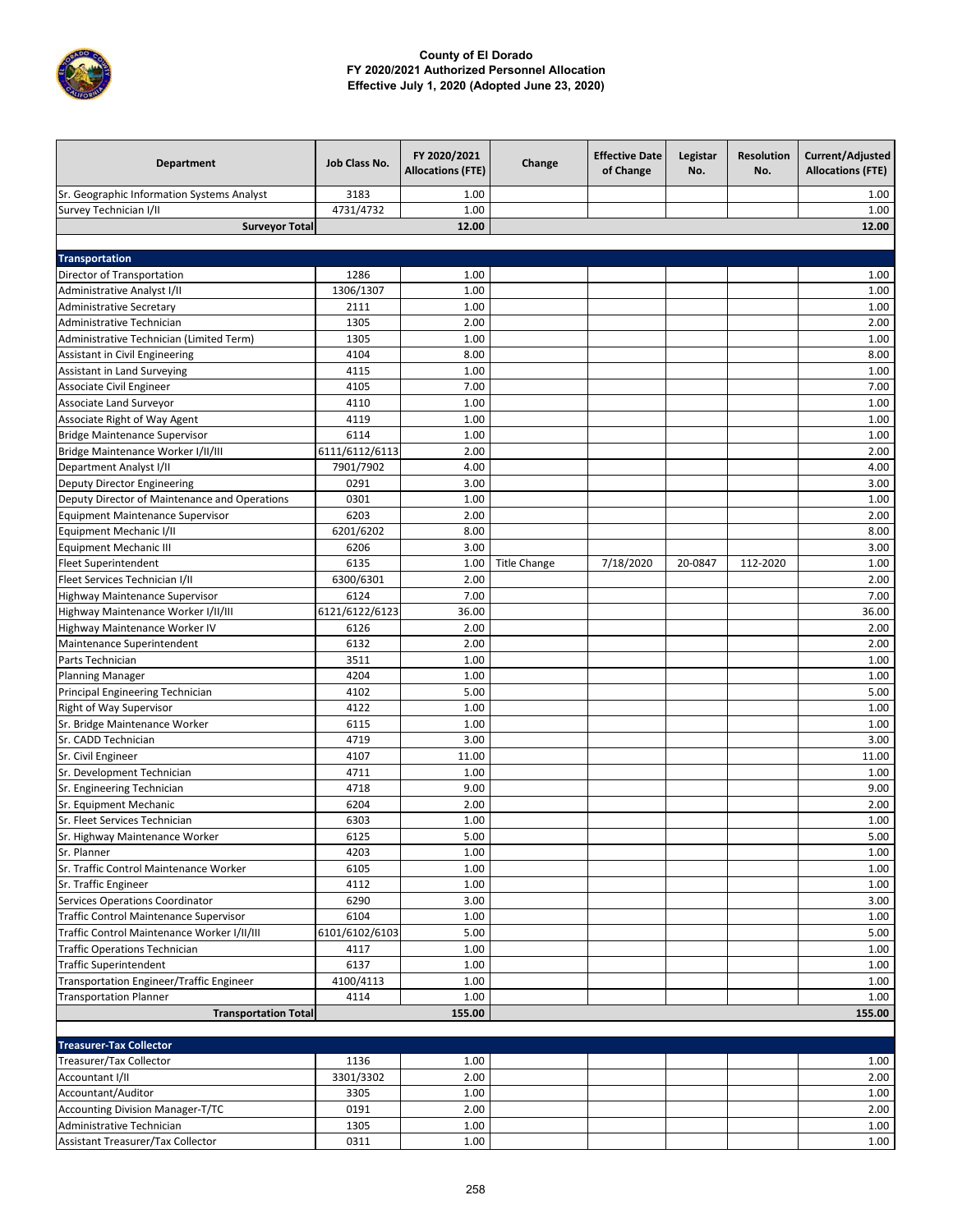

| Department                                    | Job Class No.  | FY 2020/2021<br><b>Allocations (FTE)</b> | Change              | <b>Effective Date</b><br>of Change | Legistar<br>No. | <b>Resolution</b><br>No. | Current/Adjusted<br><b>Allocations (FTE)</b> |
|-----------------------------------------------|----------------|------------------------------------------|---------------------|------------------------------------|-----------------|--------------------------|----------------------------------------------|
| Sr. Geographic Information Systems Analyst    | 3183           | 1.00                                     |                     |                                    |                 |                          | 1.00                                         |
| Survey Technician I/II                        | 4731/4732      | 1.00                                     |                     |                                    |                 |                          | 1.00                                         |
| <b>Surveyor Total</b>                         |                | 12.00                                    |                     |                                    |                 |                          | 12.00                                        |
|                                               |                |                                          |                     |                                    |                 |                          |                                              |
| <b>Transportation</b>                         |                |                                          |                     |                                    |                 |                          |                                              |
| Director of Transportation                    | 1286           | 1.00                                     |                     |                                    |                 |                          | 1.00                                         |
| Administrative Analyst I/II                   | 1306/1307      | 1.00                                     |                     |                                    |                 |                          | 1.00                                         |
| <b>Administrative Secretary</b>               | 2111           | 1.00                                     |                     |                                    |                 |                          | 1.00                                         |
| Administrative Technician                     | 1305           | 2.00                                     |                     |                                    |                 |                          | 2.00                                         |
| Administrative Technician (Limited Term)      | 1305           | 1.00                                     |                     |                                    |                 |                          | 1.00                                         |
| Assistant in Civil Engineering                | 4104           | 8.00                                     |                     |                                    |                 |                          | 8.00                                         |
| Assistant in Land Surveying                   | 4115           | 1.00                                     |                     |                                    |                 |                          | 1.00                                         |
| Associate Civil Engineer                      | 4105           | 7.00                                     |                     |                                    |                 |                          | 7.00                                         |
| <b>Associate Land Surveyor</b>                | 4110           | 1.00                                     |                     |                                    |                 |                          | 1.00                                         |
| Associate Right of Way Agent                  | 4119           | 1.00                                     |                     |                                    |                 |                          | 1.00                                         |
| <b>Bridge Maintenance Supervisor</b>          | 6114           | 1.00                                     |                     |                                    |                 |                          | 1.00                                         |
| Bridge Maintenance Worker I/II/III            | 6111/6112/6113 | 2.00                                     |                     |                                    |                 |                          | 2.00                                         |
| Department Analyst I/II                       | 7901/7902      | 4.00                                     |                     |                                    |                 |                          | 4.00                                         |
| Deputy Director Engineering                   | 0291           | 3.00                                     |                     |                                    |                 |                          | 3.00                                         |
| Deputy Director of Maintenance and Operations | 0301           | 1.00                                     |                     |                                    |                 |                          | 1.00                                         |
| <b>Equipment Maintenance Supervisor</b>       | 6203           | 2.00                                     |                     |                                    |                 |                          | 2.00                                         |
| Equipment Mechanic I/II                       | 6201/6202      | 8.00                                     |                     |                                    |                 |                          | 8.00                                         |
| <b>Equipment Mechanic III</b>                 | 6206           | 3.00                                     |                     |                                    |                 |                          | 3.00                                         |
| <b>Fleet Superintendent</b>                   | 6135           | 1.00                                     | <b>Title Change</b> | 7/18/2020                          | 20-0847         | 112-2020                 | 1.00                                         |
| Fleet Services Technician I/II                | 6300/6301      | 2.00                                     |                     |                                    |                 |                          | 2.00                                         |
| Highway Maintenance Supervisor                | 6124           | 7.00                                     |                     |                                    |                 |                          | 7.00                                         |
| Highway Maintenance Worker I/II/III           | 6121/6122/6123 | 36.00                                    |                     |                                    |                 |                          | 36.00                                        |
| Highway Maintenance Worker IV                 | 6126           | 2.00                                     |                     |                                    |                 |                          | 2.00                                         |
| Maintenance Superintendent                    | 6132           | 2.00                                     |                     |                                    |                 |                          | 2.00                                         |
| Parts Technician                              | 3511           | 1.00                                     |                     |                                    |                 |                          | 1.00                                         |
| <b>Planning Manager</b>                       | 4204           | 1.00                                     |                     |                                    |                 |                          | 1.00                                         |
| Principal Engineering Technician              | 4102           | 5.00                                     |                     |                                    |                 |                          | 5.00                                         |
| Right of Way Supervisor                       | 4122           | 1.00                                     |                     |                                    |                 |                          | 1.00                                         |
| Sr. Bridge Maintenance Worker                 | 6115           | 1.00                                     |                     |                                    |                 |                          | 1.00                                         |
| Sr. CADD Technician                           | 4719           | 3.00                                     |                     |                                    |                 |                          | 3.00                                         |
| Sr. Civil Engineer                            | 4107           | 11.00                                    |                     |                                    |                 |                          | 11.00                                        |
| Sr. Development Technician                    | 4711           | 1.00                                     |                     |                                    |                 |                          | 1.00                                         |
| Sr. Engineering Technician                    | 4718           | 9.00                                     |                     |                                    |                 |                          | 9.00                                         |
| Sr. Equipment Mechanic                        | 6204           | 2.00                                     |                     |                                    |                 |                          | 2.00                                         |
| Sr. Fleet Services Technician                 | 6303           | 1.00                                     |                     |                                    |                 |                          | 1.00                                         |
| Sr. Highway Maintenance Worker                | 6125           | 5.00                                     |                     |                                    |                 |                          | 5.00                                         |
| Sr. Planner                                   | 4203           | 1.00                                     |                     |                                    |                 |                          | 1.00                                         |
| Sr. Traffic Control Maintenance Worker        | 6105           | 1.00                                     |                     |                                    |                 |                          | 1.00                                         |
| Sr. Traffic Engineer                          | 4112           | 1.00                                     |                     |                                    |                 |                          | 1.00                                         |
| Services Operations Coordinator               | 6290           | 3.00                                     |                     |                                    |                 |                          | 3.00                                         |
| Traffic Control Maintenance Supervisor        | 6104           | 1.00                                     |                     |                                    |                 |                          | 1.00                                         |
| Traffic Control Maintenance Worker I/II/III   | 6101/6102/6103 | 5.00                                     |                     |                                    |                 |                          | 5.00                                         |
| <b>Traffic Operations Technician</b>          | 4117           | 1.00                                     |                     |                                    |                 |                          | 1.00                                         |
| <b>Traffic Superintendent</b>                 | 6137           | 1.00                                     |                     |                                    |                 |                          | 1.00                                         |
| Transportation Engineer/Traffic Engineer      | 4100/4113      | 1.00                                     |                     |                                    |                 |                          | 1.00                                         |
| <b>Transportation Planner</b>                 | 4114           | 1.00                                     |                     |                                    |                 |                          | 1.00                                         |
| <b>Transportation Total</b>                   |                | 155.00                                   |                     |                                    |                 |                          | 155.00                                       |
|                                               |                |                                          |                     |                                    |                 |                          |                                              |
| <b>Treasurer-Tax Collector</b>                |                |                                          |                     |                                    |                 |                          |                                              |
|                                               | 1136           | 1.00                                     |                     |                                    |                 |                          | 1.00                                         |
| Treasurer/Tax Collector<br>Accountant I/II    | 3301/3302      | 2.00                                     |                     |                                    |                 |                          | 2.00                                         |
| Accountant/Auditor                            | 3305           | 1.00                                     |                     |                                    |                 |                          | 1.00                                         |
| Accounting Division Manager-T/TC              | 0191           | 2.00                                     |                     |                                    |                 |                          | 2.00                                         |
|                                               |                |                                          |                     |                                    |                 |                          |                                              |

Administrative Technician 1305 1.00 1.00 Assistant Treasurer/Tax Collector 0311 1.00 1.00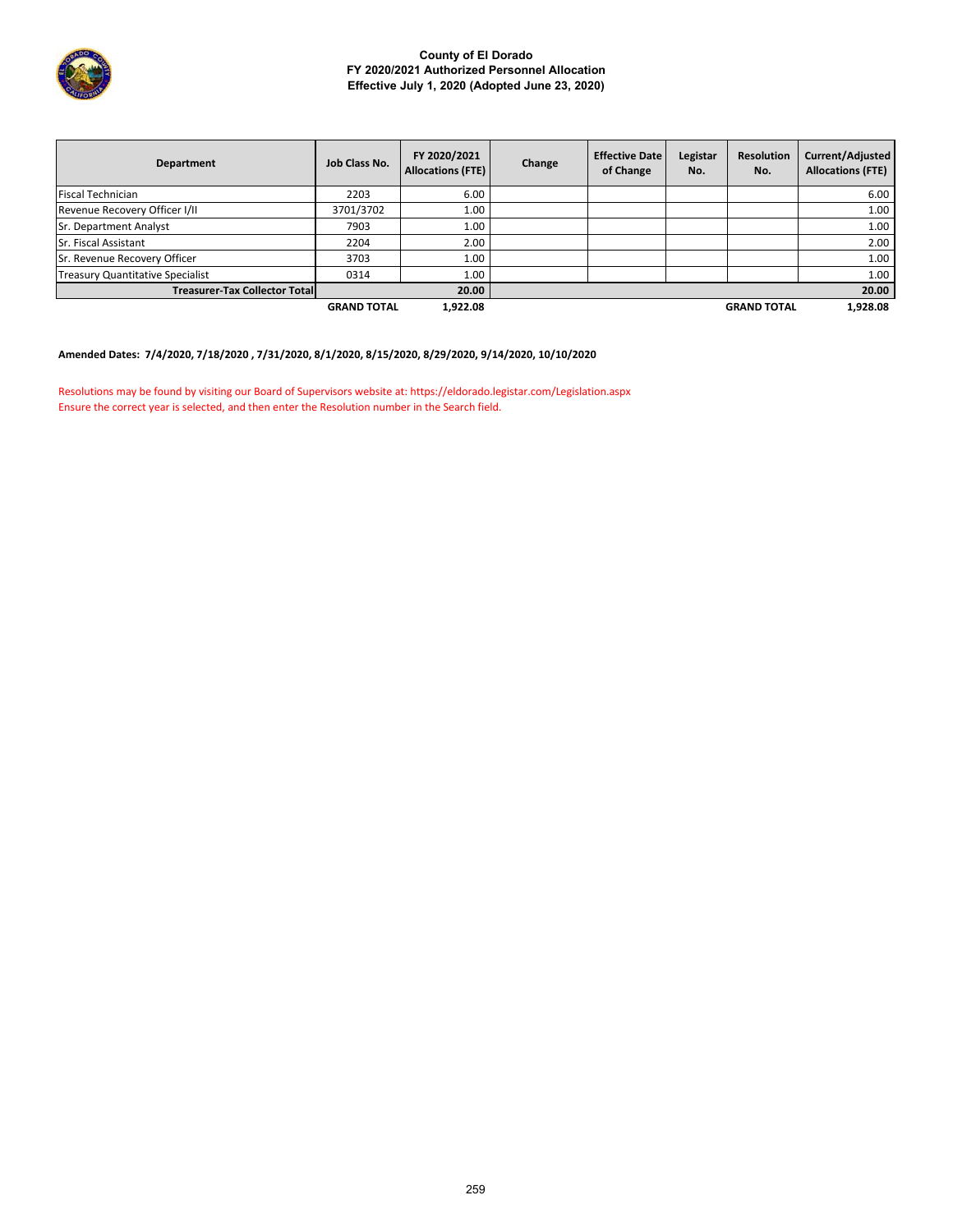

| Department                              | Job Class No.      | FY 2020/2021<br><b>Allocations (FTE)</b> | Change | <b>Effective Date</b><br>of Change | Legistar<br>No. | <b>Resolution</b><br>No. | Current/Adjusted<br><b>Allocations (FTE)</b> |
|-----------------------------------------|--------------------|------------------------------------------|--------|------------------------------------|-----------------|--------------------------|----------------------------------------------|
| <b>Fiscal Technician</b>                | 2203               | 6.00                                     |        |                                    |                 |                          | 6.00                                         |
| Revenue Recovery Officer I/II           | 3701/3702          | 1.00                                     |        |                                    |                 |                          | 1.00                                         |
| <b>Sr. Department Analyst</b>           | 7903               | 1.00                                     |        |                                    |                 |                          | 1.00                                         |
| <b>Sr. Fiscal Assistant</b>             | 2204               | 2.00                                     |        |                                    |                 |                          | 2.00                                         |
| Sr. Revenue Recovery Officer            | 3703               | 1.00                                     |        |                                    |                 |                          | 1.00                                         |
| <b>Treasury Quantitative Specialist</b> | 0314               | 1.00                                     |        |                                    |                 |                          | 1.00                                         |
| <b>Treasurer-Tax Collector Total</b>    |                    | 20.00                                    |        |                                    |                 |                          | 20.00                                        |
|                                         | <b>GRAND TOTAL</b> | 1,922.08                                 |        |                                    |                 | <b>GRAND TOTAL</b>       | 1,928.08                                     |

# **Amended Dates: 7/4/2020, 7/18/2020 , 7/31/2020, 8/1/2020, 8/15/2020, 8/29/2020, 9/14/2020, 10/10/2020**

Resolutions may be found by visiting our Board of Supervisors website at: https://eldorado.legistar.com/Legislation.aspx Ensure the correct year is selected, and then enter the Resolution number in the Search field.